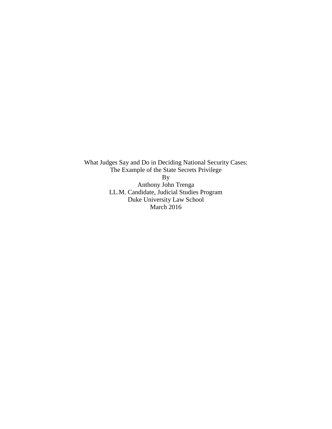What Judges Say and Do in Deciding National Security Cases: The Example of the State Secrets Privilege By Anthony John Trenga LL.M. Candidate, Judicial Studies Program Duke University Law School March 2016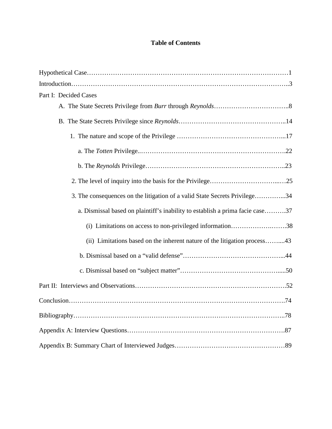# **Table of Contents**

| Part I: Decided Cases                                                         |
|-------------------------------------------------------------------------------|
|                                                                               |
|                                                                               |
|                                                                               |
|                                                                               |
|                                                                               |
|                                                                               |
| 3. The consequences on the litigation of a valid State Secrets Privilege34    |
| a. Dismissal based on plaintiff's inability to establish a prima facie case37 |
| (i) Limitations on access to non-privileged information38                     |
| (ii) Limitations based on the inherent nature of the litigation process43     |
|                                                                               |
|                                                                               |
|                                                                               |
|                                                                               |
|                                                                               |
|                                                                               |
|                                                                               |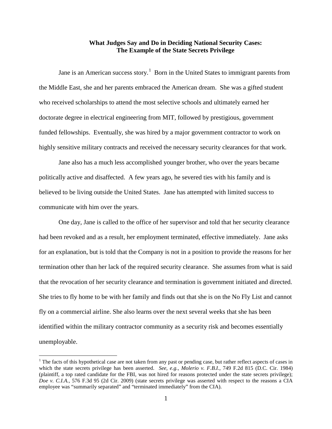#### **What Judges Say and Do in Deciding National Security Cases: The Example of the State Secrets Privilege**

Jane is an American success story.<sup>[1](#page-2-0)</sup> Born in the United States to immigrant parents from the Middle East, she and her parents embraced the American dream. She was a gifted student who received scholarships to attend the most selective schools and ultimately earned her doctorate degree in electrical engineering from MIT, followed by prestigious, government funded fellowships. Eventually, she was hired by a major government contractor to work on highly sensitive military contracts and received the necessary security clearances for that work.

Jane also has a much less accomplished younger brother, who over the years became politically active and disaffected. A few years ago, he severed ties with his family and is believed to be living outside the United States. Jane has attempted with limited success to communicate with him over the years.

One day, Jane is called to the office of her supervisor and told that her security clearance had been revoked and as a result, her employment terminated, effective immediately. Jane asks for an explanation, but is told that the Company is not in a position to provide the reasons for her termination other than her lack of the required security clearance. She assumes from what is said that the revocation of her security clearance and termination is government initiated and directed. She tries to fly home to be with her family and finds out that she is on the No Fly List and cannot fly on a commercial airline. She also learns over the next several weeks that she has been identified within the military contractor community as a security risk and becomes essentially unemployable.

<span id="page-2-0"></span> $1$  The facts of this hypothetical case are not taken from any past or pending case, but rather reflect aspects of cases in which the state secrets privilege has been asserted. *See, e.g.*, *Molerio v. F.B.I.*, 749 F.2d 815 (D.C. Cir. 1984) (plaintiff, a top rated candidate for the FBI, was not hired for reasons protected under the state secrets privilege); *Doe v. C.I.A.*, 576 F.3d 95 (2d Cir. 2009) (state secrets privilege was asserted with respect to the reasons a CIA employee was "summarily separated" and "terminated immediately" from the CIA).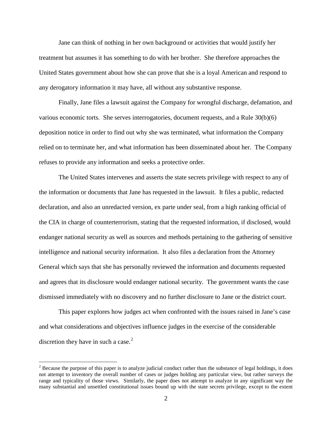Jane can think of nothing in her own background or activities that would justify her treatment but assumes it has something to do with her brother. She therefore approaches the United States government about how she can prove that she is a loyal American and respond to any derogatory information it may have, all without any substantive response.

Finally, Jane files a lawsuit against the Company for wrongful discharge, defamation, and various economic torts. She serves interrogatories, document requests, and a Rule 30(b)(6) deposition notice in order to find out why she was terminated, what information the Company relied on to terminate her, and what information has been disseminated about her. The Company refuses to provide any information and seeks a protective order.

The United States intervenes and asserts the state secrets privilege with respect to any of the information or documents that Jane has requested in the lawsuit. It files a public, redacted declaration, and also an unredacted version, ex parte under seal, from a high ranking official of the CIA in charge of counterterrorism, stating that the requested information, if disclosed, would endanger national security as well as sources and methods pertaining to the gathering of sensitive intelligence and national security information. It also files a declaration from the Attorney General which says that she has personally reviewed the information and documents requested and agrees that its disclosure would endanger national security. The government wants the case dismissed immediately with no discovery and no further disclosure to Jane or the district court.

This paper explores how judges act when confronted with the issues raised in Jane's case and what considerations and objectives influence judges in the exercise of the considerable discretion they have in such a case. $<sup>2</sup>$  $<sup>2</sup>$  $<sup>2</sup>$ </sup>

<span id="page-3-0"></span><sup>&</sup>lt;sup>2</sup> Because the purpose of this paper is to analyze judicial conduct rather than the substance of legal holdings, it does not attempt to inventory the overall number of cases or judges holding any particular view, but rather surveys the range and typicality of those views. Similarly, the paper does not attempt to analyze in any significant way the many substantial and unsettled constitutional issues bound up with the state secrets privilege, except to the extent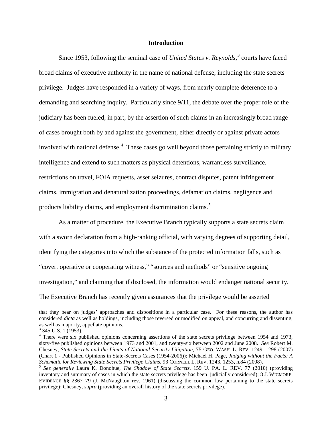#### **Introduction**

Since 1953, following the seminal case of *United States v. Reynolds*, [3](#page-4-0) courts have faced broad claims of executive authority in the name of national defense, including the state secrets privilege. Judges have responded in a variety of ways, from nearly complete deference to a demanding and searching inquiry. Particularly since 9/11, the debate over the proper role of the judiciary has been fueled, in part, by the assertion of such claims in an increasingly broad range of cases brought both by and against the government, either directly or against private actors involved with national defense.<sup>[4](#page-4-1)</sup> These cases go well beyond those pertaining strictly to military intelligence and extend to such matters as physical detentions, warrantless surveillance, restrictions on travel, FOIA requests, asset seizures, contract disputes, patent infringement claims, immigration and denaturalization proceedings, defamation claims, negligence and products liability claims, and employment discrimination claims.<sup>[5](#page-4-2)</sup>

As a matter of procedure, the Executive Branch typically supports a state secrets claim with a sworn declaration from a high-ranking official, with varying degrees of supporting detail, identifying the categories into which the substance of the protected information falls, such as "covert operative or cooperating witness," "sources and methods" or "sensitive ongoing investigation," and claiming that if disclosed, the information would endanger national security. The Executive Branch has recently given assurances that the privilege would be asserted

that they bear on judges' approaches and dispositions in a particular case. For these reasons, the author has considered *dicta* as well as holdings, including those reversed or modified on appeal, and concurring and dissenting, as well as majority, appellate opinions. <sup>3</sup> 345 U.S. 1 (1953).

<span id="page-4-1"></span><span id="page-4-0"></span><sup>&</sup>lt;sup>4</sup> There were six published opinions concerning assertions of the state secrets privilege between 1954 and 1973, sixty-five published opinions between 1973 and 2001, and twenty-six between 2002 and June 2008. *See* Robert M. Chesney, *State Secrets and the Limits of National Security Litigation*, 75 GEO. WASH. L. REV. 1249, 1298 (2007) (Chart 1 - Published Opinions in State-Secrets Cases (1954-2006)); Michael H. Page, *Judging without the Facts: A* 

<span id="page-4-2"></span><sup>&</sup>lt;sup>5</sup> See generally Laura K. Donohue, *The Shadow of State Secrets*, 159 U. PA. L. REV. 77 (2010) (providing inventory and summary of cases in which the state secrets privilege has been judicially considered); 8 J. WIGMORE, EVIDENCE §§ 2367–79 (J. McNaughton rev. 1961) (discussing the common law pertaining to the state secrets privilege); Chesney, *supra* (providing an overall history of the state secrets privilege).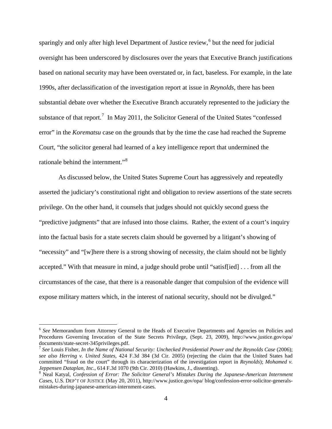sparingly and only after high level Department of Justice review,  $6$  but the need for judicial oversight has been underscored by disclosures over the years that Executive Branch justifications based on national security may have been overstated or, in fact, baseless. For example, in the late 1990s, after declassification of the investigation report at issue in *Reynolds*, there has been substantial debate over whether the Executive Branch accurately represented to the judiciary the substance of that report.<sup>[7](#page-5-1)</sup> In May 2011, the Solicitor General of the United States "confessed" error" in the *Korematsu* case on the grounds that by the time the case had reached the Supreme Court, "the solicitor general had learned of a key intelligence report that undermined the rationale behind the internment."<sup>[8](#page-5-2)</sup>

As discussed below, the United States Supreme Court has aggressively and repeatedly asserted the judiciary's constitutional right and obligation to review assertions of the state secrets privilege. On the other hand, it counsels that judges should not quickly second guess the "predictive judgments" that are infused into those claims. Rather, the extent of a court's inquiry into the factual basis for a state secrets claim should be governed by a litigant's showing of "necessity" and "[w]here there is a strong showing of necessity, the claim should not be lightly accepted." With that measure in mind, a judge should probe until "satisf[ied] . . . from all the circumstances of the case, that there is a reasonable danger that compulsion of the evidence will expose military matters which, in the interest of national security, should not be divulged."

<span id="page-5-0"></span><sup>&</sup>lt;sup>6</sup> See Memorandum from Attorney General to the Heads of Executive Departments and Agencies on Policies and Procedures Governing Invocation of the State Secrets Privilege, (Sept. 23, 2009), http://www.justice.gov/opa/

<span id="page-5-1"></span> $^7$  See Louis Fisher, *In the Name of National Security: Unchecked Presidential Power and the Reynolds Case* (2006); *see also Herring v. United States*, 424 F.3d 384 (3d Cir. 2005) (rejecting the claim that the United States had committed "fraud on the court" through its characterization of the investigation report in *Reynolds*); *Mohamed v. Jeppensen Dataplan, Inc.*, 614 F.3d 1070 (9th Cir. 2010) (Hawkins, J., dissenting).

<span id="page-5-2"></span><sup>&</sup>lt;sup>8</sup> Neal Katyal, *Confession of Error: The Solicitor General's Mistakes During the Japanese-American Internment Cases*, U.S. DEP'T OF JUSTICE (May 20, 2011), http://www.justice.gov/opa/ blog/confession-error-solicitor-generalsmistakes-during-japanese-american-internment-cases.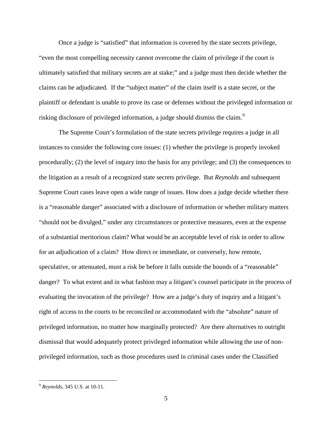Once a judge is "satisfied" that information is covered by the state secrets privilege, "even the most compelling necessity cannot overcome the claim of privilege if the court is ultimately satisfied that military secrets are at stake;" and a judge must then decide whether the claims can be adjudicated. If the "subject matter" of the claim itself is a state secret, or the plaintiff or defendant is unable to prove its case or defenses without the privileged information or risking disclosure of privileged information, a judge should dismiss the claim.<sup>[9](#page-6-0)</sup>

The Supreme Court's formulation of the state secrets privilege requires a judge in all instances to consider the following core issues: (1) whether the privilege is properly invoked procedurally; (2) the level of inquiry into the basis for any privilege; and (3) the consequences to the litigation as a result of a recognized state secrets privilege. But *Reynolds* and subsequent Supreme Court cases leave open a wide range of issues. How does a judge decide whether there is a "reasonable danger" associated with a disclosure of information or whether military matters "should not be divulged," under any circumstances or protective measures, even at the expense of a substantial meritorious claim? What would be an acceptable level of risk in order to allow for an adjudication of a claim? How direct or immediate, or conversely, how remote, speculative, or attenuated, must a risk be before it falls outside the bounds of a "reasonable" danger? To what extent and in what fashion may a litigant's counsel participate in the process of evaluating the invocation of the privilege? How are a judge's duty of inquiry and a litigant's right of access to the courts to be reconciled or accommodated with the "absolute" nature of privileged information, no matter how marginally protected? Are there alternatives to outright dismissal that would adequately protect privileged information while allowing the use of nonprivileged information, such as those procedures used in criminal cases under the Classified

<span id="page-6-0"></span><sup>9</sup> *Reynolds*, 345 U.S. at 10-11.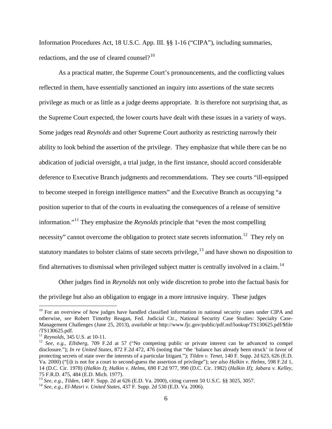Information Procedures Act, 18 U.S.C. App. III. §§ 1-16 ("CIPA"), including summaries, redactions, and the use of cleared counsel? $10<sup>10</sup>$  $10<sup>10</sup>$ 

As a practical matter, the Supreme Court's pronouncements, and the conflicting values reflected in them, have essentially sanctioned an inquiry into assertions of the state secrets privilege as much or as little as a judge deems appropriate. It is therefore not surprising that, as the Supreme Court expected, the lower courts have dealt with these issues in a variety of ways. Some judges read *Reynolds* and other Supreme Court authority as restricting narrowly their ability to look behind the assertion of the privilege. They emphasize that while there can be no abdication of judicial oversight, a trial judge, in the first instance, should accord considerable deference to Executive Branch judgments and recommendations. They see courts "ill-equipped to become steeped in foreign intelligence matters" and the Executive Branch as occupying "a position superior to that of the courts in evaluating the consequences of a release of sensitive information."[11](#page-7-1) They emphasize the *Reynolds* principle that "even the most compelling necessity" cannot overcome the obligation to protect state secrets information.<sup>12</sup> They rely on statutory mandates to bolster claims of state secrets privilege, $^{13}$  $^{13}$  $^{13}$  and have shown no disposition to find alternatives to dismissal when privileged subject matter is centrally involved in a claim.<sup>[14](#page-7-4)</sup>

Other judges find in *Reynolds* not only wide discretion to probe into the factual basis for the privilege but also an obligation to engage in a more intrusive inquiry. These judges

<span id="page-7-0"></span><sup>&</sup>lt;sup>10</sup> For an overview of how judges have handled classified information in national security cases under CIPA and otherwise, *see* Robert Timothy Reagan, Fed. Judicial Ctr., National Security Case Studies: Specialty Case-Management Challenges (June 25, 2013), *available at* http://www.fjc.gov/public/pdf.nsf/lookup/TS130625.pdf/\$file

<span id="page-7-2"></span><span id="page-7-1"></span><sup>&</sup>lt;sup>11</sup> *Reynolds*, 345 U.S. at 10-11.<br><sup>12</sup> *See, e.g., Ellsberg*, 709 F.2d at 57 ("No competing public or private interest can be advanced to compel disclosure."); *In re United States*, 872 F.2d 472, 476 (noting that "the 'balance has already been struck' in favor of protecting secrets of state over the interests of a particular litigant."); *Tilden v. Tenet,* 140 F. Supp. 2d 623, 626 (E.D. Va. 2000) ("[i]t is not for a court to second-guess the assertion of privilege"); s*ee also Halkin v. Helms*, 598 F.2d 1, 14 (D.C. Cir. 1978) (*Halkin I*); *Halkin v. Helms*, 690 F.2d 977, 990 (D.C. Cir. 1982) (*Halkin II*); *Jabara v. Kelley*,

<span id="page-7-3"></span><sup>13</sup> See, e.g., Tilden, 140 F. Supp. 2d at 626 (E.D. Va. 2000), citing current 50 U.S.C. §§ 3025, 3057.<br><sup>14</sup> See, e.g., El-Masri v. United States, 437 F. Supp. 2d 530 (E.D. Va. 2006).

<span id="page-7-4"></span>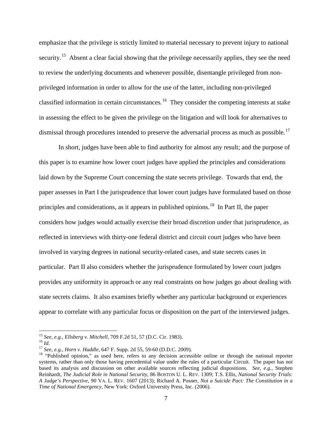emphasize that the privilege is strictly limited to material necessary to prevent injury to national security.<sup>[15](#page-8-0)</sup> Absent a clear facial showing that the privilege necessarily applies, they see the need to review the underlying documents and whenever possible, disentangle privileged from nonprivileged information in order to allow for the use of the latter, including non-privileged classified information in certain circumstances*.* [16](#page-8-1) They consider the competing interests at stake in assessing the effect to be given the privilege on the litigation and will look for alternatives to dismissal through procedures intended to preserve the adversarial process as much as possible.<sup>[17](#page-8-2)</sup>

In short, judges have been able to find authority for almost any result; and the purpose of this paper is to examine how lower court judges have applied the principles and considerations laid down by the Supreme Court concerning the state secrets privilege. Towards that end, the paper assesses in Part I the jurisprudence that lower court judges have formulated based on those principles and considerations, as it appears in published opinions.<sup>[18](#page-8-3)</sup> In Part II, the paper considers how judges would actually exercise their broad discretion under that jurisprudence, as reflected in interviews with thirty-one federal district and circuit court judges who have been involved in varying degrees in national security-related cases, and state secrets cases in particular. Part II also considers whether the jurisprudence formulated by lower court judges provides any uniformity in approach or any real constraints on how judges go about dealing with state secrets claims. It also examines briefly whether any particular background or experiences appear to correlate with any particular focus or disposition on the part of the interviewed judges.

<sup>&</sup>lt;sup>15</sup> See, e.g., Ellsberg v. Mitchell, 709 F.2d 51, 57 (D.C. Cir. 1983).

<span id="page-8-3"></span><span id="page-8-2"></span>

<span id="page-8-1"></span><span id="page-8-0"></span><sup>&</sup>lt;sup>16</sup> *Id.*<br><sup>17</sup> *See, e.g., Horn v. Huddle,* 647 F. Supp. 2d 55, 59-60 (D.D.C. 2009).<br><sup>17</sup> *See, e.g., Horn v. Huddle,* 647 F. Supp. 2d 55, 59-60 (D.D.C. 2009).<br><sup>18</sup> "Published opinion," as used here, refers to any decisi systems, rather than only those having precedential value under the rules of a particular Circuit. The paper has not based its analysis and discussion on other available sources reflecting judicial dispositions. *See, e.g.*, Stephen Reinhardt, *The Judicial Role in National Security,* 86 BOSTON U. L. REV. 1309; T.S. Ellis, *National Security Trials: A Judge's Perspective*, 90 VA. L. REV. 1607 (2013); Richard A. Posner, *Not a Suicide Pact: The Constitution in a Time of National Emergency*, New York: Oxford University Press, Inc. (2006).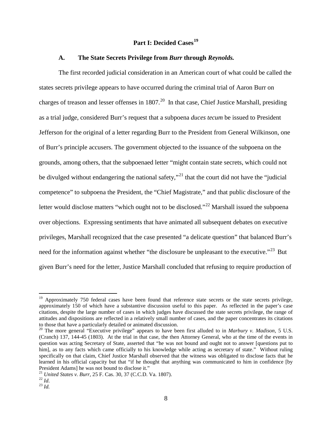# **Part I: Decided Cases[19](#page-9-0)**

#### **A. The State Secrets Privilege from** *Burr* **through** *Reynolds.*

The first recorded judicial consideration in an American court of what could be called the states secrets privilege appears to have occurred during the criminal trial of Aaron Burr on charges of treason and lesser offenses in 1807.<sup>20</sup> In that case, Chief Justice Marshall, presiding as a trial judge, considered Burr's request that a subpoena *duces tecum* be issued to President Jefferson for the original of a letter regarding Burr to the President from General Wilkinson, one of Burr's principle accusers. The government objected to the issuance of the subpoena on the grounds, among others, that the subpoenaed letter "might contain state secrets, which could not be divulged without endangering the national safety,"<sup>[21](#page-9-2)</sup> that the court did not have the "judicial" competence" to subpoena the President, the "Chief Magistrate," and that public disclosure of the letter would disclose matters "which ought not to be disclosed."<sup>[22](#page-9-3)</sup> Marshall issued the subpoena over objections. Expressing sentiments that have animated all subsequent debates on executive privileges, Marshall recognized that the case presented "a delicate question" that balanced Burr's need for the information against whether "the disclosure be unpleasant to the executive."<sup>[23](#page-9-4)</sup> But given Burr's need for the letter, Justice Marshall concluded that refusing to require production of

<span id="page-9-0"></span><sup>&</sup>lt;sup>19</sup> Approximately 750 federal cases have been found that reference state secrets or the state secrets privilege, approximately 150 of which have a substantive discussion useful to this paper. As reflected in the paper's case citations, despite the large number of cases in which judges have discussed the state secrets privilege, the range of attitudes and dispositions are reflected in a relatively small number of cases, and the paper concentrates its citations

<span id="page-9-1"></span><sup>&</sup>lt;sup>20</sup> The more general "Executive privilege" appears to have been first alluded to in *Marbury v. Madison*, 5 U.S. (Cranch) 137, 144-45 (1803). At the trial in that case, the then Attorney General, who at the time of the events in question was acting Secretary of State, asserted that "he was not bound and ought not to answer [questions put to him], as to any facts which came officially to his knowledge while acting as secretary of state." Without ruling specifically on that claim, Chief Justice Marshall observed that the witness was obligated to disclose facts that he learned in his official capacity but that "if he thought that anything was communicated to him in confidence [by President Adams] he was not bound to disclose it."<br><sup>21</sup> *United States v. Burr*, 25 F. Cas. 30, 37 (C.C.D. Va. 1807).<br><sup>22</sup> *Id.* <sup>23</sup> *Id.* 

<span id="page-9-2"></span>

<span id="page-9-4"></span><span id="page-9-3"></span>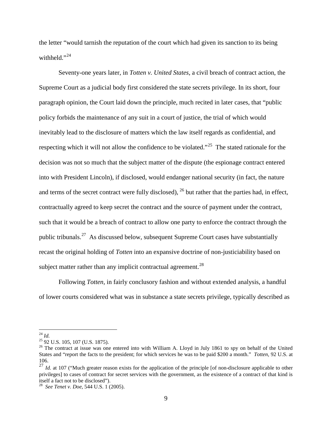the letter "would tarnish the reputation of the court which had given its sanction to its being withheld." $^{24}$  $^{24}$  $^{24}$ 

Seventy-one years later, in *Totten v. United States*, a civil breach of contract action, the Supreme Court as a judicial body first considered the state secrets privilege. In its short, four paragraph opinion, the Court laid down the principle, much recited in later cases, that "public policy forbids the maintenance of any suit in a court of justice, the trial of which would inevitably lead to the disclosure of matters which the law itself regards as confidential, and respecting which it will not allow the confidence to be violated."<sup>25</sup> The stated rationale for the decision was not so much that the subject matter of the dispute (the espionage contract entered into with President Lincoln), if disclosed, would endanger national security (in fact, the nature and terms of the secret contract were fully disclosed),  $^{26}$  $^{26}$  $^{26}$  but rather that the parties had, in effect, contractually agreed to keep secret the contract and the source of payment under the contract, such that it would be a breach of contract to allow one party to enforce the contract through the public tribunals.[27](#page-10-3)As discussed below, subsequent Supreme Court cases have substantially recast the original holding of *Totten* into an expansive doctrine of non-justiciability based on subject matter rather than any implicit contractual agreement.<sup>28</sup>

Following *Totten,* in fairly conclusory fashion and without extended analysis, a handful of lower courts considered what was in substance a state secrets privilege, typically described as

<span id="page-10-0"></span> $^{24}$  Id.

<span id="page-10-2"></span><span id="page-10-1"></span> $25$  92 U.S. 105, 107 (U.S. 1875).<br><sup>26</sup> The contract at issue was one entered into with William A. Lloyd in July 1861 to spy on behalf of the United States and "report the facts to the president; for which services he was to be paid \$200 a month." *Totten*, 92 U.S. at 106.

<span id="page-10-3"></span><sup>&</sup>lt;sup>27</sup> *Id.* at 107 ("Much greater reason exists for the application of the principle [of non-disclosure applicable to other privileges] to cases of contract for secret services with the government, as the existence of a contract of that kind is itself a fact not to be disclosed").

<span id="page-10-4"></span><sup>&</sup>lt;sup>28</sup> See Tenet v. Doe, 544 U.S. 1 (2005).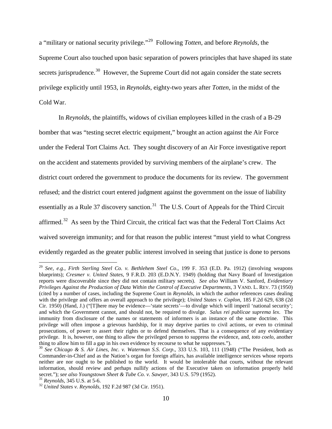a "military or national security privilege."[29](#page-11-0) Following *Totten*, and before *Reynolds*, the Supreme Court also touched upon basic separation of powers principles that have shaped its state secrets jurisprudence.<sup>30</sup> However, the Supreme Court did not again consider the state secrets privilege explicitly until 1953, in *Reynolds*, eighty-two years after *Totten*, in the midst of the Cold War.

In *Reynolds*, the plaintiffs, widows of civilian employees killed in the crash of a B-29 bomber that was "testing secret electric equipment," brought an action against the Air Force under the Federal Tort Claims Act. They sought discovery of an Air Force investigative report on the accident and statements provided by surviving members of the airplane's crew. The district court ordered the government to produce the documents for its review. The government refused; and the district court entered judgment against the government on the issue of liability essentially as a Rule 37 discovery sanction.<sup>31</sup> The U.S. Court of Appeals for the Third Circuit affirmed.<sup>[32](#page-11-3)</sup> As seen by the Third Circuit, the critical fact was that the Federal Tort Claims Act waived sovereign immunity; and for that reason the public interest "must yield to what Congress evidently regarded as the greater public interest involved in seeing that justice is done to persons

<span id="page-11-0"></span><sup>29</sup> *See, e.g.*, *Firth Sterling Steel Co. v. Bethlehem Steel Co*., 199 F. 353 (E.D. Pa. 1912) (involving weapons blueprints); *Cresmer v. United States*, 9 F.R.D. 203 (E.D.N.Y. 1949) (holding that Navy Board of Investigation reports were discoverable since they did not contain military secrets). *See also* William V. Sanford, *Evidentiary Privileges Against the Production of Data Within the Control of Executive Departments*, 3 VAND. L. REV. 73 (1950) (cited by a number of cases, including the Supreme Court in *Reynolds*, in which the author references cases dealing with the privilege and offers an overall approach to the privilege); *United States v. Coplon*, 185 F.2d 629, 638 (2d Cir. 1950) (Hand, J.) ("[T]here may be evidence—'state secrets'—to divulge which will imperil 'national security'; and which the Government cannot, and should not, be required to divulge. *Salus rei publicae suprema lex*. The immunity from disclosure of the names or statements of informers is an instance of the same doctrine. This privilege will often impose a grievous hardship, for it may deprive parties to civil actions, or even to criminal prosecutions, of power to assert their rights or to defend themselves. That is a consequence of any evidentiary privilege. It is, however, one thing to allow the privileged person to suppress the evidence, and, *toto coelo*, another thing to allow him to fill a gap in his own evidence by recourse to what he suppresses.").

<span id="page-11-1"></span><sup>&</sup>lt;sup>30</sup> See Chicago & S. Air Lines, Inc. v. Waterman S.S. Corp., 333 U.S. 103, 111 (1948) ("The President, both as Commander-in-Chief and as the Nation's organ for foreign affairs, has available intelligence services whose reports neither are nor ought to be published to the world. It would be intolerable that courts, without the relevant information, should review and perhaps nullify actions of the Executive taken on information properly held secret."); *see also Youngstown Sheet & Tube Co. v. Sawyer*, 343 U.S. 579 (1952). <sup>31</sup> *Reynolds*, 345 U.S. at 5-6. <sup>32</sup> *United States v. Reynolds*, 192 F.2d 987 (3d Cir. 1951).

<span id="page-11-3"></span><span id="page-11-2"></span>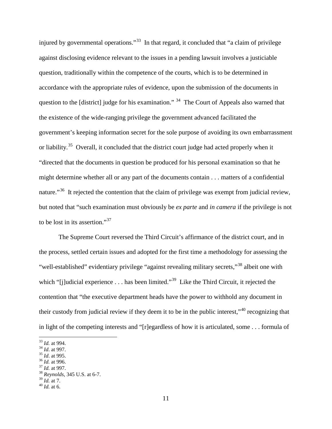injured by governmental operations."<sup>33</sup> In that regard, it concluded that "a claim of privilege against disclosing evidence relevant to the issues in a pending lawsuit involves a justiciable question, traditionally within the competence of the courts, which is to be determined in accordance with the appropriate rules of evidence, upon the submission of the documents in question to the [district] judge for his examination."  $34$  The Court of Appeals also warned that the existence of the wide-ranging privilege the government advanced facilitated the government's keeping information secret for the sole purpose of avoiding its own embarrassment or liability.<sup>[35](#page-12-2)</sup> Overall, it concluded that the district court judge had acted properly when it "directed that the documents in question be produced for his personal examination so that he might determine whether all or any part of the documents contain . . . matters of a confidential nature."<sup>[36](#page-12-3)</sup> It rejected the contention that the claim of privilege was exempt from judicial review, but noted that "such examination must obviously be *ex parte* and *in camera* if the privilege is not to be lost in its assertion."<sup>[37](#page-12-4)</sup>

The Supreme Court reversed the Third Circuit's affirmance of the district court, and in the process, settled certain issues and adopted for the first time a methodology for assessing the "well-established" evidentiary privilege "against revealing military secrets,"[38](#page-12-5) albeit one with which "[j]udicial experience . . . has been limited."<sup>[39](#page-12-6)</sup> Like the Third Circuit, it rejected the contention that "the executive department heads have the power to withhold any document in their custody from judicial review if they deem it to be in the public interest,"[40](#page-12-7) recognizing that in light of the competing interests and "[r]egardless of how it is articulated, some . . . formula of

- <span id="page-12-2"></span>
- <span id="page-12-3"></span>

<span id="page-12-0"></span> $33$  *Id.* at 994.

<span id="page-12-5"></span><span id="page-12-4"></span>

<span id="page-12-1"></span><sup>34</sup> *Id.* at 997.<br><sup>35</sup> *Id.* at 995.<br><sup>36</sup> *Id.* at 996.<br><sup>37</sup> *Id.* at 997.<br><sup>38</sup> *Reynolds*, 345 U.S. at 6-7.<br><sup>39</sup> *Id.* at 7.

<span id="page-12-6"></span>

<span id="page-12-7"></span><sup>&</sup>lt;sup>40</sup> *Id.* at 6.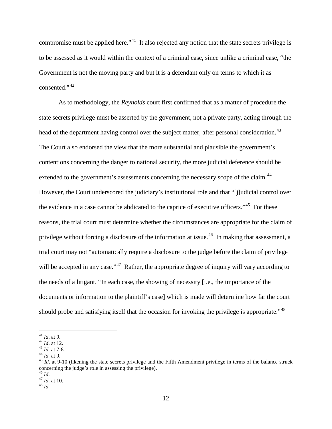compromise must be applied here."<sup>[41](#page-13-0)</sup> It also rejected any notion that the state secrets privilege is to be assessed as it would within the context of a criminal case, since unlike a criminal case, "the Government is not the moving party and but it is a defendant only on terms to which it as  $consented$ .",  $42$ 

As to methodology, the *Reynolds* court first confirmed that as a matter of procedure the state secrets privilege must be asserted by the government, not a private party, acting through the head of the department having control over the subject matter, after personal consideration.<sup>[43](#page-13-2)</sup> The Court also endorsed the view that the more substantial and plausible the government's contentions concerning the danger to national security, the more judicial deference should be extended to the government's assessments concerning the necessary scope of the claim.<sup>[44](#page-13-3)</sup> However, the Court underscored the judiciary's institutional role and that "[j]udicial control over the evidence in a case cannot be abdicated to the caprice of executive officers."<sup>[45](#page-13-4)</sup> For these reasons, the trial court must determine whether the circumstances are appropriate for the claim of privilege without forcing a disclosure of the information at issue.<sup>46</sup> In making that assessment, a trial court may not "automatically require a disclosure to the judge before the claim of privilege will be accepted in any case."<sup>[47](#page-13-6)</sup> Rather, the appropriate degree of inquiry will vary according to the needs of a litigant. "In each case, the showing of necessity [i.e., the importance of the documents or information to the plaintiff's case] which is made will determine how far the court should probe and satisfying itself that the occasion for invoking the privilege is appropriate."<sup>48</sup>

 $41$  *Id.* at 9.

<span id="page-13-3"></span><span id="page-13-2"></span>

<span id="page-13-4"></span>

<span id="page-13-1"></span><span id="page-13-0"></span><sup>&</sup>lt;sup>42</sup> *Id.* at 12.<br><sup>43</sup> *Id.* at 7-8.<br><sup>44</sup> *Id.* at 9.<br><sup>45</sup> *Id.* at 9-10 (likening the state secrets privilege and the Fifth Amendment privilege in terms of the balance struck<br><sup>45</sup> *Id.* at 9-10 (likening the state secret concerning the judge's role in assessing the privilege).<br><sup>46</sup> *Id*.  $^{47}$  *Id*. at 10.<br><sup>48</sup> *Id* 

<span id="page-13-6"></span><span id="page-13-5"></span>

<span id="page-13-7"></span>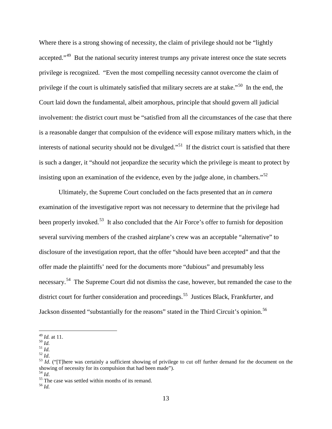Where there is a strong showing of necessity, the claim of privilege should not be "lightly" accepted."<sup>49</sup> But the national security interest trumps any private interest once the state secrets privilege is recognized. "Even the most compelling necessity cannot overcome the claim of privilege if the court is ultimately satisfied that military secrets are at stake."<sup>50</sup> In the end, the Court laid down the fundamental, albeit amorphous, principle that should govern all judicial involvement: the district court must be "satisfied from all the circumstances of the case that there is a reasonable danger that compulsion of the evidence will expose military matters which, in the interests of national security should not be divulged."<sup>[51](#page-14-2)</sup> If the district court is satisfied that there is such a danger, it "should not jeopardize the security which the privilege is meant to protect by insisting upon an examination of the evidence, even by the judge alone, in chambers."<sup>[52](#page-14-3)</sup>

Ultimately, the Supreme Court concluded on the facts presented that an *in camera* examination of the investigative report was not necessary to determine that the privilege had been properly invoked.<sup>[53](#page-14-4)</sup> It also concluded that the Air Force's offer to furnish for deposition several surviving members of the crashed airplane's crew was an acceptable "alternative" to disclosure of the investigation report, that the offer "should have been accepted" and that the offer made the plaintiffs' need for the documents more "dubious" and presumably less necessary.<sup>[54](#page-14-5)</sup> The Supreme Court did not dismiss the case, however, but remanded the case to the district court for further consideration and proceedings.<sup>[55](#page-14-6)</sup> Justices Black, Frankfurter, and Jackson dissented "substantially for the reasons" stated in the Third Circuit's opinion.<sup>[56](#page-14-7)</sup>

<span id="page-14-4"></span>

 $49$  *Id.* at 11.

<span id="page-14-3"></span><span id="page-14-2"></span>

<span id="page-14-1"></span><span id="page-14-0"></span>*Id.* <sup>50</sup> *Id.*<br><sup>51</sup> *Id.*<br><sup>52</sup> *Id.* <sup>52</sup> *Id.* ("There was certainly a sufficient showing of privilege to cut off further demand for the document on the showing of necessity for its compulsion that had been made").<br><sup>54</sup> *Id*.<br><sup>55</sup> The case was settled within months of its remand.<br><sup>56</sup> *Id.* 

<span id="page-14-7"></span><span id="page-14-6"></span><span id="page-14-5"></span>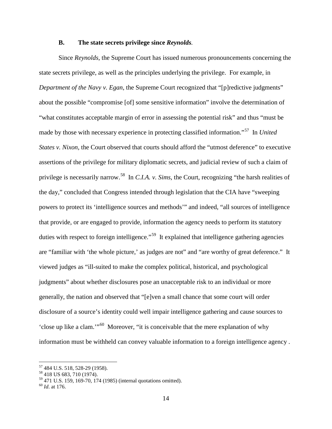#### **B. The state secrets privilege since** *Reynolds.*

Since *Reynolds,* the Supreme Court has issued numerous pronouncements concerning the state secrets privilege, as well as the principles underlying the privilege. For example, in *Department of the Navy v. Egan, the Supreme Court recognized that "[p]redictive judgments"* about the possible "compromise [of] some sensitive information" involve the determination of "what constitutes acceptable margin of error in assessing the potential risk" and thus "must be made by those with necessary experience in protecting classified information."[57](#page-15-0) In *United States v. Nixon*, the Court observed that courts should afford the "utmost deference" to executive assertions of the privilege for military diplomatic secrets, and judicial review of such a claim of privilege is necessarily narrow.[58](#page-15-1) In *C.I.A. v. Sims*, the Court, recognizing "the harsh realities of the day," concluded that Congress intended through legislation that the CIA have "sweeping powers to protect its 'intelligence sources and methods'" and indeed, "all sources of intelligence that provide, or are engaged to provide, information the agency needs to perform its statutory duties with respect to foreign intelligence."<sup>59</sup> It explained that intelligence gathering agencies are "familiar with 'the whole picture,' as judges are not" and "are worthy of great deference." It viewed judges as "ill-suited to make the complex political, historical, and psychological judgments" about whether disclosures pose an unacceptable risk to an individual or more generally, the nation and observed that "[e]ven a small chance that some court will order disclosure of a source's identity could well impair intelligence gathering and cause sources to 'close up like a clam.'"[60](#page-15-3) Moreover, "it is conceivable that the mere explanation of why information must be withheld can convey valuable information to a foreign intelligence agency .

<span id="page-15-0"></span><sup>&</sup>lt;sup>57</sup> 484 U.S. 518, 528-29 (1958).<br><sup>58</sup> 418 US 683, 710 (1974).

<span id="page-15-2"></span><span id="page-15-1"></span><sup>59</sup> 471 U.S. 159, 169-70, 174 (1985) (internal quotations omitted). <sup>60</sup> *Id*. at 176.

<span id="page-15-3"></span>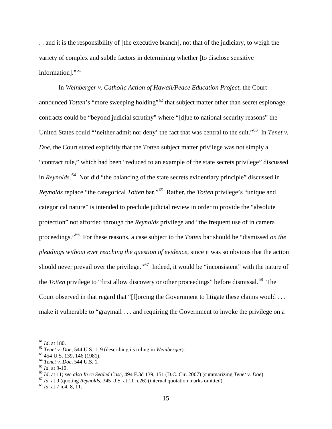. . and it is the responsibility of [the executive branch], not that of the judiciary, to weigh the variety of complex and subtle factors in determining whether [to disclose sensitive information]."<sup>[61](#page-16-0)</sup>

In *Weinberger v. Catholic Action of Hawaii/Peace Education Project*, the Court announced *Totten*'s "more sweeping holding"<sup>[62](#page-16-1)</sup> that subject matter other than secret espionage contracts could be "beyond judicial scrutiny" where "[d]ue to national security reasons" the United States could "ineither admit nor deny' the fact that was central to the suit."<sup>63</sup> In *Tenet v*. *Doe*, the Court stated explicitly that the *Totten* subject matter privilege was not simply a "contract rule," which had been "reduced to an example of the state secrets privilege" discussed in *Reynolds*. [64](#page-16-3) Nor did "the balancing of the state secrets evidentiary principle" discussed in *Reynolds* replace "the categorical *Totten* bar."[65](#page-16-4) Rather, the *Totten* privilege's "unique and categorical nature" is intended to preclude judicial review in order to provide the "absolute protection" not afforded through the *Reynolds* privilege and "the frequent use of in camera proceedings."[66](#page-16-5) For these reasons, a case subject to the *Totten* bar should be "dismissed *on the pleadings without ever reaching the question of evidence,* since it was so obvious that the action should never prevail over the privilege."<sup>67</sup> Indeed, it would be "inconsistent" with the nature of the *Totten* privilege to "first allow discovery or other proceedings" before dismissal.<sup>[68](#page-16-7)</sup> The Court observed in that regard that "[f]orcing the Government to litigate these claims would . . . make it vulnerable to "graymail . . . and requiring the Government to invoke the privilege on a

<span id="page-16-0"></span> $^{61}$  *Id.* at 180.

<span id="page-16-3"></span>

<span id="page-16-5"></span><span id="page-16-4"></span>

<span id="page-16-2"></span><span id="page-16-1"></span><sup>&</sup>lt;sup>62</sup> Tenet v. Doe, 544 U.S. 1, 9 (describing its ruling in Weinberger).<br><sup>63</sup> 454 U.S. 139, 146 (1981).<br><sup>64</sup> Tenet v. Doe, 544 U.S. 1.<br><sup>65</sup> Id. at 9-10.<br><sup>66</sup> Id. at 11; see also In re Sealed Case, 494 F.3d 139, 151 (D.C. C

<span id="page-16-6"></span>

<span id="page-16-7"></span>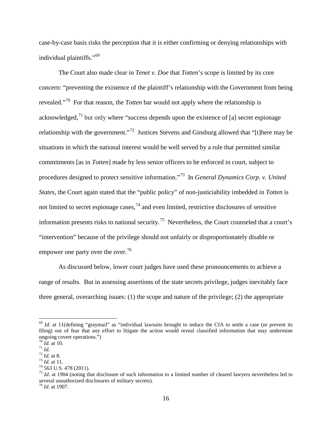case-by-case basis risks the perception that it is either confirming or denying relationships with individual plaintiffs."[69](#page-17-0) 

The Court also made clear in *Tenet v. Doe* that *Totten*'s scope is limited by its core concern: "preventing the existence of the plaintiff's relationship with the Government from being revealed."[70](#page-17-1) For that reason, the *Totten* bar would not apply where the relationship is acknowledged, $^{71}$  $^{71}$  $^{71}$  but only where "success depends upon the existence of [a] secret espionage relationship with the government."[72](#page-17-3) Justices Stevens and Ginsburg allowed that "[t]here may be situations in which the national interest would be well served by a rule that permitted similar commitments [as in *Totten*] made by less senior officers to be enforced in court, subject to procedures designed to protect sensitive information."[73](#page-17-4) In *General Dynamics Corp. v. United States*, the Court again stated that the "public policy" of non-justiciability imbedded in *Totten* is not limited to secret espionage cases,  $^{74}$  $^{74}$  $^{74}$  and even limited, restrictive disclosures of sensitive information presents risks to national security.<sup>[75](#page-17-6)</sup> Nevertheless, the Court counseled that a court's "intervention" because of the privilege should not unfairly or disproportionately disable or empower one party over the over.<sup>76</sup>

As discussed below, lower court judges have used these pronouncements to achieve a range of results. But in assessing assertions of the state secrets privilege, judges inevitably face three general, overarching issues: (1) the scope and nature of the privilege; (2) the appropriate

<span id="page-17-0"></span> $69$  *Id.* at 11(defining "graymail" as "individual lawsuits brought to induce the CIA to settle a case (or prevent its filing) out of fear that any effort to litigate the action would reveal classified information that may undermine ongoing covert operations.")<br>
<sup>70</sup> *Id.* at 10.<br>
<sup>71</sup> *Id.*<br>
<sup>72</sup> *Id.* at 8.<br>
<sup>73</sup> *Id.* at 11.<br>
<sup>74</sup> 563 U.S. 478 (2011).<br>
<sup>74</sup> 563 U.S. 478 (2011).

<span id="page-17-1"></span>

<span id="page-17-3"></span><span id="page-17-2"></span>

<span id="page-17-4"></span>

<span id="page-17-5"></span>

<span id="page-17-6"></span>several unauthorized disclosures of military secrets). <sup>76</sup> *Id*. at 1907.

<span id="page-17-7"></span>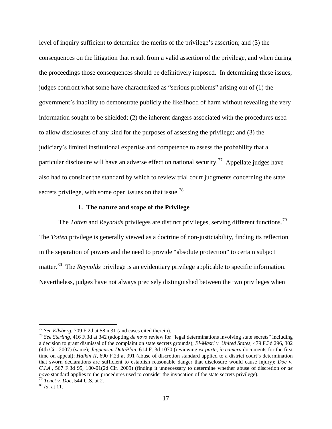level of inquiry sufficient to determine the merits of the privilege's assertion; and (3) the consequences on the litigation that result from a valid assertion of the privilege, and when during the proceedings those consequences should be definitively imposed. In determining these issues, judges confront what some have characterized as "serious problems" arising out of (1) the government's inability to demonstrate publicly the likelihood of harm without revealing the very information sought to be shielded; (2) the inherent dangers associated with the procedures used to allow disclosures of any kind for the purposes of assessing the privilege; and (3) the judiciary's limited institutional expertise and competence to assess the probability that a particular disclosure will have an adverse effect on national security.<sup>77</sup> Appellate judges have also had to consider the standard by which to review trial court judgments concerning the state secrets privilege, with some open issues on that issue.<sup>[78](#page-18-1)</sup>

#### **1. The nature and scope of the Privilege**

The *Totten* and *Reynolds* privileges are distinct privileges, serving different functions.<sup>[79](#page-18-2)</sup> The *Totten* privilege is generally viewed as a doctrine of non-justiciability, finding its reflection in the separation of powers and the need to provide "absolute protection" to certain subject matter.[80](#page-18-3) The *Reynolds* privilege is an evidentiary privilege applicable to specific information. Nevertheless, judges have not always precisely distinguished between the two privileges when

<span id="page-18-1"></span><span id="page-18-0"></span><sup>77</sup> *See Ellsberg*, 709 F.2d at 58 n.31 (and cases cited therein). <sup>78</sup> *See Sterling*, 416 F.3d at 342 (adopting *de novo* review for "legal determinations involving state secrets" including a decision to grant dismissal of the complaint on state secrets grounds); *El-Masri v. United States*, 479 F.3d 296, 302 (4th Cir. 2007) (same); *Jeppensen DataPlan*, 614 F. 3d 1070 (reviewing *ex parte*, *in camera* documents for the first time on appeal); *Halkin II*, 690 F.2d at 991 (abuse of discretion standard applied to a district court's determination that sworn declarations are sufficient to establish reasonable danger that disclosure would cause injury); *Doe v. C.I.A.*, 567 F.3d 95, 100-01(2d Cir. 2009) (finding it unnecessary to determine whether abuse of discretion or *de novo* standard applies to the procedures used to consider the invocation of the state secrets privilege).<br><sup>79</sup> *Tenet v. Doe*, 544 U.S. at 2. 80 *Id*. at 11.

<span id="page-18-3"></span><span id="page-18-2"></span>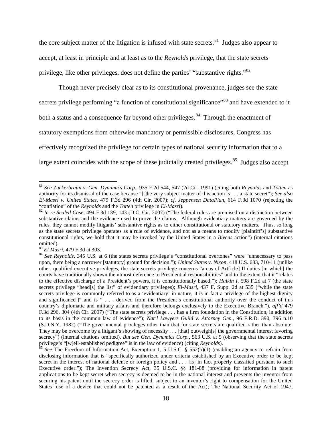the core subject matter of the litigation is infused with state secrets. $81$  Judges also appear to accept, at least in principle and at least as to the *Reynolds* privilege, that the state secrets privilege, like other privileges, does not define the parties' "substantive rights."[82](#page-19-1)

Though never precisely clear as to its constitutional provenance, judges see the state secrets privilege performing "a function of constitutional significance"<sup>[83](#page-19-2)</sup> and have extended to it both a status and a consequence far beyond other privileges.<sup>[84](#page-19-3)</sup> Through the enactment of statutory exemptions from otherwise mandatory or permissible disclosures, Congress has effectively recognized the privilege for certain types of national security information that to a large extent coincides with the scope of these judicially created privileges. $85$  Judges also accept

<span id="page-19-0"></span><sup>81</sup> *See Zuckerbraun v. Gen. Dynamics Corp.*, 935 F.2d 544, 547 (2d Cir. 1991) (citing both *Reynolds* and *Totten* as authority for its dismissal of the case because "[t]he very subject matter of this action is . . . a state secret"); *See also El-Masri v. United States*, 479 F.3d 296 (4th Cir. 2007); *cf*. *Jeppensen DataPlan*, 614 F.3d 1070 (rejecting the

<span id="page-19-1"></span><sup>&</sup>lt;sup>82</sup> In re Sealed Case, 494 F.3d 139, 143 (D.C. Cir. 2007) ("The federal rules are premised on a distinction between substantive claims and the evidence used to prove the claims. Although evidentiary matters are governed by the rules, they cannot modify litigants' substantive rights as to either constitutional or statutory matters. Thus, so long as the state secrets privilege operates as a rule of evidence, and not as a means to modify [plaintiff's] substantive constitutional rights, we hold that it may be invoked by the United States in a *Bivens* action") (internal citations omitted).<br><sup>83</sup> El Masri, 479 F.3d at 303.

<span id="page-19-2"></span>

<span id="page-19-3"></span><sup>&</sup>lt;sup>84</sup> See Reynolds, 345 U.S. at 6 (the states secrets privilege's "constitutional overtones" were "unnecessary to pass upon, there being a narrower [statutory] ground for decision."); *United States v. Nixon*, 418 U.S. 683, 710-11 (unlike other, qualified executive privileges, the state secrets privilege concerns "areas of Art[icle] II duties [in which] the courts have traditionally shown the utmost deference to Presidential responsibilities" and to the extent that it "relates to the effective discharge of a President's powers, it is constitutionally based."); *Halkin I*, 598 F.2d at 7 (the state secrets privilege "head[s] the list" of evidentiary privileges); *El-Masri*, 437 F. Supp. 2d at 535 ("while the state secrets privilege is commonly referred to as a 'evidentiary' in nature, it is in fact a privilege of the highest dignity and significance[]" and is " . . . derived from the President's constitutional authority over the conduct of this country's diplomatic and military affairs and therefore belongs exclusively to the Executive Branch."), *aff'd* 479 F.3d 296, 304 (4th Cir. 2007) ("The state secrets privilege . . . has a firm foundation in the Constitution, in addition to its basis in the common law of evidence"); *Nat'l Lawyers Guild v. Attorney Gen.*, 96 F.R.D. 390, 396 n.10 (S.D.N.Y. 1982) ("The governmental privileges other than that for state secrets are qualified rather than absolute. They may be overcome by a litigant's showing of necessity . . . [that] outweigh[s] the governmental interest favoring secrecy") (internal citations omitted). *But see Gen. Dynamics Corp.*, 563 U.S. at 5 (observing that the state secrets privilege's "[w[ell-established pedigree" is in the law of evidence) (citing *Reynolds*).

<span id="page-19-4"></span><sup>&</sup>lt;sup>85</sup> *See* The Freedom of Information Act, Exemption 1, 5 U.S.C. § 552(b)(1) (enabling an agency to refrain from disclosing information that is "specifically authorized under criteria established by an Executive order to be kept secret in the interest of national defense or foreign policy and . . . [is] in fact properly classified pursuant to such Executive order."); The Invention Secrecy Act, 35 U.S.C. §§ 181-88 (providing for information in patent applications to be kept secret when secrecy is deemed to be in the national interest and prevents the inventor from securing his patent until the secrecy order is lifted, subject to an inventor's right to compensation for the United States' use of a device that could not be patented as a result of the Act); The National Security Act of 1947,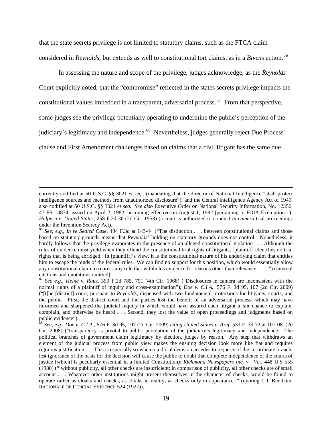that the state secrets privilege is not limited to statutory claims, such as the FTCA claim considered in *Reynolds*, but extends as well to constitutional tort claims, as in a *Bivens* action.<sup>[86](#page-20-0)</sup>

In assessing the nature and scope of the privilege, judges acknowledge, as the *Reynolds*  Court explicitly noted, that the "compromise" reflected in the states secrets privilege impacts the constitutional values imbedded in a transparent, adversarial process.<sup>[87](#page-20-1)</sup> From that perspective, some judges see the privilege potentially operating to undermine the public's perception of the judiciary's legitimacy and independence.<sup>88</sup> Nevertheless, judges generally reject Due Process clause and First Amendment challenges based on claims that a civil litigant has the same due

currently codified at 50 U.S.C. §§ 3021 *et seq.*, (mandating that the director of National Intelligence "shall protect intelligence sources and methods from unauthorized disclosure"); and the Central intelligence Agency Act of 1949, also codified at 50 U.S.C. §§ 3021 *et seq. See also* Executive Order on National Security Information, No. 12356, 47 FR 14874, issued on April 2, 1982, becoming effective on August 1, 1982 (pertaining to FOIA Exemption 1); *Halpern v. United States*, 258 F.2d 36 (2d Cir. 1958) (a court is authorized to conduct *in camera* trial proceedings

<span id="page-20-0"></span>under the Invention Secrecy Act).<br><sup>86</sup> *See, e.g., In re Sealed Case,* 494 F.3d at 143-44 ("The distinction . . . between constitutional claims and those based on statutory grounds means that *Reynolds*' holding on statutory grounds does not control. Nonetheless, it hardly follows that the privilege evaporates in the presence of an alleged constitutional violation . . . Although the rules of evidence must yield when they offend the constitutional trial rights of litigants, [plaintiff] identifies no trial rights that is being abridged. In [plaintiff]'s view, it is the constitutional nature of his underlying claim that entitles him to escape the binds of the federal rules. We can find no support for this position, which would essentially allow any constitutional claim to repress any rule that withholds evidence for reasons other than relevance . . . . ") (internal citations and quotations omitted). <sup>87</sup> *See e.g.*, *Heine v. Raus*, 399 F.2d 785, 791 (4th Cir. 1968) ("Disclosures in camera are inconsistent with the

<span id="page-20-1"></span>normal rights of a plaintiff of inquiry and cross-examination"); *Doe v. C.I.A.*, 576 F. 3d 95, 107 (2d Cir. 2009) ("[t]he [district] court, pursuant to *Reynolds*, dispensed with two fundamental protections for litigants, courts, and the public. First, the district court and the parties lost the benefit of an adversarial process, which may have informed and sharpened the judicial inquiry in which would have assured each litigant a fair chance to explain, complain, and otherwise be heard . . . Second, they lost the value of open proceedings and judgments based on public evidence").

<span id="page-20-2"></span><sup>88</sup> *See, e.g.*, *Doe v. C.I.A.*, 576 F. 3d 95, 107 (2d Cir. 2009) *citing United States v. Aref*, 533 F. 3d 72 at 107-08. (2d Cir. 2008) ("transparency is pivotal to public perception of the judiciary's legitimacy and independence. The political branches of government claim legitimacy by election, judges by reason. Any step that withdraws an element of the judicial process from public view makes the ensuing decision look more like fiat and requires rigorous justification . . . This is especially so when a judicial decision accedes to requests of the co-ordinate branch, lest ignorance of the basis for the decision will cause the public to doubt that complete independence of the courts of justice [which] is peculiarly essential in a limited Constitution); *Richmond Newspapers Inc. v. Va.*, 448 U.S 555 (1980) ("'without publicity, all other checks are insufficient: in comparison of publicity, all other checks are of small account . . . Whatever other institutions might present themselves in the character of checks, would be found to operate rather as cloaks and checks; as cloaks in reality, as checks only in appearance.'" (quoting 1 J. Bentham, RATIONALE OF JUDICIAL EVIDENCE 524 (1927)).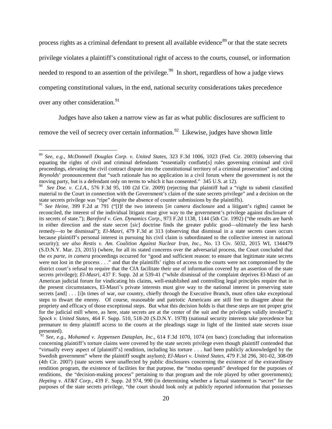process rights as a criminal defendant to present all available evidence<sup>[89](#page-21-0)</sup> or that the state secrets privilege violates a plaintiff's constitutional right of access to the courts, counsel, or information needed to respond to an assertion of the privilege.<sup>[90](#page-21-1)</sup> In short, regardless of how a judge views competing constitutional values, in the end, national security considerations takes precedence over any other consideration.<sup>[91](#page-21-2)</sup>

Judges have also taken a narrow view as far as what public disclosures are sufficient to

remove the veil of secrecy over certain information.<sup>[92](#page-21-3)</sup> Likewise, judges have shown little

<span id="page-21-0"></span><sup>89</sup> *See, e.g.*, *McDonnell Douglas Corp. v. United States*, 323 F.3d 1006, 1023 (Fed. Cir. 2003) (observing that equating the rights of civil and criminal defendants "essentially conflate[s] rules governing criminal and civil proceedings, elevating the civil contract dispute into the constitutional territory of a criminal prosecution" and citing *Reynolds*' pronouncement that "such rationale has no application in a civil forum where the government is not the moving party, but is a defendant only on terms to which it has consented." 345 U.S. at 12).<br><sup>90</sup> See Doe. v. C.I.A., 576 F.3d 95, 100 (2d Cir. 2009) (rejecting that plaintiff had a "right to submit classified

<span id="page-21-1"></span>material to the Court in connection with the Government's claim of the state secrets privilege" and a decision on the state secrets privilege was "ripe" despite the absence of counter submissions by the plaintiffs).

<span id="page-21-2"></span><sup>91</sup> *See Heine*, 399 F.2d at 791 ("[I]f the two interests [*in camera* disclosure and a litigant's rights] cannot be reconciled, the interest of the individual litigant must give way to the government's privilege against disclosure of its secrets of state."); *Bareford v. Gen. Dynamics Corp*., 973 F.2d 1138, 1144 (5th Cir. 1992) ("the results are harsh in either direction and the state secret [*sic*] doctrine finds the greater public good—ultimately the less harsh remedy—to be dismissal"); *El-Masri*, 479 F.3d at 313 (observing that dismissal in a state secrets cases occurs because plaintiff's personal interest in pursuing his civil claim is subordinated to the collective interest in national security); *see also Restis v. Am. Coalition Against Nuclear Iran, Inc.*, No. 13 Civ. 5032, 2015 WL 1344479 (S.D.N.Y. Mar. 23, 2015) (where, for all its stated concerns over the adversarial process, the Court concluded that the *ex parte*, *in camera* proceedings occurred for "good and sufficient reason: to ensure that legitimate state secrets were not lost in the process . . ." and that the plaintiffs' rights of access to the courts were not compromised by the district court's refusal to require that the CIA facilitate their use of information covered by an assertion of the state secrets privilege); *El-Masri*, 437 F. Supp. 2d at 539-41 ("while dismissal of the complaint deprives El-Masri of an American judicial forum for vindicating his claims, well-established and controlling legal principles require that in the present circumstances, El-Masri's private interests must give way to the national interest in preserving state secrets [and] . . . [i]n times of war, our country, chiefly through the Executive Branch, must often take exceptional steps to thwart the enemy. Of course, reasonable and patriotic Americans are still free to disagree about the propriety and efficacy of those exceptional steps. But what this decision holds is that these steps are not proper grist for the judicial mill where, as here, state secrets are at the center of the suit and the privileges validly invoked"); *Spock v. United States*, 464 F. Supp. 510, 518-20 (S.D.N.Y. 1978) (national security interests take precedence but premature to deny plaintiff access to the courts at the pleadings stage in light of the limited state secrets issue presented).

<span id="page-21-3"></span><sup>92</sup> *See, e.g.*, *Mohamed v. Jeppensen Dataplan, Inc*., 614 F.3d 1070, 1074 (en banc) (concluding that information concerning plaintiff's torture claims were covered by the state secrets privilege even though plaintiff contended that "virtually every aspect of [plaintiff's] rendition, including his torture . . . had been publicly acknowledged by the Swedish government" where the plaintiff sought asylum); *El-Masri v. United States*, 479 F.3d 296, 301-02, 308-09 (4th Cir. 2007) (state secrets were unaffected by public disclosures concerning the existence of the extraordinary rendition program, the existence of facilities for that purpose, the "modus operandi" developed for the purposes of renditions, the "decision-making process" pertaining to that program and the role played by other governments); *Hepting v. AT&T Corp.*, 439 F. Supp. 2d 974, 990 (in determining whether a factual statement is "secret" for the purposes of the state secrets privilege, "the court should look only at publicly reported information that possesses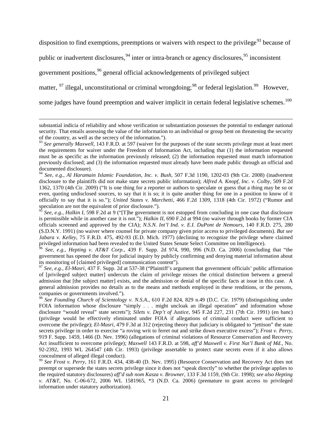disposition to find exemptions, preemptions or waivers with respect to the privilege<sup>[93](#page-22-0)</sup> because of

public or inadvertent disclosures,<sup>[94](#page-22-1)</sup> inter or intra-branch or agency disclosures,<sup>[95](#page-22-2)</sup> inconsistent

government positions,<sup>[96](#page-22-3)</sup> general official acknowledgements of privileged subject

 $\overline{a}$ 

matter, <sup>[97](#page-22-4)</sup> illegal, unconstitutional or criminal wrongdoing;<sup>[98](#page-22-5)</sup> or federal legislation.<sup>[99](#page-22-6)</sup> However,

some judges have found preemption and waiver implicit in certain federal legislative schemes.<sup>[100](#page-22-7)</sup>

<span id="page-22-3"></span>government has opened the door for judicial inquiry by publicly confirming and denying material information about its monitoring of [claimed privileged] communication content"). <sup>97</sup> *See, e.g.*, *El-Masri*, 437 F. Supp. 2d at 537-38 ("Plaintiff's argument that government officials' public affirmation

<span id="page-22-7"></span><span id="page-22-4"></span>of [privileged subject matter] undercuts the claim of privilege misses the critical distinction between a general admission that [the subject matter] exists, and the admission or denial of the specific facts at issue in this case. A general admission provides no details as to the means and methods employed in these renditions, or the persons, companies or governments involved.").

<span id="page-22-5"></span><sup>98</sup> *See Founding Church of Scientology v. N.S.A.*, 610 F.2d 824, 829 n.49 (D.C. Cir. 1979) (distinguishing under FOIA information whose disclosure "simply . . . might uncloak an illegal operation" and information whose disclosure "would reveal" state secrets"); *Silets v. Dep't of Justice*, 945 F.2d 227, 231 (7th Cir. 1991) (en banc) (privilege would be effectively eliminated under FOIA if allegations of criminal conduct were sufficient to overcome the privilege); *El-Masri*, 479 F.3d at 312 (rejecting theory that judiciary is obligated to "jettison" the state secrets privilege in order to exercise "a roving writ to ferret out and strike down executive excess"); *Frost v. Perry*, 919 F. Supp. 1459, 1466 (D. Nev. 1996) (allegations of criminal violations of Resource Conservation and Recovery Act insufficient to overcome privilege); *Maxwell* 143 F.R.D. at 598, *aff'd Maxwell v. First Nat'l Bank of Md.*, No. 92-2392, 1993 WL 264547 (4th Cir. 1993) (privilege assertable to protect state secrets even if it also allows concealment of alleged illegal conduct). <sup>99</sup> *See Frost v. Perry*, 161 F.R.D. 434, 438-40 (D. Nev. 1995) (Resource Conservation and Recovery Act does not

<span id="page-22-6"></span>preempt or supersede the states secrets privilege since it does not "speak directly" to whether the privilege applies to the required statutory disclosures) *aff'd sub nom Kasza v. Browner,* 133 F.3d 1159, (9th Cir. 1998); *see also Hepting v. AT&T*, No. C-06-672, 2006 WL 1581965, \*3 (N.D. Ca. 2006) (premature to grant access to privileged information under statutory authorization).

substantial indicia of reliability and whose verification or substantiation possesses the potential to endanger national security. That entails assessing the value of the information to an individual or group bent on threatening the security of the country, as well as the secrecy of the information.").

<span id="page-22-0"></span><sup>&</sup>lt;sup>93</sup> See generally Maxwell, 143 F.R.D. at 597 (waiver for the purposes of the state secrets privilege must at least meet the requirements for waiver under the Freedom of Information Act, including that (1) the information requested must be as specific as the information previously released; (2) the information requested must match information previously disclosed; and (3) the information requested must already have been made public through an official and documented disclosure).

<span id="page-22-1"></span><sup>94</sup> *See, e.g.*, *Al Haramain Islamic Foundation, Inc. v. Bush*, 507 F.3d 1190, 1202-03 (9th Cir. 2008) (inadvertent disclosure to the plaintiffs did not make state secrets public information); *Alfred A. Knopf, Inc. v. Colby*, 509 F.2d 1362, 1370 (4th Cir. 2009) ("It is one thing for a reporter or authors to speculate or guess that a thing may be so or even, quoting undisclosed sources, to say that it is so; it is quite another thing for one in a position to know of it officially to say that it is so."); *United States v. Marchetti*, 466 F.2d 1309, 1318 (4th Cir. 1972) ("Rumor and speculation are not the equivalent of prior disclosure.").

<span id="page-22-2"></span><sup>95</sup> *See, e.g.*, *Halkin I*, 598 F.2d at 9 ("[T]he government is not estopped from concluding in one case that disclosure is permissible while in another case it is not."); *Halkin II*, 690 F.2d at 994 (no waiver through books by former CIA officials screened and approved by the CIA); *N.S.N. Int'l Ind. v. E.I. DuPont de Nemours*, 140 F.R.D. 275, 280 (S.D.N.Y. 1991) (no waiver where counsel for private company given prior access to privileged documents). *But see Jabara v. Kelley*, 75 F.R.D. 475, 492-93 (E.D. Mich. 1977) (declining to recognize the privilege where claimed privileged information had been revealed to the United States Senate Select Committee on Intelligence).<br><sup>96</sup> See, e.g., Hepting v. AT&T Corp., 439 F. Supp. 2d 974, 990, 996 (N.D. Ca. 2006) (concluding that "the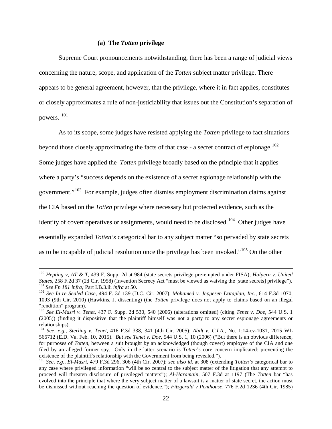#### **(a) The** *Totten* **privilege**

Supreme Court pronouncements notwithstanding, there has been a range of judicial views concerning the nature, scope, and application of the *Totten* subject matter privilege. There appears to be general agreement, however, that the privilege, where it in fact applies, constitutes or closely approximates a rule of non-justiciability that issues out the Constitution's separation of powers. [101](#page-23-0)

As to its scope, some judges have resisted applying the *Totten* privilege to fact situations beyond those closely approximating the facts of that case - a secret contract of espionage.<sup>[102](#page-23-1)</sup> Some judges have applied the *Totten* privilege broadly based on the principle that it applies where a party's "success depends on the existence of a secret espionage relationship with the government."[103](#page-23-2) For example, judges often dismiss employment discrimination claims against the CIA based on the *Totten* privilege where necessary but protected evidence, such as the identity of covert operatives or assignments, would need to be disclosed.<sup>[104](#page-23-3)</sup> Other judges have essentially expanded *Totten's* categorical bar to any subject matter "so pervaded by state secrets as to be incapable of judicial resolution once the privilege has been invoked."<sup>[105](#page-23-4)</sup> On the other

<sup>&</sup>lt;sup>100</sup> *Hepting v, AT & T, 439 F. Supp. 2d at 984 (state secrets privilege pre-empted under FISA); <i>Halpern v. United States, 258 F.2d 37 (2d Cir. 1958) (Invention Secrecy Act "must be viewed as waiving the [state secrets]* <sup>101</sup> See Fn 181 infra; Part I.B.3.iii infra at 50.<br><sup>102</sup> See In re Sealed Case, 494 F. 3d 139 (D.C. Cir. 2007); Mohamed v. Jeppesen Dataplan, Inc., 614 F.3d 1070,

<span id="page-23-1"></span><span id="page-23-0"></span><sup>1093 (9</sup>th Cir. 2010) (Hawkins, J. dissenting) (the *Totten* privilege does not apply to claims based on an illegal "rendition" program).

<span id="page-23-2"></span><sup>103</sup> *See El-Masri v. Tenet*, 437 F. Supp. 2d 530, 540 (2006) (alterations omitted) (citing *Tenet v. Doe*, 544 U.S. 1 (2005)) (finding it dispositive that the plaintiff himself was not a party to any secret espionage agreements or

<span id="page-23-3"></span><sup>&</sup>lt;sup>104</sup> *See, e.g., Sterling v. Tenet,* 416 F.3d 338, 341 (4th Cir. 2005); *Abilt v. C.I.A., No.* 1:14-cv-1031, 2015 WL 566712 (E.D. Va. Feb. 10, 2015). *But see Tenet v. Doe*, 544 U.S. 1, 10 (2006) ("But there is an obvious difference, for purposes of *Totten,* between a suit brought by an acknowledged (though covert) employee of the CIA and one filed by an alleged former spy. Only in the latter scenario is *Totten*'s core concern implicated: preventing the existence of the plaintiff's relationship with the Government from being revealed.").

<span id="page-23-4"></span><sup>&</sup>lt;sup>105</sup> See. e.g., El-Masri, 479 F.3d 296, 306 (4th Cir. 2007); see also id. at 308 (extending Totten's categorical bar to any case where privileged information "will be so central to the subject matter of the litigation that any attempt to proceed will threaten disclosure of privileged matters"); *Al-Haramain*, 507 F.3d at 1197 (The *Totten* bar "has evolved into the principle that where the very subject matter of a lawsuit is a matter of state secret, the action must be dismissed without reaching the question of evidence."); *Fitzgerald v Penthouse,* 776 F.2d 1236 (4th Cir. 1985)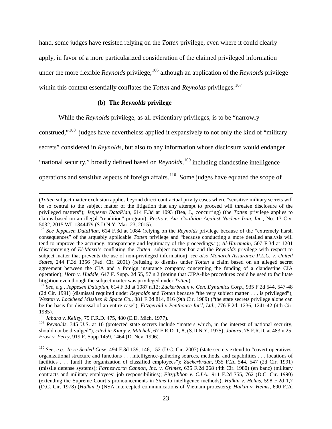hand, some judges have resisted relying on the *Totten* privilege, even where it could clearly apply, in favor of a more particularized consideration of the claimed privileged information under the more flexible *Reynolds* privilege, [106](#page-24-0) although an application of the *Reynolds* privilege

within this context essentially conflates the *Totten* and *Reynolds* privileges.<sup>[107](#page-24-1)</sup>

## **(b) The** *Reynolds* **privilege**

While the *Reynolds* privilege, as all evidentiary privileges, is to be "narrowly

construed,"[108](#page-24-2) judges have nevertheless applied it expansively to not only the kind of "military

secrets" considered in *Reynolds*, but also to any information whose disclosure would endanger

"national security," broadly defined based on *Reynolds*, [109](#page-24-3) including clandestine intelligence

operations and sensitive aspects of foreign affairs.<sup>[110](#page-24-4)</sup> Some judges have equated the scope of

1985). <sup>108</sup> *Jabara v. Kelley*, 75 F.R.D. 475, 480 (E.D. Mich. 1977).

 $\overline{a}$ 

<span id="page-24-3"></span><span id="page-24-2"></span><sup>109</sup> *Reynolds*, 345 U.S. at 10 (protected state secrets include "matters which, in the interest of national security, should not be divulged"), *cited in Kinoy v. Mitchell,* 67 F.R.D. 1, 8, (S.D.N.Y. 1975); *Jabara*, 75 F.R.D. at 483 n.25; *Frost v. Perry*, 919 F. Supp 1459, 1464 (D. Nev. 1996).

<sup>(</sup>*Totten* subject matter exclusion applies beyond direct contractual privity cases where "sensitive military secrets will be so central to the subject matter of the litigation that any attempt to proceed will threaten disclosure of the privileged matters"); *Jeppesen DataPlan*, 614 F.3d at 1093 (Bea, J., concurring) (the *Totten* privilege applies to claims based on an illegal "rendition" program); *Restis v. Am. Coalition Against Nuclear Iran, Inc.*, No. 13 Civ. 5032, 2015 WL 1344479 (S.D.N.Y. Mar. 23, 2015).

<span id="page-24-0"></span><sup>&</sup>lt;sup>106</sup> See Jeppesen DataPlan, 614 F.3d at 1084 (relying on the Reynolds privilege because of the "extremely harsh consequences" of the arguably applicable *Totten* privilege and "because conducting a more detailed analysis will tend to improve the accuracy, transparency and legitimacy of the proceedings."); *Al-Haramain*, 507 F.3d at 1201 (disapproving of *El-Masri*'s conflating the *Totten* subject matter bar and the *Reynolds* privilege with respect to subject matter that prevents the use of non-privileged information); *see also Monarch Assurance P.L.C. v. United States*, 244 F.3d 1356 (Fed. Cir. 2001) (refusing to dismiss under *Totten* a claim based on an alleged secret agreement between the CIA and a foreign insurance company concerning the funding of a clandestine CIA operation); *Horn v. Huddle*, 647 F. Supp. 2d 55, 57 n.2 (noting that CIPA-like procedures could be used to facilitate litigation even though the subject matter was privileged under *Totten*).

<span id="page-24-1"></span>litigation even though the subject matter was privileged under *Totten*). <sup>107</sup> *See*, *e.g.*, *Jeppesen Dataplan*, 614 F.3d at 1087 n.12; *Zuckerbraun v. Gen. Dynamics Corp.*, 935 F.2d 544, 547-48 (2d Cir. 1991) (dismissal required under *Reynolds* and *Totten* because "the very subject matter . . . is privileged"); *Weston v. Lockheed Missiles & Space Co.*, 881 F.2d 814, 816 (9th Cir. 1989) ("the state secrets privilege alone can be the basis for dismissal of an entire case"); *Fitzgerald v Penthouse Int'l, Ltd.*, 776 F.2d. 1236, 1241-42 (4th Cir.

<span id="page-24-4"></span><sup>110</sup> *See, e.g.*, *In re Sealed Case*, 494 F.3d 139, 146, 152 (D.C. Cir. 2007) (state secrets extend to "covert operatives, organizational structure and functions . . . intelligence-gathering sources, methods, and capabilities . . . locations of facilities . . . [and] the organization of classified employees"); *Zuckerbraun*, 935 F.2d 544, 547 (2d Cir. 1991) (missile defense systems); *Farnesworth Cannon, Inc. v. Grimes*, 635 F.2d 268 (4th Cir. 1980) (en banc) (military contracts and military employees' job responsibilities); *Fitzgibbon v. C.I.A.*, 911 F.2d 755, 762 (D.C. Cir. 1990) (extending the Supreme Court's pronouncements in *Sims* to intelligence methods); *Halkin v. Helms*, 598 F.2d 1,7 (D.C. Cir. 1978) (*Halkin I*) (NSA intercepted communications of Vietnam protesters); *Halkin v. Helms*, 690 F.2d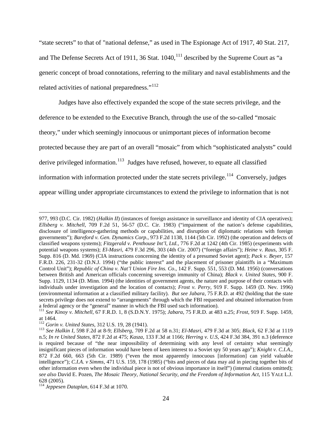"state secrets" to that of "national defense," as used in The Espionage Act of 1917, 40 Stat. 217, and The Defense Secrets Act of 1911, 36 Stat.  $1040$ ,  $^{111}$  $^{111}$  $^{111}$  described by the Supreme Court as "a generic concept of broad connotations, referring to the military and naval establishments and the related activities of national preparedness."<sup>[112](#page-25-1)</sup>

Judges have also effectively expanded the scope of the state secrets privilege, and the deference to be extended to the Executive Branch, through the use of the so-called "mosaic theory," under which seemingly innocuous or unimportant pieces of information become protected because they are part of an overall "mosaic" from which "sophisticated analysts" could derive privileged information.<sup>[113](#page-25-2)</sup> Judges have refused, however, to equate all classified information with information protected under the state secrets privilege.<sup>[114](#page-25-3)</sup> Conversely, judges appear willing under appropriate circumstances to extend the privilege to information that is not

<sup>977, 993</sup> (D.C. Cir. 1982) (*Halkin II*) (instances of foreign assistance in surveillance and identity of CIA operatives); *Ellsberg v. Mitchell*, 709 F.2d 51, 56-57 (D.C. Cir. 1983) ("impairment of the nation's defense capabilities, disclosure of intelligence-gathering methods or capabilities, and disruption of diplomatic relations with foreign governments"); *Bareford v. Gen. Dynamics Corp.*, 973 F.2d 1138, 1144 (5th Cir. 1992) (the operation and defects of classified weapons systems); *Fitzgerald v. Penthouse Int'l, Ltd.*, 776 F.2d at 1242 (4th Cir. 1985) (experiments with potential weapons systems); *El-Masri*, 479 F.3d 296, 303 (4th Cir. 2007) ("foreign affairs"); *Heine v. Raus*, 305 F. Supp. 816 (D. Md. 1969) (CIA instructions concerning the identity of a presumed Soviet agent); *Pack v. Beyer*, 157 F.R.D. 226, 231-32 (D.N.J. 1994) ("the public interest" and the placement of prisoner plaintiffs in a "Maximum Control Unit"); *Republic of China v. Nat'l Union Fire Ins. Co*., 142 F. Supp. 551, 553 (D. Md. 1956) (conversations between British and American officials concerning sovereign immunity of China); *Black v. United States*, 900 F. Supp. 1129, 1134 (D. Minn. 1994) (the identities of government agents, the nature and purpose of their contacts with individuals under investigation and the location of contacts); *Frost v. Perry*, 919 F. Supp. 1459 (D. Nev. 1996) (environmental information at a classified military facility). *But see Jabara*, 75 F.R.D. at 492 (holding that the state secrets privilege does not extend to "arrangements" through which the FBI requested and obtained information from a federal agency or the "general" manner in which the FBI used such information).

<span id="page-25-0"></span><sup>111</sup> *See Kinoy v. Mitchell*, 67 F.R.D. 1, 8 (S.D.N.Y. 1975); *Jabara*, 75 F.R.D. at 483 n.25; *Frost*, 919 F. Supp. 1459, at 1464.<br><sup>112</sup> Gorin v. United States, 312 U.S. 19, 28 (1941).

<span id="page-25-2"></span><span id="page-25-1"></span><sup>112</sup> *Gorin v. United States*, 312 U.S. 19, 28 (1941). <sup>113</sup> *See Halkin I*, 598 F.2d at 8-9; *Ellsberg,* 709 F.2d at 58 n.31; *El-Masri*, 479 F.3d at 305; *Black*, 62 F.3d at 1119 n.5; *In re United States*, 872 F.2d at 475; *Kasza*, 133 F.3d at 1166; *Herring v. U.S*, 424 F.3d 384, 391 n.3 (deference is required because of "the near impossibility of determining with any level of certainty what seemingly insignificant pieces of information would have been of keen interest to a Soviet spy 50 years ago"); *Knight v. C.I.A*., 872 F.2d 660, 663 (5th Cir. 1989) ("even the most apparently innocuous [information] can yield valuable intelligence"); *C.I.A. v Simms*, 471 U.S. 159, 178 (1985) ("bits and pieces of data may aid in piecing together bits of other information even when the individual piece is not of obvious importance in itself") (internal citations omitted); *see also* David E. Pozen, *The Mosaic Theory, National Security, and the Freedom of Information Act*, 115 YALE L.J. 628 (2005).

<span id="page-25-3"></span><sup>114</sup> *Jeppesen Dataplan*, 614 F.3d at 1070.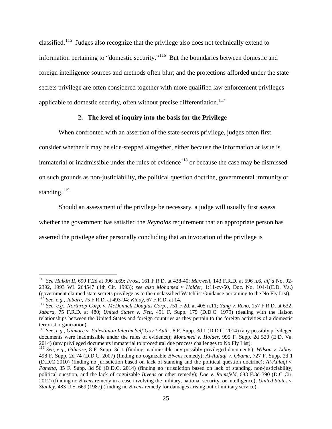classified.[115](#page-26-0) Judges also recognize that the privilege also does not technically extend to information pertaining to "domestic security."[116](#page-26-1) But the boundaries between domestic and foreign intelligence sources and methods often blur; and the protections afforded under the state secrets privilege are often considered together with more qualified law enforcement privileges applicable to domestic security, often without precise differentiation.<sup>[117](#page-26-2)</sup>

### **2. The level of inquiry into the basis for the Privilege**

When confronted with an assertion of the state secrets privilege, judges often first consider whether it may be side-stepped altogether, either because the information at issue is immaterial or inadmissible under the rules of evidence<sup>[118](#page-26-3)</sup> or because the case may be dismissed on such grounds as non-justiciability, the political question doctrine, governmental immunity or standing. $^{119}$  $^{119}$  $^{119}$ 

Should an assessment of the privilege be necessary, a judge will usually first assess whether the government has satisfied the *Reynolds* requirement that an appropriate person has asserted the privilege after personally concluding that an invocation of the privilege is

<span id="page-26-0"></span><sup>115</sup> *See Halkin II*, 690 F.2d at 996 n.69; *Frost*, 161 F.R.D. at 438-40; *Maxwell*, 143 F.R.D. at 596 n.6, *aff'd* No. 92- 2392, 1993 WL 264547 (4th Cir. 1993); *see also Mohamed v Holder*, 1:11-cv-50, Doc. No. 104-1(E.D. Va.) (government claimed state secrets privilege as to the unclassified Watchlist Guidance pertaining to the No Fly List).<br><sup>116</sup> See, e.g., Jabara, 75 F.R.D. at 493-94; *Kinoy*, 67 F.R.D. at 14.<br><sup>117</sup> See, e.g., *Northrop Corp.* 

<span id="page-26-2"></span><span id="page-26-1"></span>*Jabara*, 75 F.R.D. at 480; *United States v. Felt*, 491 F. Supp. 179 (D.D.C. 1979) (dealing with the liaison relationships between the United States and foreign countries as they pertain to the foreign activities of a domestic terrorist organization).

<span id="page-26-3"></span><sup>118</sup> *See, e.g.*, *Gilmore v. Palestinian Interim Self-Gov't Auth.*, 8 F. Supp. 3d 1 (D.D.C. 2014) (any possibly privileged documents were inadmissible under the rules of evidence); *Mohamed v. Holder*, 995 F. Supp. 2d 520 (E.D. Va. 2014) (any privileged documents immaterial to procedural due process challenges to No Fly List).

<span id="page-26-4"></span><sup>&</sup>lt;sup>119</sup> See, e.g., Gilmore, 8 F. Supp. 3d 1 (finding inadmissible any possibly privileged documents); Wilson v. Libby, 498 F. Supp. 2d 74 (D.D.C. 2007) (finding no cognizable *Bivens* remedy); *Al-Aulaqi v. Obama*, 727 F. Supp. 2d 1 (D.D.C 2010) (finding no jurisdiction based on lack of standing and the political question doctrine); *Al-Aulaqi v. Panetta*, 35 F. Supp. 3d 56 (D.D.C. 2014) (finding no jurisdiction based on lack of standing, non-justiciability, political question, and the lack of cognizable *Bivens* or other remedy); *Doe v. Rumsfeld*, 683 F.3d 390 (D.C Cir. 2012) (finding no *Bivens* remedy in a case involving the military, national security, or intelligence); *United States v. Stanley*, 483 U.S. 669 (1987) (finding no *Bivens* remedy for damages arising out of military service).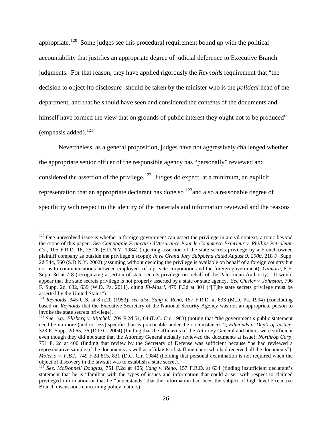appropriate.<sup>[120](#page-27-0)</sup> Some judges see this procedural requirement bound up with the political accountability that justifies an appropriate degree of judicial deference to Executive Branch judgments. For that reason, they have applied rigorously the *Reynolds* requirement that "the decision to object [to disclosure] should be taken by the minister who is the *political* head of the department, and that he should have seen and considered the contents of the documents and himself have formed the view that on grounds of public interest they ought not to be produced" (emphasis added). $^{121}$  $^{121}$  $^{121}$ 

Nevertheless, as a general proposition, judges have not aggressively challenged whether the appropriate senior officer of the responsible agency has "personally" reviewed and considered the assertion of the privilege.<sup>[122](#page-27-2)</sup> Judges do expect, at a minimum, an explicit representation that an appropriate declarant has done so  $123$  and also a reasonable degree of specificity with respect to the identity of the materials and information reviewed and the reasons

<span id="page-27-0"></span> $120$  One unresolved issue is whether a foreign government can assert the privilege in a civil context, a topic beyond the scope of this paper*. See Compagnie Française d'Assurance Pour le Commerce Exterieur v. Phillips Petroleum Co.*, 105 F.R.D. 16, 25-26 (S.D.N.Y. 1984) (rejecting assertion of the state secrets privilege by a French-owned plaintiff company as outside the privilege's scope); *In re Grand Jury Subpoena dated August 9, 2000*, 218 F. Supp. 2d 544, 560 (S.D.N.Y. 2002) (assuming without deciding the privilege is available on behalf of a foreign country but not as to communications between employees of a private corporation and the foreign government); *Gilmore*, 8 F. Supp. 3d at 7-8 (recognizing assertion of state secrets privilege on behalf of the Palestinian Authority). It would appear that the state secrets privilege is not properly asserted by a state or state agency. *See Chisler v. Johnston*, 796 F. Supp. 2d. 632, 639 (W.D. Pa. 2011), citing *El-Masri*, 479 F.3d at 304 ("[T]he state secrets privilege must be

<span id="page-27-1"></span>asserted by the United States"). <sup>121</sup> *Reynolds*, 345 U.S. at 8 n.20 (1953); *see also Yang v. Reno,* 157 F.R.D. at 633 (M.D. Pa. 1994) (concluding based on *Reynolds* that the Executive Secretary of the National Security Agency was not an appropriate person to invoke the state secrets privilege).

<span id="page-27-2"></span><sup>&</sup>lt;sup>122</sup> *See, e.g., Ellsberg v. Mitchell*, 709 F.2d 51, 64 (D.C. Cir. 1983) (noting that "the government's public statement need be no more (and no less) specific than is practicable under the circumstances"); *Edmonds v. Dep't of Justice*, 323 F. Supp. 2d 65, 76 (D.D.C. 2004) (finding that the affidavits of the Attorney General and others were sufficient even though they did not state that the Attorney General actually reviewed the documents at issue); *Northrop Corp*, 751 F. 2d at 400 (finding that review by the Secretary of Defense was sufficient because "he had reviewed a representative sample of the documents as well as affidavits of staff members who had received all the documents"); *Molerio v. F.B.I.*, 749 F.2d 815, 821 (D.C. Cir. 1984) (holding that personal examination is not required when the object of discovery in the lawsuit was to establish a state secret).

<span id="page-27-3"></span><sup>&</sup>lt;sup>123</sup> See. McDonnell Douglas, 751 F.2d at 405; *Yang v. Reno*, 157 F.R.D. at 634 (finding insufficient declarant's statement that he is "familiar with the types of issues and information that could arise" with respect to claimed privileged information or that he "understands" that the information had been the subject of high level Executive Branch discussions concerning policy matters).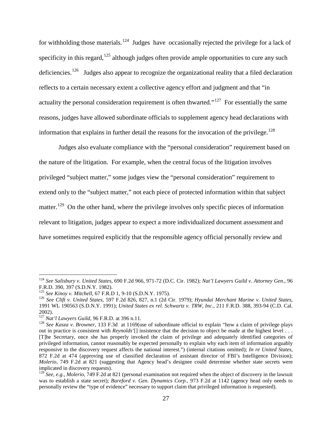for withholding those materials.<sup>[124](#page-28-0)</sup> Judges have occasionally rejected the privilege for a lack of specificity in this regard,  $125$  although judges often provide ample opportunities to cure any such deficiencies.<sup>[126](#page-28-2)</sup> Judges also appear to recognize the organizational reality that a filed declaration reflects to a certain necessary extent a collective agency effort and judgment and that "in actuality the personal consideration requirement is often thwarted."<sup>[127](#page-28-3)</sup> For essentially the same reasons, judges have allowed subordinate officials to supplement agency head declarations with information that explains in further detail the reasons for the invocation of the privilege.<sup>[128](#page-28-4)</sup>

Judges also evaluate compliance with the "personal consideration" requirement based on the nature of the litigation. For example, when the central focus of the litigation involves privileged "subject matter," some judges view the "personal consideration" requirement to extend only to the "subject matter," not each piece of protected information within that subject matter.<sup>[129](#page-28-5)</sup> On the other hand, where the privilege involves only specific pieces of information relevant to litigation, judges appear to expect a more individualized document assessment and have sometimes required explicitly that the responsible agency official personally review and

<span id="page-28-0"></span><sup>124</sup> *See Salisbury v. United States*, 690 F.2d 966, 971-72 (D.C. Cir. 1982); *Nat'l Lawyers Guild v. Attorney Gen.*, 96 F.R.D. 390, 397 (S.D.N.Y. 1982).<br><sup>125</sup> See Kinoy v. Mitchell, 67 F.R.D 1, 9-10 (S.D.N.Y. 1975).<br><sup>126</sup> See Clift v. United States, 597 F.2d 826, 827, n.1 (2d Cir. 1979); Hyundai Merchant Marine v. United States,

<span id="page-28-1"></span>

<span id="page-28-2"></span><sup>1991</sup> WL 190563 (S.D.N.Y. 1991); *United States ex rel. Schwartz v. TRW, Inc*., 211 F.R.D. 388, 393-94 (C.D. Cal. 2002).<br><sup>127</sup> Nat'l Lawyers Guild, 96 F.R.D. at 396 n.11.

<span id="page-28-3"></span>

<span id="page-28-4"></span><sup>&</sup>lt;sup>128</sup> See Kasza v. Browner, 133 F.3d at 1169(use of subordinate official to explain "how a claim of privilege plays out in practice is consistent with *Reynolds*'[] insistence that the decision to object be made at the highest level . . . [T]he Secretary, once she has properly invoked the claim of privilege and adequately identified categories of privileged information, cannot reasonably be expected personally to explain why each item of information arguably responsive to the discovery request affects the national interest.") (internal citations omitted); *In re United States*, 872 F.2d at 474 (approving use of classified declaration of assistant director of FBI's Intelligence Division); *Molerio*, 749 F.2d at 821 (suggesting that Agency head's designee could determine whether state secrets were implicated in discovery requests).

<span id="page-28-5"></span><sup>129</sup> *See, e.g.*, *Molerio*, 749 F.2d at 821 (personal examination not required when the object of discovery in the lawsuit was to establish a state secret); *Bareford v. Gen. Dynamics Corp.*, 973 F.2d at 1142 (agency head only needs to personally review the "type of evidence" necessary to support claim that privileged information is requested).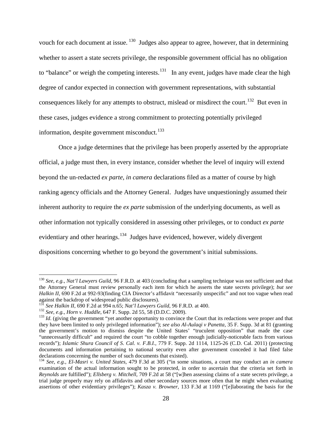vouch for each document at issue.  $130$  Judges also appear to agree, however, that in determining whether to assert a state secrets privilege, the responsible government official has no obligation to "balance" or weigh the competing interests.<sup>[131](#page-29-1)</sup> In any event, judges have made clear the high degree of candor expected in connection with government representations, with substantial consequences likely for any attempts to obstruct, mislead or misdirect the court.<sup>[132](#page-29-2)</sup> But even in these cases, judges evidence a strong commitment to protecting potentially privileged information, despite government misconduct.<sup>[133](#page-29-3)</sup>

Once a judge determines that the privilege has been properly asserted by the appropriate official, a judge must then, in every instance, consider whether the level of inquiry will extend beyond the un-redacted *ex parte*, *in camera* declarations filed as a matter of course by high ranking agency officials and the Attorney General. Judges have unquestioningly assumed their inherent authority to require the *ex parte* submission of the underlying documents, as well as other information not typically considered in assessing other privileges, or to conduct *ex parte* evidentiary and other hearings.<sup>[134](#page-29-4)</sup> Judges have evidenced, however, widely divergent dispositions concerning whether to go beyond the government's initial submissions.

<span id="page-29-0"></span><sup>130</sup> *See, e.g.*, *Nat'l Lawyers Guild*, 96 F.R.D. at 403 (concluding that a sampling technique was not sufficient and that the Attorney General must review personally each item for which he asserts the state secrets privilege); *but see Halkin II,* 690 F.2d at 992-93(finding CIA Director's affidavit "necessarily unspecific" and not too vague when read against the backdrop of widespread public disclosures).<br> $^{131}$  See Halkin II, 690 F.2d at 994 n.65; Nat'l Lawyers Guild, 96 F.R.D. at 400.

<span id="page-29-3"></span><span id="page-29-2"></span><span id="page-29-1"></span><sup>&</sup>lt;sup>132</sup> See, e.g., *Horn v. Huddle*, 647 F. Supp. 2d 55, 58 (D.D.C. 2009).<br><sup>133</sup> Id. (giving the government "yet another opportunity to convince the Court that its redactions were proper and that they have been limited to only privileged information"); *see also Al-Aulaqi v Panetta*, 35 F. Supp. 3d at 81 (granting the government's motion to dismiss despite the United States' "truculent opposition" that made the case "unnecessarily difficult" and required the court "to cobble together enough judicially-noticeable facts from various records"); *Islamic Shura Council of S. Cal. v. F.B.I.*, 779 F. Supp. 2d 1114, 1125-26 (C.D. Cal. 2011) (protecting documents and information pertaining to national security even after government conceded it had filed false declarations concerning the number of such documents that existed).

<span id="page-29-4"></span><sup>134</sup> *See, e.g.*, *El-Masri v. United States*, 479 F.3d at 305 ("in some situations, a court may conduct an *in camera*  examination of the actual information sought to be protected, in order to ascertain that the criteria set forth in *Reynolds* are fulfilled"); *Ellsberg v. Mitchell*, 709 F.2d at 58 ("[w]hen assessing claims of a state secrets privilege, a trial judge properly may rely on affidavits and other secondary sources more often that he might when evaluating assertions of other evidentiary privileges"); *Kasza v. Browner*, 133 F.3d at 1169 ("[e]laborating the basis for the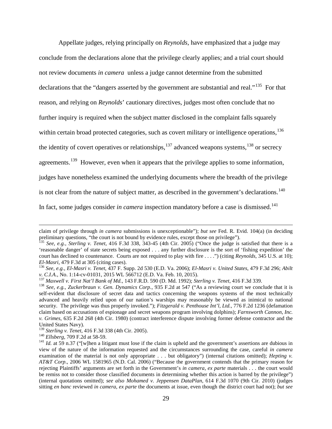Appellate judges, relying principally on *Reynolds*, have emphasized that a judge may conclude from the declarations alone that the privilege clearly applies; and a trial court should not review documents *in camera* unless a judge cannot determine from the submitted declarations that the "dangers asserted by the government are substantial and real."<sup>[135](#page-30-0)</sup> For that reason, and relying on *Reynolds*' cautionary directives, judges most often conclude that no further inquiry is required when the subject matter disclosed in the complaint falls squarely within certain broad protected categories, such as covert military or intelligence operations, <sup>[136](#page-30-1)</sup> the identity of covert operatives or relationships,  $^{137}$  $^{137}$  $^{137}$  advanced weapons systems,  $^{138}$  $^{138}$  $^{138}$  or secrecy agreements.<sup>[139](#page-30-4)</sup> However, even when it appears that the privilege applies to some information, judges have nonetheless examined the underlying documents where the breadth of the privilege is not clear from the nature of subject matter, as described in the government's declarations.<sup>140</sup> In fact, some judges consider *in camera* inspection mandatory before a case is dismissed.<sup>[141](#page-30-6)</sup>

claim of privilege through *in camera* submissions is unexceptionable"); *but see* Fed. R. Evid. 104(a) (in deciding preliminary questions, "the court is not bound by evidence rules, except those on privilege").

<span id="page-30-0"></span><sup>135</sup> *See, e.g.*, *Sterling v. Tenet*, 416 F.3d 338, 343-45 (4th Cir. 2005) ("Once the judge is satisfied that there is a 'reasonable danger' of state secrets being exposed . . . any further disclosure is the sort of 'fishing expedition' the court has declined to countenance. Courts are not required to play with fire . . . .") (citing *Reynolds*, 345 U.S. at 10);

<span id="page-30-1"></span>*El-Masri*, 479 F.3d at 305 (citing cases). <sup>136</sup> *See, e.g.*, *El-Masri v. Tenet*, 437 F. Supp. 2d 530 (E.D. Va. 2006); *El-Masri v. United States*, 479 F.3d 296; *Abilt* 

<span id="page-30-3"></span><span id="page-30-2"></span><sup>&</sup>lt;sup>137</sup> Maxwell v. First Nat'l Bank of Md., 143 F.R.D. 590 (D. Md. 1992); Sterling v. Tenet, 416 F.3d 339.<br><sup>138</sup> See, e.g., Zuckerbraun v. Gen. Dynamics Corp., 935 F.2d at 547 ("As a reviewing court we conclude that it is self-evident that disclosure of secret data and tactics concerning the weapons systems of the most technically advanced and heavily relied upon of our nation's warships may reasonably be viewed as inimical to national security. The privilege was thus properly invoked."); *Fitzgerald v. Penthouse Int'l, Ltd.*, 776 F.2d 1236 (defamation claim based on accusations of espionage and secret weapons program involving dolphins); *Farnsworth Cannon, Inc. v. Grimes*, 635 F.2d 268 (4th Cir. 1980) (contract interference dispute involving former defense contractor and the United States Navy).<br><sup>139</sup> Sterling v. Tenet, 416 F.3d 338 (4th Cir. 2005).

<span id="page-30-4"></span>

<span id="page-30-6"></span><span id="page-30-5"></span><sup>&</sup>lt;sup>140</sup> Ellsberg, 709 F.2d at 58-59.<br><sup>141</sup> Id. at 59 n.37 ("Iwlhen a litigant must lose if the claim is upheld and the government's assertions are dubious in view of the nature of the information requested and the circumstances surrounding the case, careful *in camera* examination of the material is not only appropriate . . . but obligatory") (internal citations omitted); *Hepting v. AT&T Corp*., 2006 WL 1581965 (N.D. Cal. 2006) ("Because the government contends that the primary reason for rejecting Plaintiffs' arguments are set forth in the Government's *in camera*, *ex parte* materials . . . the court would be remiss not to consider those classified documents in determining whether this action is barred by the privilege") (internal quotations omitted); *see also Mohamed v. Jeppensen DataPlan*, 614 F.3d 1070 (9th Cir. 2010) (judges sitting *en banc* reviewed *in camera*, *ex parte* the documents at issue, even though the district court had not); *but see*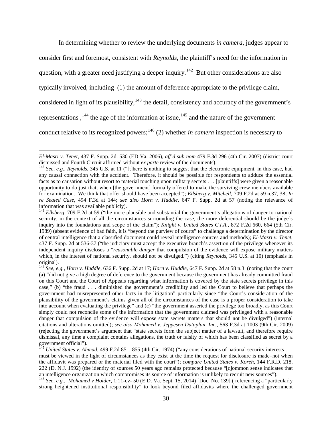In determining whether to review the underlying documents *in camera*, judges appear to consider first and foremost, consistent with *Reynolds*, the plaintiff's need for the information in question, with a greater need justifying a deeper inquiry.<sup>[142](#page-31-0)</sup> But other considerations are also typically involved, including (1) the amount of deference appropriate to the privilege claim, considered in light of its plausibility, $143$  the detail, consistency and accuracy of the government's representations,  $144$  the age of the information at issue,  $145$  and the nature of the government conduct relative to its recognized powers;<sup>[146](#page-31-4)</sup> (2) whether *in camera* inspection is necessary to

*El-Masri v. Tenet*, 437 F. Supp. 2d. 530 (ED Va. 2006), *aff'd sub nom* 479 F.3d 296 (4th Cir. 2007) (district court

<span id="page-31-0"></span><sup>&</sup>lt;sup>142</sup> See, e.g., *Reynolds*, 345 U.S. at 11 ("[t]here is nothing to suggest that the electronic equipment, in this case, had any causal connection with the accident. Therefore, it should be possible for respondents to adduce the essential facts as to causation without resort to material touching upon military secrets . . . [plaintiffs] were given a reasonable opportunity to do just that, when [the government] formally offered to make the surviving crew members available for examination. We think that offer should have been accepted"); *Ellsberg v. Mitchell*, 709 F.2d at 59 n.37, 38; *In re Sealed Case*, 494 F.3d at 144; *see also Horn v. Huddle*, 647 F. Supp. 2d at 57 (noting the relevance of information that was available publicly). <sup>143</sup> *Ellsberg*, 709 F.2d at 59 ("the more plausible and substantial the government's allegations of danger to national

<span id="page-31-1"></span>security, in the context of all the circumstances surrounding the case, the more deferential should be the judge's inquiry into the foundations and scope of the claim"); *Knight v. United States C.I.A.*, 872 F.2d 660, 664 (5th Cir. 1989) (absent evidence of bad faith, it is "beyond the purview of courts" to challenge a determination by the director of central intelligence that a classified document could reveal intelligence sources and methods); *El-Masri v. Tenet*, 437 F. Supp. 2d at 536-37 ("the judiciary must accept the executive branch's assertion of the privilege whenever its independent inquiry discloses a "*reasonable danger* that compulsion of the evidence will expose military matters which, in the interest of national security, should not be divulged.") (citing *Reynolds*, 345 U.S. at 10) (emphasis in original).

<span id="page-31-2"></span><sup>144</sup> *See, e.g.*, *Horn v. Huddle*, 636 F. Supp. 2d at 17; *Horn v. Huddle*, 647 F. Supp. 2d at 58 n.3 (noting that the court (a) "did not give a high degree of deference to the government because the government has already committed fraud on this Court and the Court of Appeals regarding what information is covered by the state secrets privilege in this case," (b) "the fraud . . . diminished the government's credibility and led the Court to believe that perhaps the government had misrepresented other facts in the litigation" particularly since "the Court's consideration of the plausibility of the government's claims given all of the circumstances of the case is a proper consideration to take into account when evaluating the privilege" and (c) "the government asserted the privilege too broadly, as this Court simply could not reconcile some of the information that the government claimed was privileged with a reasonable danger that compulsion of the evidence will expose state secrets matters that should not be divulged") (internal citations and alterations omitted); *see also Mohamed v. Jeppesen Dataplan, Inc.*, 563 F.3d at 1003 (9th Cir. 2009) (rejecting the government's argument that "state secrets form the subject matter of a lawsuit, and therefore require dismissal, any time a complaint contains allegations, the truth or falsity of which has been classified as secret by a government official").

<span id="page-31-3"></span><sup>&</sup>lt;sup>145</sup> *United States v. Ahmad*, 499 F.2d 851, 855 (4th Cir. 1974) ("any considerations of national security interests . . . must be viewed in the light of circumstances as they exist at the time the request for disclosure is made–not when the affidavit was prepared or the material filed with the court"); *compare United States v. Koreh*, 144 F.R.D. 218, 222 (D. N.J. 1992) (the identity of sources 50 years ago remains protected because "[c]ommon sense indicates that an intelligence organization which compromises its source of information is unlikely to recruit new sources").

<span id="page-31-4"></span><sup>146</sup> *See, e.g.*, *Mohamed v Holder*, 1:11-cv- 50 (E.D. Va. Sept. 15, 2014) [Doc. No. 139] ( referencing a "particularly strong heightened institutional responsibility" to look beyond filed affidavits where the challenged government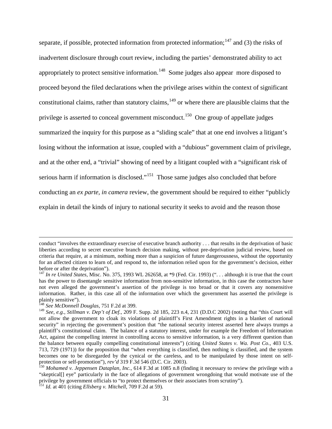separate, if possible, protected information from protected information;<sup>[147](#page-32-0)</sup> and (3) the risks of inadvertent disclosure through court review, including the parties' demonstrated ability to act appropriately to protect sensitive information.<sup>[148](#page-32-1)</sup> Some judges also appear more disposed to proceed beyond the filed declarations when the privilege arises within the context of significant constitutional claims, rather than statutory claims,  $149$  or where there are plausible claims that the privilege is asserted to conceal government misconduct.<sup>150</sup> One group of appellate judges summarized the inquiry for this purpose as a "sliding scale" that at one end involves a litigant's losing without the information at issue, coupled with a "dubious" government claim of privilege, and at the other end, a "trivial" showing of need by a litigant coupled with a "significant risk of serious harm if information is disclosed."<sup>[151](#page-32-4)</sup> Those same judges also concluded that before conducting an *ex parte, in camera* review, the government should be required to either "publicly explain in detail the kinds of injury to national security it seeks to avoid and the reason those

conduct "involves the extraordinary exercise of executive branch authority . . . that results in the deprivation of basic liberties according to secret executive branch decision making, without pre-deprivation judicial review, based on criteria that require, at a minimum, nothing more than a suspicion of future dangerousness, without the opportunity for an affected citizen to learn of, and respond to, the information relied upon for the government's decision, either before or after the deprivation").

<span id="page-32-0"></span><sup>&</sup>lt;sup>147</sup> In re United States, Misc. No. 375, 1993 WL 262658, at \*9 (Fed. Cir. 1993) ("... although it is true that the court has the power to disentangle sensitive information from non-sensitive information, in this case the contractors have not even alleged the government's assertion of the privilege is too broad or that it covers any nonsensitive information. Rather, in this case all of the information over which the government has asserted the privilege is plainly sensitive").<br><sup>148</sup> See McDonnell Douglas, 751 F.2d at 399.

<span id="page-32-2"></span><span id="page-32-1"></span><sup>&</sup>lt;sup>149</sup> See, e.g., Stillman v. Dep't of Def., 209 F. Supp. 2d 185, 223 n.4, 231 (D.D.C 2002) (noting that "this Court will not allow the government to cloak its violations of plaintiff's First Amendment rights in a blanket of national security" in rejecting the government's position that "the national security interest asserted here always trumps a plaintiff's constitutional claim. The balance of a statutory interest, under for example the Freedom of Information Act, against the compelling interest in controlling access to sensitive information, is a very different question than the balance between equally compelling constitutional interests") (citing *United States v. Wa. Post Co.*, 403 U.S. 713, 729 (1971)) for the proposition that "when everything is classified, then nothing is classified, and the system becomes one to be disregarded by the cynical or the careless, and to be manipulated by those intent on self-<br>protection or self-promotion"),  $rev'd$  319 F.3d 546 (D.C. Cir. 2003).

<span id="page-32-3"></span><sup>&</sup>lt;sup>150</sup> Mohamed v. Jeppensen Dataplan, Inc., 614 F.3d at 1085 n.8 (finding it necessary to review the privilege with a "skeptical[] eye" particularly in the face of allegations of government wrongdoing that would motivate use of the privilege by government officials to "to protect themselves or their associates from scrutiny").

<span id="page-32-4"></span><sup>151</sup> *Id.* at 401 (citing *Ellsberg v. Mitchell*, 709 F.2d at 59).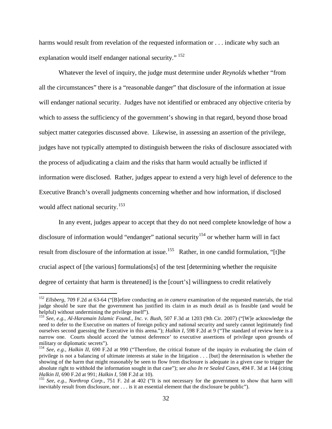harms would result from revelation of the requested information or . . . indicate why such an explanation would itself endanger national security." <sup>[152](#page-33-0)</sup>

Whatever the level of inquiry, the judge must determine under *Reynolds* whether "from all the circumstances" there is a "reasonable danger" that disclosure of the information at issue will endanger national security. Judges have not identified or embraced any objective criteria by which to assess the sufficiency of the government's showing in that regard, beyond those broad subject matter categories discussed above. Likewise, in assessing an assertion of the privilege, judges have not typically attempted to distinguish between the risks of disclosure associated with the process of adjudicating a claim and the risks that harm would actually be inflicted if information were disclosed. Rather, judges appear to extend a very high level of deference to the Executive Branch's overall judgments concerning whether and how information, if disclosed would affect national security.<sup>[153](#page-33-1)</sup>

In any event, judges appear to accept that they do not need complete knowledge of how a disclosure of information would "endanger" national security<sup>[154](#page-33-2)</sup> or whether harm will in fact result from disclosure of the information at issue.<sup>[155](#page-33-3)</sup> Rather, in one candid formulation, "[t]he crucial aspect of [the various] formulations[s] of the test [determining whether the requisite degree of certainty that harm is threatened] is the [court's] willingness to credit relatively

<span id="page-33-0"></span><sup>152</sup> *Ellsberg*, 709 F.2d at 63-64 ("[B]efore conducting an *in camera* examination of the requested materials, the trial judge should be sure that the government has justified its claim in as much detail as is feasible (and would be helpful) without undermining the privilege itself"). <sup>153</sup> *See, e.g.*, *Al-Haramain Islamic Found., Inc. v. Bush*, 507 F.3d at 1203 (9th Cir. 2007) ("[W]e acknowledge the

<span id="page-33-1"></span>need to defer to the Executive on matters of foreign policy and national security and surely cannot legitimately find ourselves second guessing the Executive in this arena."); *Halkin I*, 598 F.2d at 9 ("The standard of review here is a narrow one. Courts should accord the 'utmost deference' to executive assertions of privilege upon grounds of military or diplomatic secrets'').

<span id="page-33-2"></span><sup>&</sup>lt;sup>154</sup> See, e.g., *Halkin II*, 690 F.2d at 990 ("Therefore, the critical feature of the inquiry in evaluating the claim of privilege is not a balancing of ultimate interests at stake in the litigation . . . [but] the determination is whether the showing of the harm that might reasonably be seen to flow from disclosure is adequate in a given case to trigger the absolute right to withhold the information sought in that case"); *see also In re Sealed Cases*, 494 F. 3d at 144 (citing

<span id="page-33-3"></span><sup>&</sup>lt;sup>155</sup> *See, e.g., Northrop Corp.*, 751 F. 2d at 402 ("It is not necessary for the government to show that harm will inevitably result from disclosure, nor . . . is it an essential element that the disclosure be public").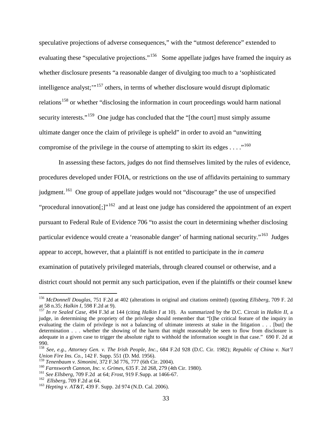speculative projections of adverse consequences," with the "utmost deference" extended to evaluating these "speculative projections."<sup>[156](#page-34-0)</sup> Some appellate judges have framed the inquiry as whether disclosure presents "a reasonable danger of divulging too much to a 'sophisticated intelligence analyst;"<sup>[157](#page-34-1)</sup> others, in terms of whether disclosure would disrupt diplomatic relations<sup>[158](#page-34-2)</sup> or whether "disclosing the information in court proceedings would harm national security interests."<sup>[159](#page-34-3)</sup> One judge has concluded that the "[the court] must simply assume ultimate danger once the claim of privilege is upheld" in order to avoid an "unwitting compromise of the privilege in the course of attempting to skirt its edges  $\dots$ ."<sup>160</sup>

In assessing these factors, judges do not find themselves limited by the rules of evidence, procedures developed under FOIA, or restrictions on the use of affidavits pertaining to summary judgment.<sup>[161](#page-34-5)</sup> One group of appellate judges would not "discourage" the use of unspecified "procedural innovation $[$ ;  $]$ "<sup>[162](#page-34-6)</sup> and at least one judge has considered the appointment of an expert pursuant to Federal Rule of Evidence 706 "to assist the court in determining whether disclosing particular evidence would create a 'reasonable danger' of harming national security."[163](#page-34-7) Judges appear to accept, however, that a plaintiff is not entitled to participate in the *in camera* examination of putatively privileged materials, through cleared counsel or otherwise, and a district court should not permit any such participation, even if the plaintiffs or their counsel knew

<span id="page-34-0"></span><sup>156</sup> *McDonnell Douglas*, 751 F.2d at 402 (alterations in original and citations omitted) (quoting *Ellsberg*, 709 F. 2d at 58 n.35; *Halkin I*, 598 F.2d at 9). <sup>157</sup> *In re Sealed Case*, 494 F.3d at 144 (citing *Halkin I* at 10). As summarized by the D.C. Circuit in *Halkin II*, <sup>a</sup>

<span id="page-34-1"></span>judge, in determining the propriety of the privilege should remember that "[t]he critical feature of the inquiry in evaluating the claim of privilege is not a balancing of ultimate interests at stake in the litigation . . . [but] the determination . . . whether the showing of the harm that might reasonably be seen to flow from disclosure is adequate in a given case to trigger the absolute right to withhold the information sought in that case." 690 F. 2d at 990. <sup>158</sup> *See, e.g.*, *Attorney Gen. v. The Irish People, Inc.*, 684 F.2d 928 (D.C. Cir. 1982); *Republic of China v. Nat'l* 

<span id="page-34-2"></span>*Union Fire Ins. Co.*, 142 F. Supp. 551 (D. Md. 1956).<br><sup>159</sup> Tenenbaum v. Simonini, 372 F.3d 776, 777 (6th Cir. 2004).

<span id="page-34-3"></span>

<span id="page-34-4"></span><sup>&</sup>lt;sup>160</sup> Farnsworth Cannon, Inc. v. Grimes, 635 F. 2d 268, 279 (4th Cir. 1980).<br><sup>161</sup> See Ellsberg, 709 F.2d at 64; *Frost*, 919 F.Supp. at 1466-67.<br><sup>162</sup> Ellsberg, 709 F.2d at 64.<br><sup>162</sup> Hepting v. AT&T, 439 F. Supp. 2d 974

<span id="page-34-5"></span>

<span id="page-34-6"></span>

<span id="page-34-7"></span>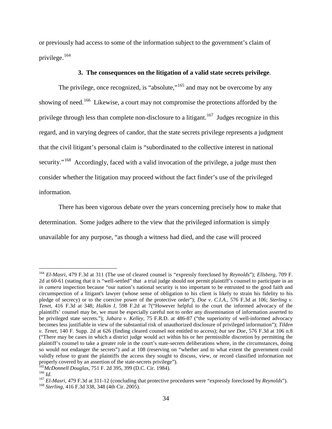or previously had access to some of the information subject to the government's claim of privilege.[164](#page-35-0)

### **3. The consequences on the litigation of a valid state secrets privilege**.

The privilege, once recognized, is "absolute,"<sup>[165](#page-35-1)</sup> and may not be overcome by any showing of need.<sup>[166](#page-35-2)</sup> Likewise, a court may not compromise the protections afforded by the privilege through less than complete non-disclosure to a litigant.<sup>167</sup> Judges recognize in this regard, and in varying degrees of candor, that the state secrets privilege represents a judgment that the civil litigant's personal claim is "subordinated to the collective interest in national security."<sup>[168](#page-35-4)</sup> Accordingly, faced with a valid invocation of the privilege, a judge must then consider whether the litigation may proceed without the fact finder's use of the privileged information.

There has been vigorous debate over the years concerning precisely how to make that determination. Some judges adhere to the view that the privileged information is simply unavailable for any purpose, "as though a witness had died, and the case will proceed

<span id="page-35-0"></span><sup>164</sup> *El-Masri*, 479 F.3d at 311 (The use of cleared counsel is "expressly foreclosed by *Reynolds*"); *Ellsberg*, 709 F. 2d at 60-61 (stating that it is "well-settled" that a trial judge should not permit plaintiff's counsel to participate in an *in camera* inspection because "our nation's national security is too important to be entrusted to the good faith and circumspection of a litigant's lawyer (whose sense of obligation to his client is likely to strain his fidelity to his pledge of secrecy) or to the coercive power of the protective order"); *Doe v. C.I.A.*, 576 F.3d at 106; *Sterling v. Tenet*, 416 F.3d at 348; *Halkin I*, 598 F.2d at 7("However helpful to the court the informed advocacy of the plaintiffs' counsel may be, we must be especially careful not to order any dissemination of information asserted to be privileged state secrets."); *Jabara v. Kelley*, 75 F.R.D. at 486-87 ("the superiority of well-informed advocacy becomes less justifiable in view of the substantial risk of unauthorized disclosure of privileged information"); *Tilden v. Tenet*, 140 F. Supp. 2d at 626 (finding cleared counsel not entitled to access); *but see Doe*, 576 F.3d at 106 n.8 ("There may be cases in which a district judge would act within his or her permissible discretion by permitting the plaintiff's counsel to take a greater role in the court's state-secrets deliberations where, in the circumstances, doing so would not endanger the secrets") and at 108 (reserving on "whether and to what extent the government could validly refuse to grant the plaintiffs the access they sought to discuss, view, or record classified information not properly covered by an assertion of the state-secrets privilege").

<span id="page-35-4"></span><span id="page-35-3"></span>

<span id="page-35-2"></span><span id="page-35-1"></span><sup>&</sup>lt;sup>165</sup>McDonnell Douglas, 751 F. 2d 395, 399 (D.C. Cir. 1984).<br><sup>166</sup> Id.<br><sup>167</sup> El-Masri, 479 F.3d at 311-12 (concluding that protective procedures were "expressly foreclosed by *Reynolds*").<br><sup>168</sup> Sterling, 416 F.3d 338, 34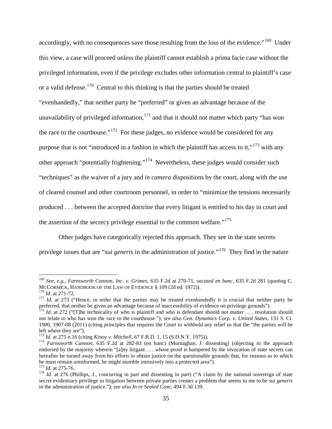accordingly, with no consequences save those resulting from the loss of the evidence."<sup>169</sup> Under this view, a case will proceed unless the plaintiff cannot establish a prima facie case without the privileged information, even if the privilege excludes other information central to plaintiff's case or a valid defense.[170](#page-36-1) Central to this thinking is that the parties should be treated "evenhandedly," that neither party be "preferred" or given an advantage because of the unavailability of privileged information,  $171$  and that it should not matter which party "has won the race to the courthouse."[172](#page-36-3) For these judges, no evidence would be considered for any purpose that is not "introduced in a fashion in which the plaintiff has access to it," $173$  with any other approach "potentially frightening."[174](#page-36-5) Nevertheless, these judges would consider such "techniques" as the waiver of a jury and *in camera* dispositions by the court, along with the use of cleared counsel and other courtroom personnel, in order to "minimize the tensions necessarily produced . . . between the accepted doctrine that every litigant is entitled to his day in court and the assertion of the secrecy privilege essential to the common welfare."<sup>[175](#page-36-6)</sup>

Other judges have categorically rejected this approach. They see in the state secrets privilege issues that are "*sui generis* in the administration of justice."<sup>[176](#page-36-7)</sup> They find in the nature

<span id="page-36-0"></span><sup>169</sup> *See, e.g.*, *Farnsworth Cannon, Inc. v. Grimes*, 635 F.2d at 270-71, *vacated en banc*, 635 F.2d 281 (quoting C. MCCORMICK, HANDBOOK OF THE LAW OF EVIDENCE § 109 (2d ed. 1972)).<br><sup>170</sup> *Id.* at 271-72.<br><sup>171</sup> *Id.* at 273 ("Hence, in order that the parties may be treated evenhandedly it is crucial that neither party be

<span id="page-36-1"></span>

<span id="page-36-2"></span>preferred, that neither be given an advantage because of inaccessibility of evidence on privilege grounds").

<span id="page-36-3"></span><sup>&</sup>lt;sup>172</sup> *Id.* at 272 ("[T]he technicality of who is plaintiff and who is defendant should not matter . . . resolution should not relate to who has won the race to the courthouse."); *see also Gen. Dynamics Corp. v. United States*, 131 S. Ct. 1900, 1907-08 (2011) (citing principles that requires the Court to withhold any relief so that the "the parties will be left where they are").<br> $^{173}$  *Id.* at 275 n.16 (citing *Kinoy v. Mitchell*, 67 F.R.D. 1, 15 (S.D.N.Y. 1975)).

<span id="page-36-5"></span><span id="page-36-4"></span><sup>&</sup>lt;sup>174</sup> *Farnsworth Cannon*, 635 F.2d at 282-83 (en banc) (Murnaghan, J. dissenting) (objecting to the approach endorsed by the majority wherein "[a]ny litigant . . . whose proof is hampered by the invocation of state secrets can hereafter be turned away from his efforts to obtain justice on the questionable grounds that, for reasons as to which<br>he must remain uninformed, he might stumble intrusively into a protected area").

<span id="page-36-7"></span><span id="page-36-6"></span><sup>&</sup>lt;sup>175</sup> *Id.* at 275-76.<br><sup>176</sup> *Id.* at 276 (Phillips, J., concurring in part and dissenting in part) ("A claim by the national sovereign of state secret evidentiary privilege in litigation between private parties creates a problem that seems to me to be *sui generis* in the administration of justice."); *see also In re Sealed Case*, 494 F.3d 139.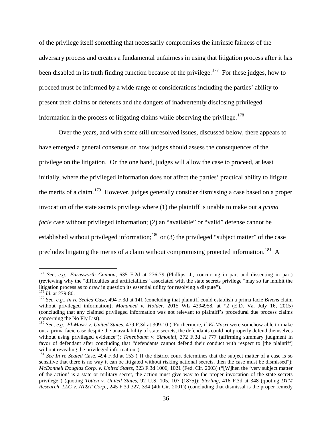of the privilege itself something that necessarily compromises the intrinsic fairness of the adversary process and creates a fundamental unfairness in using that litigation process after it has been disabled in its truth finding function because of the privilege.<sup>177</sup> For these judges, how to proceed must be informed by a wide range of considerations including the parties' ability to present their claims or defenses and the dangers of inadvertently disclosing privileged information in the process of litigating claims while observing the privilege.<sup>[178](#page-37-1)</sup>

Over the years, and with some still unresolved issues, discussed below, there appears to have emerged a general consensus on how judges should assess the consequences of the privilege on the litigation. On the one hand, judges will allow the case to proceed, at least initially, where the privileged information does not affect the parties' practical ability to litigate the merits of a claim.[179](#page-37-2) However, judges generally consider dismissing a case based on a proper invocation of the state secrets privilege where (1) the plaintiff is unable to make out a *prima facie* case without privileged information; (2) an "available" or "valid" defense cannot be established without privileged information;<sup>[180](#page-37-3)</sup> or (3) the privileged "subject matter" of the case precludes litigating the merits of a claim without compromising protected information.<sup>[181](#page-37-4)</sup> A

<span id="page-37-0"></span><sup>177</sup> *See, e.g.*, *Farnsworth Cannon*, 635 F.2d at 276-79 (Phillips, J., concurring in part and dissenting in part) (reviewing why the "difficulties and artificialities" associated with the state secrets privilege "may so far inhibit the litigation process as to draw in question its essential utility for resolving a dispute"). <sup>178</sup> *Id.* at 279-80.

<span id="page-37-2"></span><span id="page-37-1"></span><sup>179</sup> *See, e.g.*, *In re Sealed Case*, 494 F.3d at 141 (concluding that plaintiff could establish a prima facie *Bivens* claim without privileged information); *Mohamed v. Holder*, 2015 WL 4394958, at \*2 (E.D. Va. July 16, 2015) (concluding that any claimed privileged information was not relevant to plaintiff's procedural due process claims concerning the No Fly List).

<span id="page-37-3"></span><sup>180</sup> *See, e.g.*, *El-Masri v. United States*, 479 F.3d at 309-10 ("Furthermore, if *El-Masri* were somehow able to make out a prima facie case despite the unavailability of state secrets, the defendants could not properly defend themselves without using privileged evidence"); *Tenenbaum v. Simonini*, 372 F.3d at 777 (affirming summary judgment in favor of defendant after concluding that "defendants cannot defend their conduct with respect to [the plaintiff] without revealing the privileged information").

<span id="page-37-4"></span><sup>&</sup>lt;sup>181</sup> *See In re Sealed* Case, 494 F.3d at 153 ("If the district court determines that the subject matter of a case is so sensitive that there is no way it can be litigated without risking national secrets, then the case must be dismissed"); *McDonnell Douglas Corp. v. United States*, 323 F.3d 1006, 1021 (Fed. Cir. 2003) ("[W]hen the 'very subject matter of the action' is a state or military secret, the action must give way to the proper invocation of the state secrets privilege") (quoting *Totten v. United States*, 92 U.S. 105, 107 (1875)); *Sterling*, 416 F.3d at 348 (quoting *DTM Research, LLC v. AT&T Corp.*, 245 F.3d 327, 334 (4th Cir. 2001)) (concluding that dismissal is the proper remedy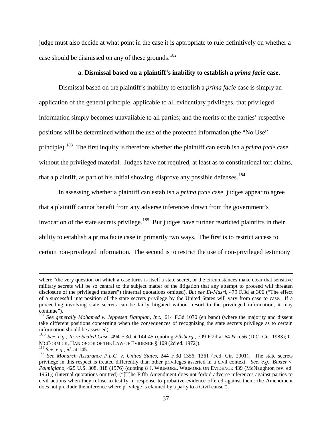judge must also decide at what point in the case it is appropriate to rule definitively on whether a case should be dismissed on any of these grounds.<sup>182</sup>

### **a. Dismissal based on a plaintiff's inability to establish a** *prima facie* **case.**

Dismissal based on the plaintiff's inability to establish a *prima facie* case is simply an application of the general principle, applicable to all evidentiary privileges, that privileged information simply becomes unavailable to all parties; and the merits of the parties' respective positions will be determined without the use of the protected information (the "No Use" principle).[183](#page-38-1) The first inquiry is therefore whether the plaintiff can establish a *prima facie* case without the privileged material. Judges have not required, at least as to constitutional tort claims, that a plaintiff, as part of his initial showing, disprove any possible defenses.<sup>[184](#page-38-2)</sup>

In assessing whether a plaintiff can establish a *prima facie* case, judges appear to agree that a plaintiff cannot benefit from any adverse inferences drawn from the government's invocation of the state secrets privilege.<sup>[185](#page-38-3)</sup> But judges have further restricted plaintiffs in their ability to establish a prima facie case in primarily two ways. The first is to restrict access to certain non-privileged information. The second is to restrict the use of non-privileged testimony

where "the very question on which a case turns is itself a state secret, or the circumstances make clear that sensitive military secrets will be so central to the subject matter of the litigation that any attempt to proceed will threaten disclosure of the privileged matters") (internal quotations omitted). *But see El-Masri*, 479 F.3d at 306 ("The effect of a successful interposition of the state secrets privilege by the United States will vary from case to case. If a proceeding involving state secrets can be fairly litigated without resort to the privileged information, it may continue").

<span id="page-38-0"></span><sup>182</sup> *See generally Mohamed v. Jeppesen Dataplan, Inc.*, 614 F.3d 1070 (en banc) (where the majority and dissent take different positions concerning when the consequences of recognizing the state secrets privilege as to certain information should be assessed).

<span id="page-38-1"></span><sup>183</sup> *See, e.g.*, *In re Sealed Case*, 494 F.3d at 144-45 (quoting *Ellsberg,*, 709 F.2d at 64 & n.56 (D.C. Cir. 1983); C.

<span id="page-38-3"></span><span id="page-38-2"></span><sup>&</sup>lt;sup>184</sup> See, e.g., *id.* at 145.<br><sup>185</sup> See Monarch Assurance P.L.C. v. United States, 244 F.3d 1356, 1361 (Fed. Cir. 2001). The state secrets privilege in this respect is treated differently than other privileges asserted in a civil context. *See, e.g.*, *Baxter v. Palmigiano*, 425 U.S. 308, 318 (1976) (quoting 8 J. WIGMORE, WIGMORE ON EVIDENCE 439 (McNaughton rev. ed. 1961)) (internal quotations omitted) ("[T]he Fifth Amendment does not forbid adverse inferences against parties to civil actions when they refuse to testify in response to probative evidence offered against them: the Amendment does not preclude the inference where privilege is claimed by a party to a Civil cause").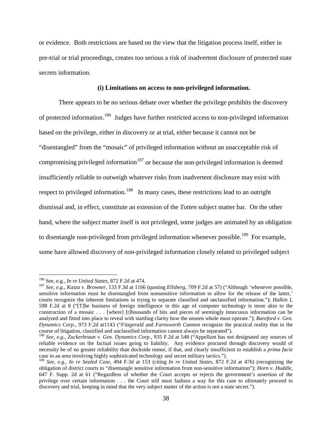or evidence. Both restrictions are based on the view that the litigation process itself, either in pre-trial or trial proceedings, creates too serious a risk of inadvertent disclosure of protected state secrets information.

#### **(i) Limitations on access to non-privileged information.**

There appears to be no serious debate over whether the privilege prohibits the discovery of protected information.[186](#page-39-0) Judges have further restricted access to non-privileged information based on the privilege, either in discovery or at trial, either because it cannot not be "disentangled" from the "mosaic" of privileged information without an unacceptable risk of compromising privileged information<sup>[187](#page-39-1)</sup> or because the non-privileged information is deemed insufficiently reliable to outweigh whatever risks from inadvertent disclosure may exist with respect to privileged information.<sup>[188](#page-39-2)</sup> In many cases, these restrictions lead to an outright dismissal and, in effect, constitute an extension of the *Totten* subject matter bar. On the other hand, where the subject matter itself is not privileged, some judges are animated by an obligation to disentangle non-privileged from privileged information whenever possible.<sup>189</sup> For example, some have allowed discovery of non-privileged information closely related to privileged subject

<span id="page-39-0"></span><sup>&</sup>lt;sup>186</sup> See, e.g., *In re United States*, 872 F.2d at 474.

<span id="page-39-1"></span><sup>&</sup>lt;sup>187</sup> See, e.g., *Kasza v. Browner*, 133 F.3d at 1166 (quoting *Ellsberg*, 709 F.2d at 57) ("Although 'whenever possible, sensitive information must be disentangled from nonsensitive information to allow for the release of the latter,' courts recognize the inherent limitations in trying to separate classified and unclassified information."); *Halkin I*, 598 F.2d at 8 ("[T]he business of foreign intelligence in this age of computer technology is more akin to the construction of a mosaic . . . [where] [t]housands of bits and pieces of seemingly innocuous information can be analyzed and fitted into place to reveal with startling clarity how the unseen whole must operate."); *Bareford v. Gen. Dynamics Corp.*, 973 F.2d at1143 ("*Fitzgerald* and *Farnsworth Cannon* recognize the practical reality that in the

<span id="page-39-2"></span><sup>&</sup>lt;sup>188</sup> See, e.g., Zuckerbraun v. Gen. Dynamics Corp., 935 F.2d at 548 ("Appellant has not designated any sources of reliable evidence on the factual issues going to liability. Any evidence procured through discovery would of necessity be of no greater reliability than dockside rumor, if that, and clearly insufficient to establish a *prima facie* case in an area involving highly sophisticated technology and secret military tactics.").

<span id="page-39-3"></span><sup>189</sup> *See, e.g.*, *In re Sealed Case*, 494 F.3d at 153 (citing *In re United States*, 872 F.2d at 476) (recognizing the obligation of district courts to "disentangle sensitive information from non-sensitive information"); *Horn v. Huddle*, 647 F. Supp. 2d at 61 ("Regardless of whether the Court accepts or rejects the government's assertion of the privilege over certain information . . . the Court still must fashion a way for this case to ultimately proceed to discovery and trial, keeping in mind that the very subject matter of the action is not a state secret.").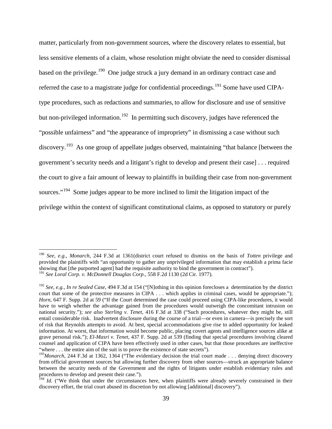matter, particularly from non-government sources, where the discovery relates to essential, but less sensitive elements of a claim, whose resolution might obviate the need to consider dismissal based on the privilege.<sup>[190](#page-40-0)</sup> One judge struck a jury demand in an ordinary contract case and referred the case to a magistrate judge for confidential proceedings.<sup>[191](#page-40-1)</sup> Some have used CIPAtype procedures, such as redactions and summaries, to allow for disclosure and use of sensitive but non-privileged information.<sup>[192](#page-40-2)</sup> In permitting such discovery, judges have referenced the "possible unfairness" and "the appearance of impropriety" in dismissing a case without such discovery.<sup>[193](#page-40-3)</sup> As one group of appellate judges observed, maintaining "that balance [between the government's security needs and a litigant's right to develop and present their case] . . . required the court to give a fair amount of leeway to plaintiffs in building their case from non-government sources."<sup>[194](#page-40-4)</sup> Some judges appear to be more inclined to limit the litigation impact of the privilege within the context of significant constitutional claims, as opposed to statutory or purely

<span id="page-40-0"></span><sup>190</sup> *See, e.g.*, *Monarch*, 244 F.3d at 1361(district court refused to dismiss on the basis of *Totten* privilege and provided the plaintiffs with "an opportunity to gather any unprivileged information that may establish a prima facie showing that [the purported agent] had the requisite authority to bind the government in contract"). <sup>191</sup> *See Loral Corp. v. McDonnell Douglas Corp*., 558 F.2d 1130 (2d Cir. 1977).

<span id="page-40-2"></span><span id="page-40-1"></span><sup>192</sup> *See, e.g.*, *In re Sealed Case*, 494 F.3d at 154 ("[N]othing in this opinion forecloses a determination by the district court that some of the protective measures in CIPA . . . which applies in criminal cases, would be appropriate."); *Horn*, 647 F. Supp. 2d at 59 ("If the Court determined the case could proceed using CIPA-like procedures, it would have to weigh whether the advantage gained from the procedures would outweigh the concomitant intrusion on national security."); *see also Sterling v. Tenet*, 416 F.3d at 338 ("Such procedures, whatever they might be, still entail considerable risk. Inadvertent disclosure during the course of a trial—or even in camera—is precisely the sort of risk that Reynolds attempts to avoid. At best, special accommodations give rise to added opportunity for leaked information. At worst, that information would become public, placing covert agents and intelligence sources alike at grave personal risk."); *El-Masri v. Tenet*, 437 F. Supp. 2d at 539 (finding that special procedures involving cleared counsel and application of CIPA have been effectively used in other cases, but that those procedures are ineffective "where . . . the entire aim of the suit is to prove the existence of state secrets").

<span id="page-40-3"></span><sup>&</sup>lt;sup>193</sup>Monarch, 244 F.3d at 1362, 1364 ("The evidentiary decision the trial court made . . . denying direct discovery from official government sources but allowing further discovery from other sources—struck an appropriate balance between the security needs of the Government and the rights of litigants under establish evidentiary rules and procedures to develop and present their case.").<br><sup>194</sup> *Id.* ("We think that under the circumstances here, when plaintiffs were already severely constrained in their

<span id="page-40-4"></span>discovery effort, the trial court abused its discretion by not allowing [additional] discovery").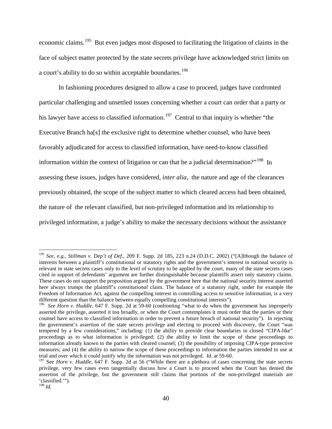economic claims.<sup>[195](#page-41-0)</sup> But even judges most disposed to facilitating the litigation of claims in the face of subject matter protected by the state secrets privilege have acknowledged strict limits on a court's ability to do so within acceptable boundaries.<sup>[196](#page-41-1)</sup>

In fashioning procedures designed to allow a case to proceed, judges have confronted particular challenging and unsettled issues concerning whether a court can order that a party or his lawyer have access to classified information.<sup>[197](#page-41-2)</sup> Central to that inquiry is whether "the Executive Branch ha<sup>[s]</sup> the exclusive right to determine whether counsel, who have been favorably adjudicated for access to classified information, have need-to-know classified information within the context of litigation or can that be a judicial determination?"<sup>198</sup> In assessing these issues, judges have considered, *inter alia*, the nature and age of the clearances previously obtained, the scope of the subject matter to which cleared access had been obtained, the nature of the relevant classified, but non-privileged information and its relationship to privileged information, a judge's ability to make the necessary decisions without the assistance

<span id="page-41-0"></span><sup>195</sup> *See, e.g.*, *Stillman v. Dep't of Def.*, 209 F. Supp. 2d 185, 223 n.24 (D.D.C. 2002) ("[A]lthough the balance of interests between a plaintiff's constitutional or statutory rights and the government's interest in national security is relevant in state secrets cases only to the level of scrutiny to be applied by the court, many of the state secrets cases cited in support of defendants' argument are further distinguishable because plaintiffs assert only statutory claims. These cases do not support the proposition argued by the government here that the national security interest asserted here always trumps the plaintiff's *constitutional* claim. The balance of a statutory right, under for example the Freedom of Information Act, against the compelling interest in controlling access to sensitive information, is a very

<span id="page-41-1"></span>different question than the balance between equally compelling constitutional interests").<br><sup>196</sup> *See Horn v. Huddle*, 647 F. Supp. 2d at 59-60 (confronting "what to do when the government has improperly asserted the privilege, asserted it too broadly, or when the Court contemplates it must order that the parties or their counsel have access to classified information in order to prevent a future breach of national security"). In rejecting the government's assertion of the state secrets privilege and electing to proceed with discovery, the Court "was tempered by a few considerations," including: (1) the ability to provide clear boundaries in closed "CIPA-like" proceedings as to what information is privileged; (2) the ability to limit the scope of these proceedings to information already known to the parties with cleared counsel; (3) the possibility of imposing CIPA-type protective measures; and (4) the ability to narrow the scope of these proceedings to information the parties intended to use at trial and over which it could justify why the information was not privileged. *Id.* at 59-60.

<span id="page-41-3"></span><span id="page-41-2"></span><sup>&</sup>lt;sup>197</sup> See *Horn v. Huddle*, 647 F. Supp. 2d at 56 ("While there are a plethora of cases concerning the state secrets privilege, very few cases even tangentially discuss how a Court is to proceed when the Court has denied the assertion of the privilege, but the government still claims that portions of the non-privileged materials are 'classified.'").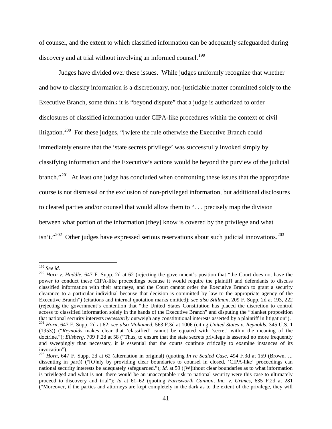of counsel, and the extent to which classified information can be adequately safeguarded during discovery and at trial without involving an informed counsel.<sup>[199](#page-42-0)</sup>

Judges have divided over these issues. While judges uniformly recognize that whether and how to classify information is a discretionary, non-justiciable matter committed solely to the Executive Branch, some think it is "beyond dispute" that a judge is authorized to order disclosures of classified information under CIPA-like procedures within the context of civil litigation.<sup>[200](#page-42-1)</sup> For these judges, "[w]ere the rule otherwise the Executive Branch could immediately ensure that the 'state secrets privilege' was successfully invoked simply by classifying information and the Executive's actions would be beyond the purview of the judicial branch."<sup>201</sup> At least one judge has concluded when confronting these issues that the appropriate course is not dismissal or the exclusion of non-privileged information, but additional disclosures to cleared parties and/or counsel that would allow them to ". . . precisely map the division between what portion of the information [they] know is covered by the privilege and what  $\sin t$ ."<sup>[202](#page-42-3)</sup> Other judges have expressed serious reservations about such judicial innovations.<sup>[203](#page-42-4)</sup>

<span id="page-42-4"></span><span id="page-42-0"></span> $199$  See id.

<span id="page-42-1"></span><sup>&</sup>lt;sup>200</sup> *Horn v. Huddle*, 647 F. Supp. 2d at 62 (rejecting the government's position that "the Court does not have the power to conduct these CIPA-like proceedings because it would require the plaintiff and defendants to discuss classified information with their attorneys, and the Court cannot order the Executive Branch to grant a security clearance to a particular individual because that decision is committed by law to the appropriate agency of the Executive Branch") (citations and internal quotation marks omitted); *see also Stillman*, 209 F. Supp. 2d at 193, 222 (rejecting the government's contention that "the United States Constitution has placed the discretion to control access to classified information solely in the hands of the Executive Branch" and disputing the "blanket proposition that national security interests necessarily outweigh any constitutional interests asserted by a plaintiff in litigation").<br><sup>201</sup> Horn, 647 F. Supp. 2d at 62; see also Mohamed, 563 F.3d at 1006 (citing United States v. Rey

<span id="page-42-2"></span><sup>(1953)) (&</sup>quot;*Reynolds* makes clear that 'classified' cannot be equated with 'secret' within the meaning of the doctrine."); *Ellsberg,* 709 F.2d at 58 ("Thus, to ensure that the state secrets privilege is asserted no more frequently and sweepingly than necessary, it is essential that the courts continue critically to examine instances of its invocation").

<span id="page-42-3"></span><sup>202</sup> *Horn*, 647 F. Supp. 2d at 62 (alternation in original) (quoting *In re Sealed Case*, 494 F.3d at 159 (Brown, J., dissenting in part)) ("[O]nly by providing clear boundaries to counsel in closed, 'CIPA-like' proceedings can national security interests be adequately safeguarded."); *Id.* at 59 ([W]ithout clear boundaries as to what information is privileged and what is not, there would be an unacceptable risk to national security were this case to ultimately proceed to discovery and trial"); *Id.* at 61–62 (quoting *Farnsworth Cannon, Inc. v. Grimes*, 635 F.2d at 281 ("Moreover, if the parties and attorneys are kept completely in the dark as to the extent of the privilege, they will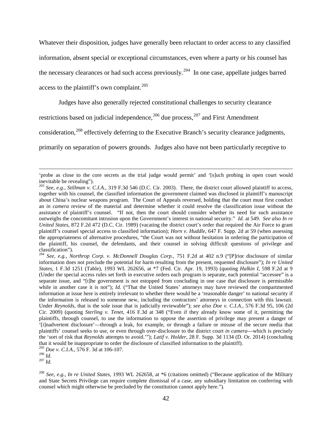Whatever their disposition, judges have generally been reluctant to order access to any classified information, absent special or exceptional circumstances, even where a party or his counsel has the necessary clearances or had such access previously.<sup>204</sup> In one case, appellate judges barred access to the plaintiff's own complaint. $^{205}$  $^{205}$  $^{205}$ 

Judges have also generally rejected constitutional challenges to security clearance

restrictions based on judicial independence,  $206$  due process,  $207$  and First Amendment

consideration,<sup>[208](#page-43-4)</sup> effectively deferring to the Executive Branch's security clearance judgments,

primarily on separation of powers grounds. Judges also have not been particularly receptive to

<sup>&#</sup>x27;probe as close to the core secrets as the trial judge would permit' and '[s]uch probing in open court would inevitable be revealing").

<sup>203</sup> *See, e.g.*, *Stillman v. C.I.A.*, 319 F.3d 546 (D.C. Cir. 2003). There, the district court allowed plaintiff to access, together with his counsel, the classified information the government claimed was disclosed in plaintiff's manuscript about China's nuclear weapons program. The Court of Appeals reversed, holding that the court must first conduct an *in camera* review of the material and determine whether it could resolve the classification issue without the assistance of plaintiff's counsel. "If not, then the court should consider whether its need for such assistance outweighs the concomitant intrusion upon the Government's interest in national security." *Id.* at 549. *See also In re United States*, 872 F.2d 472 (D.C. Cir. 1989) (vacating the district court's order that required the Air Force to grant plaintiff's counsel special access to classified information); *Horn v. Huddle*, 647 F. Supp. 2d at 59 (when assessing the appropriateness of alternative procedures, "the Court was not without hesitation in ordering the participation of the plaintiff, his counsel, the defendants, and their counsel in solving difficult questions of privilege and classification").

<span id="page-43-0"></span><sup>204</sup> *See, e.g.*, *Northrop Corp. v. McDonnell Douglas Corp.*, 751 F.2d at 402 n.9 ("[P]rior disclosure of similar information does not preclude the potential for harm resulting from the present, requested disclosure"); *In re United States*, 1 F.3d 1251 (Table), 1993 WL 262656, at \*7 (Fed. Cir. Apr. 19, 1993) (quoting *Halkin I*, 598 F.2d at 9 (Under the special access rules set forth in executive orders each program is separate, each potential "accessee" is a separate issue, and "[t]he government is not estopped from concluding in one case that disclosure is permissible while in another case it is not"); *Id.* ("That the United States' attorneys may have reviewed the compartmented information at issue here is entirely irrelevant to whether there would be a 'reasonable danger' to national security if the information is released to someone new, including the contractors' attorneys in connection with this lawsuit. Under *Reynolds*, that is the sole issue that is judicially reviewable"); *see also Doe v. C.I.A.*, 576 F.3d 95, 106 (2d Cir. 2009) (quoting *Sterling v. Tenet*, 416 F.3d at 348 ("Even if they already know some of it, permitting the plaintiffs, through counsel, to use the information to oppose the assertion of privilege may present a danger of '[i]nadvertent disclosure'—through a leak, for example, or through a failure or misuse of the secure media that plaintiffs' counsel seeks to use, or even through over-disclosure to the district court *in camera*—which is precisely the 'sort of risk that *Reynolds* attempts to avoid.'"); *Latif v. Holder*, 28 F. Supp. 3d 1134 (D. Or. 2014) (concluding that it would be inappropriate to order the disclosure of classified information to the plaintiff). <sup>205</sup> *Doe v. C.I.A.*, 576 F. 3d at 106-107. <sup>206</sup> *Id*. 207 *Id.*

<span id="page-43-2"></span><span id="page-43-1"></span>

<span id="page-43-3"></span>

<span id="page-43-4"></span><sup>208</sup> *See, e.g.*, *In re United States*, 1993 WL 262658, at \*6 (citations omitted) ("Because application of the Military and State Secrets Privilege can require complete dismissal of a case, any subsidiary limitation on conferring with counsel which might otherwise be precluded by the constitution cannot apply here.").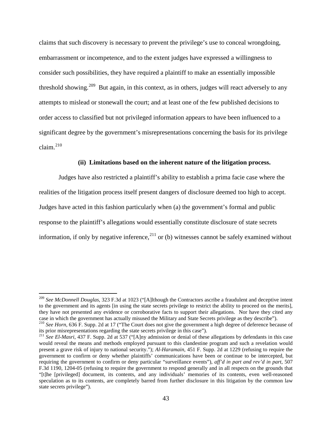claims that such discovery is necessary to prevent the privilege's use to conceal wrongdoing, embarrassment or incompetence, and to the extent judges have expressed a willingness to consider such possibilities, they have required a plaintiff to make an essentially impossible threshold showing.<sup>[209](#page-44-0)</sup> But again, in this context, as in others, judges will react adversely to any attempts to mislead or stonewall the court; and at least one of the few published decisions to order access to classified but not privileged information appears to have been influenced to a significant degree by the government's misrepresentations concerning the basis for its privilege claim. $^{210}$  $^{210}$  $^{210}$ 

#### **(ii) Limitations based on the inherent nature of the litigation process.**

Judges have also restricted a plaintiff's ability to establish a prima facie case where the realities of the litigation process itself present dangers of disclosure deemed too high to accept. Judges have acted in this fashion particularly when (a) the government's formal and public response to the plaintiff's allegations would essentially constitute disclosure of state secrets information, if only by negative inference,  $2^{11}$  or (b) witnesses cannot be safely examined without

<span id="page-44-0"></span><sup>209</sup> *See McDonnell Douglas*, 323 F.3d at 1023 ("[A]lthough the Contractors ascribe a fraudulent and deceptive intent to the government and its agents [in using the state secrets privilege to restrict the ability to proceed on the merits], they have not presented any evidence or corroborative facts to support their allegations. Nor have they cited any case in which the government has actually misused the Military and State Secrets privilege as they describe").<br><sup>210</sup> See Horn, 636 F. Supp. 2d at 17 ("The Court does not give the government a high degree of deference becau

<span id="page-44-1"></span>its prior misrepresentations regarding the state secrets privilege in this case").

<span id="page-44-2"></span><sup>211</sup> *See El-Masri*, 437 F. Supp. 2d at 537 ("[A]ny admission or denial of these allegations by defendants in this case would reveal the means and methods employed pursuant to this clandestine program and such a revelation would present a grave risk of injury to national security."); *Al-Haramain*, 451 F. Supp. 2d at 1229 (refusing to require the government to confirm or deny whether plaintiffs' communications have been or continue to be intercepted, but requiring the government to confirm or deny particular "surveillance events"), *aff'd in part and rev'd in part*, 507 F.3d 1190, 1204-05 (refusing to require the government to respond generally and in all respects on the grounds that "[t]he [privileged] document, its contents, and any individuals' memories of its contents, even well-reasoned speculation as to its contents, are completely barred from further disclosure in this litigation by the common law state secrets privilege").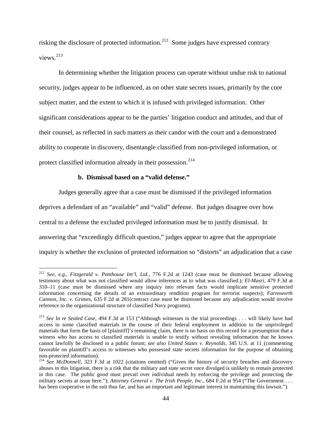risking the disclosure of protected information.<sup>212</sup> Some judges have expressed contrary views.[213](#page-45-1)

In determining whether the litigation process can operate without undue risk to national security, judges appear to be influenced, as on other state secrets issues, primarily by the core subject matter, and the extent to which it is infused with privileged information. Other significant considerations appear to be the parties' litigation conduct and attitudes, and that of their counsel, as reflected in such matters as their candor with the court and a demonstrated ability to cooperate in discovery, disentangle classified from non-privileged information, or protect classified information already in their possession.<sup>[214](#page-45-2)</sup>

#### **b. Dismissal based on a "valid defense."**

 $\overline{a}$ 

Judges generally agree that a case must be dismissed if the privileged information

deprives a defendant of an "available" and "valid" defense. But judges disagree over how

central to a defense the excluded privileged information must be to justify dismissal. In

answering that "exceedingly difficult question," judges appear to agree that the appropriate

inquiry is whether the exclusion of protected information so "distorts" an adjudication that a case

<span id="page-45-0"></span><sup>212</sup> *See, e.g.*, *Fitzgerald v. Penthouse Int'l, Ltd.*, 776 F.2d at 1243 (case must be dismissed because allowing testimony about what was not classified would allow inferences as to what was classified.); *El-Masri,* 479 F.3d at 310–11 (case must be dismissed where any inquiry into relevant facts would implicate sensitive protected information concerning the details of an extraordinary rendition program for terrorist suspects); *Farnsworth Cannon, Inc. v. Grimes*, 635 F.2d at 281(contract case must be dismissed because any adjudication would involve reference to the organizational structure of classified Navy programs).

<span id="page-45-1"></span><sup>213</sup> *See* In re *Sealed Case*, 494 F.3d at 153 ("Although witnesses in the trial proceedings . . . will likely have had access to some classified materials in the course of their federal employment in addition to the unprivileged materials that form the basis of [plaintiff]'s remaining claim, there is no basis on this record for a presumption that a witness who has access to classified materials is unable to testify without revealing information that he knows cannot lawfully be disclosed in a public forum; *see also United States v. Reynolds*, 345 U.S. at 11 (commenting favorable on plaintiff's access to witnesses who possessed state secrets information for the purpose of obtaining

<span id="page-45-2"></span>non-protected information). <sup>214</sup> *See McDonnell*, 323 F.3d at 1022 (citations omitted) ("Given the history of security breaches and discovery abuses in this litigation, there is a risk that the military and state secret once divulged is unlikely to remain protected in this case. The public good must prevail over individual needs by enforcing the privilege and protecting the military secrets at issue here."); *Attorney General v. The Irish People, Inc.*, 684 F.2d at 954 ("The Government . . . has been cooperative in the suit thus far, and has an important and legitimate interest in maintaining this lawsuit.").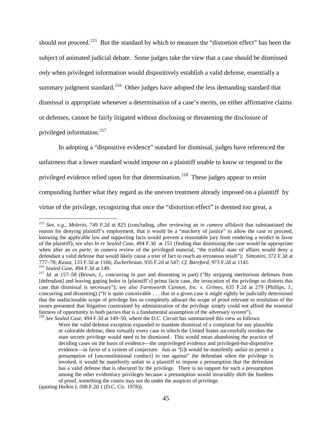should not proceed.<sup>[215](#page-46-0)</sup> But the standard by which to measure the "distortion effect" has been the subject of animated judicial debate. Some judges take the view that a case should be dismissed *only* when privileged information would dispositively establish a valid defense, essentially a summary judgment standard.<sup>[216](#page-46-1)</sup> Other judges have adopted the less demanding standard that dismissal is appropriate whenever a determination of a case's merits, on either affirmative claims or defenses, cannot be fairly litigated without disclosing or threatening the disclosure of privileged information.[217](#page-46-2)

In adopting a "dispositive evidence" standard for dismissal, judges have referenced the unfairness that a lower standard would impose on a plaintiff unable to know or respond to the privileged evidence relied upon for that determination.<sup>218</sup> These judges appear to resist compunding further what they regard as the uneven treatment already imposed on a plaintiff by virtue of the privilege, recognizing that once the "distortion effect" is deemed too great, a

<span id="page-46-0"></span><sup>215</sup> *See, e.g.*, *Molerio*, 749 F.2d at 825 (concluding, after reviewing an *in camera* affidavit that substantiated the reason for denying plaintiff's employment, that it would be a "mockery of justice" to allow the case to proceed, knowing the applicable law and supporting facts would prevent a reasonable jury from rendering a verdict in favor of the plaintiff); *see also In re Sealed Case*, 494 F.3d at 151 (finding that dismissing the case would be appropriate when after an *ex parte*, *in camera* review of the privileged material, "the truthful state of affairs would deny a defendant a valid defense that would likely cause a trier of fact to reach an erroneous result"); *Simonini*, 372 F.3d at 777–78; *Kasza*, 133 F.3d at 1166; *Zuckerbraun*, 935 F.2d at 547; *Cf. Bareford*, 973 F.2d at 1141.  $\overline{a}$ 

<span id="page-46-2"></span><span id="page-46-1"></span><sup>&</sup>lt;sup>216</sup> Sealed Case, 494 F.3d at 149.<br><sup>217</sup> Id. at 157–58 (Brown, J., concurring in part and dissenting in part) ("By stripping meritorious defenses from [defendant] and leaving gaping holes in [plaintiff's] prima facie case, the invocation of the privilege so distorts this case that dismissal is necessary"); *see also Farnsworth Cannon, Inc. v. Grimes*, 635 F.2d at 279 (Phillips, J., concurring and dissenting) ("It is quite conceivable . . . that in a given case it might rightly be judicially determined that the undisclosable scope of privilege lies so completely athwart the scope of proof relevant to resolution of the issues presented that litigation constrained by administration of the privilege simply could not afford the essential fairness of opportunity to both parties that is a fundamental assumption of the adversary system").

<span id="page-46-3"></span><sup>&</sup>lt;sup>218</sup> See Sealed Case, 494 F.3d at 149–50, where the D.C. Circuit has summarized this view as follows:

Were the valid defense exception expanded to mandate dismissal of a complaint for any plausible or colorable defense, then virtually every case in which the United States successfully invokes the state secrets privilege would need to be dismissed. This would mean abandoning the practice of deciding cases on the basis of evidence—the unprivileged evidence and privileged-but-dispositive evidence—in favor of a system of conjecture. Just as "[i]t would be manifestly unfair to permit a presumption of [unconstitutional conduct] to run against" the defendant when the privilege is invoked, it would be manifestly unfair to a plaintiff to impose a presumption that the defendant has a valid defense that is obscured by the privilege. There is no support for such a presumption among the other evidentiary privileges because a presumption would invariably shift the burdens of proof, something the courts may not do under the auspices of privilege.

<sup>(</sup>quoting *Halkin I*, 598 F.2d 1 (D.C. Cir. 1978)).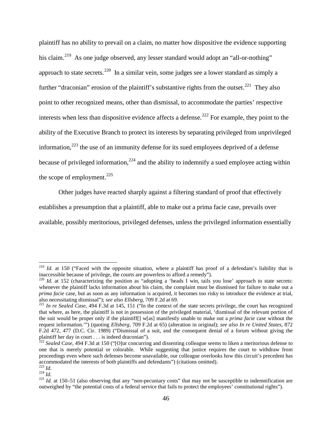plaintiff has no ability to prevail on a claim, no matter how dispositive the evidence supporting his claim.<sup>[219](#page-47-0)</sup> As one judge observed, any lesser standard would adopt an "all-or-nothing" approach to state secrets.<sup>220</sup> In a similar vein, some judges see a lower standard as simply a further "draconian" erosion of the plaintiff's substantive rights from the outset.<sup>221</sup> They also point to other recognized means, other than dismissal, to accommodate the parties' respective interests when less than dispositive evidence affects a defense.<sup>[222](#page-47-3)</sup> For example, they point to the ability of the Executive Branch to protect its interests by separating privileged from unprivileged information, $^{223}$  $^{223}$  $^{223}$  the use of an immunity defense for its sued employees deprived of a defense because of privileged information,  $224$  and the ability to indemnify a sued employee acting within the scope of employment.<sup>[225](#page-47-6)</sup>

Other judges have reacted sharply against a filtering standard of proof that effectively establishes a presumption that a plaintiff, able to make out a prima facie case, prevails over available, possibly meritorious, privileged defenses, unless the privileged information essentially

<span id="page-47-0"></span><sup>&</sup>lt;sup>219</sup> *Id.* at 150 ("Faced with the opposite situation, where a plaintiff has proof of a defendant's liability that is inaccessible because of privilege, the courts are powerless to afford a remedy").<br><sup>220</sup> *Id.* at 152 (characterizing the position as "adopting a 'heads I win, tails you lose' approach to state secrets:

<span id="page-47-1"></span>whenever the plaintiff lacks information about his claim, the complaint must be dismissed for failure to make out a *prima facie* case, but as soon as any information is acquired, it becomes too risky to introduce the evidence at trial, also necessitating dismissal"); *see also Ellsberg*, 709 F.2d at 69.<br><sup>221</sup> *In re Sealed Case*, 494 F.3d at 145, 151 ("In the context of the state secrets privilege, the court has recognized

<span id="page-47-2"></span>that where, as here, the plaintiff is not in possession of the privileged material, 'dismissal of the relevant portion of the suit would be proper only if the plaintiff[] w[as] manifestly unable to make out a *prima facie* case without the request information.'") (quoting *Ellsberg*, 709 F.2d at 65) (alteration in original); *see also In re United States*, 872 F.2d 472, 477 (D.C. Cir. 1989) ("Dismissal of a suit, and the consequent denial of a forum without giving the plaintiff her day in court . . . is indeed draconian").

<span id="page-47-3"></span><sup>&</sup>lt;sup>22</sup> Sealed Case, 494 F.3d at 150 ("[O]ur concurring and dissenting colleague seems to liken a meritorious defense to one that is merely potential or colorable. While suggesting that justice requires the court to withdraw from proceedings even where such defenses become unavailable, our colleague overlooks how this circuit's precedent has accommodated the interests of both plaintiffs and defendants") (citations omitted).

<span id="page-47-6"></span>

<span id="page-47-5"></span><span id="page-47-4"></span> $\frac{223}{224}$  *Id.*<br> $\frac{224}{1}$  *Id.* at 150–51 (also observing that any "non-pecuniary costs" that may not be susceptible to indemnification are outweighed by "the potential costs of a federal service that fails to protect the employees' constitutional rights").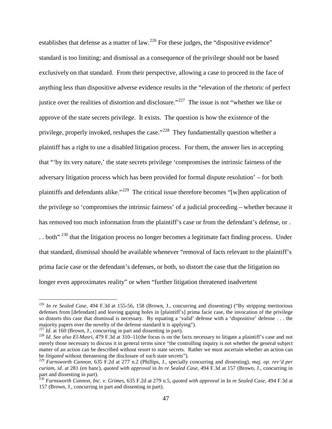establishes that defense as a matter of law.<sup>[226](#page-48-0)</sup> For these judges, the "dispositive evidence" standard is too limiting; and dismissal as a consequence of the privilege should not be based exclusively on that standard. From their perspective, allowing a case to proceed in the face of anything less than dispositive adverse evidence results in the "elevation of the rhetoric of perfect justice over the realities of distortion and disclosure."<sup>[227](#page-48-1)</sup> The issue is not "whether we like or approve of the state secrets privilege. It exists. The question is how the existence of the privilege, properly invoked, reshapes the case."<sup>228</sup> They fundamentally question whether a plaintiff has a right to use a disabled litigation process. For them, the answer lies in accepting that "'by its very nature,' the state secrets privilege 'compromises the intrinsic fairness of the adversary litigation process which has been provided for formal dispute resolution' – for both plaintiffs and defendants alike."[229](#page-48-3) The critical issue therefore becomes "[w]hen application of the privilege so 'compromises the intrinsic fairness' of a judicial proceeding – whether because it has removed too much information from the plaintiff's case or from the defendant's defense, or .  $\ldots$  both"<sup>[230](#page-48-4)</sup> that the litigation process no longer becomes a legitimate fact finding process. Under that standard, dismissal should be available whenever "removal of facts relevant to the plaintiff's prima facie case or the defendant's defenses, or both, so distort the case that the litigation no longer even approximates reality" or when "further litigation threatened inadvertent

<span id="page-48-0"></span><sup>226</sup> *In re Sealed Case*, 494 F.3d at 155-56, 158 (Brown, J., concurring and dissenting) ("By stripping meritorious defenses from [defendant] and leaving gaping holes in [plaintiff's] prima facie case, the invocation of the privilege so distorts this case that dismissal is necessary. By equating a 'valid' defense with a 'dispositive' defense ... the majority papers over the novelty of the defense standard it is applying").

<span id="page-48-2"></span>

<span id="page-48-1"></span> $^{227}$  *Id.* at 160 (Brown, J., concurring in part and dissenting in part).<br><sup>228</sup> *Id. See also El-Masri*, 479 F.3d at 310–11(the focus is on the facts necessary to litigate a plaintiff's case and not merely those necessary to discuss it in general terms since "the controlling inquiry is not whether the general subject matter of an action can be described without resort to state secrets. Rather we must ascertain whether an action can be *litigated* without threatening the disclosure of such state secrets").

<span id="page-48-3"></span>be *litigated* without threatening the disclosure of such state secrets"). <sup>229</sup> *Farnsworth Cannon*, 635 F.2d at 277 n.2 (Phillips, J., specially concurring and dissenting), *maj. op. rev'd per curiam, id*. at 281 (en banc), *quoted with approval* in *In re Sealed Case*, 494 F.3d at 157 (Brown, J., concurring in part and dissenting in part).<br><sup>230</sup> *Farnsworth Cannon, Inc. v. Grimes,* 635 F.2d at 279 n.5, *quoted with approval* in In re *Sealed Case*, 494 F.3d at

<span id="page-48-4"></span><sup>157 (</sup>Brown, J., concurring in part and dissenting in part).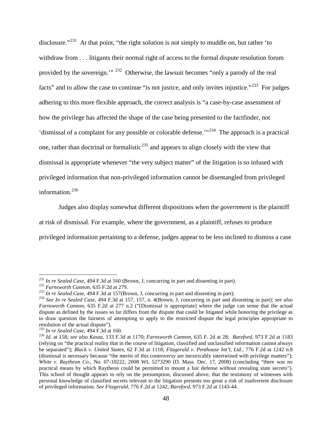disclosure."<sup>[231](#page-49-0)</sup> At that point, "the right solution is not simply to muddle on, but rather 'to withdraw from . . . litigants their normal right of access to the formal dispute resolution forum provided by the sovereign.'" [232](#page-49-1) Otherwise, the lawsuit becomes "only a parody of the real facts" and to allow the case to continue "is not justice, and only invites injustice."<sup>233</sup> For judges adhering to this more flexible approach, the correct analysis is "a case-by-case assessment of how the privilege has affected the shape of the case being presented to the factfinder, not 'dismissal of a complaint for any possible or colorable defense.'"[234](#page-49-3) The approach is a practical one, rather than doctrinal or formalistic<sup>[235](#page-49-4)</sup> and appears to align closely with the view that dismissal is appropriate whenever "the very subject matter" of the litigation is so infused with privileged information that non-privileged information cannot be disentangled from privileged information.<sup>[236](#page-49-5)</sup>

Judges also display somewhat different dispositions when the *government* is the plaintiff at risk of dismissal. For example, where the government, as a plaintiff, refuses to produce privileged information pertaining to a defense, judges appear to be less inclined to dismiss a case

<span id="page-49-0"></span> $^{231}$  In re Sealed Case, 494 F.3d at 160 (Brown, J, concurring in part and dissenting in part).

<span id="page-49-3"></span><span id="page-49-2"></span>

<span id="page-49-1"></span><sup>&</sup>lt;sup>232</sup> Farnsworth Cannon, 635 F.2d at 279.<br><sup>233</sup> In re Sealed Case, 494 F.3d at 157(Brown, J, concurring in part and dissenting in part).<br><sup>234</sup> See In re Sealed Case, 494 F.3d at 157, 157, n. 4(Brown, J, concurring in part *Farnsworth Cannon*, 635 F.2d at 277 n.2 ("[Dismissal is appropriate] where the judge can sense that the actual dispute as defined by the issues so far differs from the dispute that could be litigated while honoring the privilege as to draw question the fairness of attempting to apply to the restricted dispute the legal principles appropriate to

<span id="page-49-5"></span>

<span id="page-49-4"></span> $^{235}$  In re Sealed Case, 494 F.3d at 160.<br> $^{236}$  Id. at 158; see also Kasza, 133 F.3d at 1170; Farnsworth Cannon, 635 F. 2d at 28; Bareford, 973 F.2d at 1183 (relying on "the practical reality that in the course of litigation, classified and unclassified information cannot always be separated"); *Black v. United States*, 62 F.3d at 1118; *Fitzgerald v. Penthouse Int'l, Ltd.*, 776 F.2d at 1242 n.8 (dismissal is necessary because "the merits of this controversy are inextricably intertwined with privilege matters"); *White v. Raytheon Co.*, No. 07-10222, 2008 WL 5273290 (D. Mass. Dec. 17, 2008) (concluding "there was no practical means by which Raytheon could be permitted to mount a fair defense without revealing state secrets"). This school of thought appears to rely on the presumption, discussed above, that the testimony of witnesses with personal knowledge of classified secrets relevant to the litigation presents too great a risk of inadvertent disclosure of privileged information. *See Fitzgerald*, 776 F.2d at 1242; *Bareford*, 973 F.2d at 1143-44.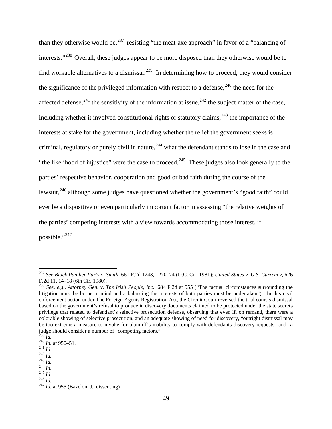than they otherwise would be,  $237$  resisting "the meat-axe approach" in favor of a "balancing of interests."[238](#page-50-1) Overall, these judges appear to be more disposed than they otherwise would be to find workable alternatives to a dismissal.<sup>[239](#page-50-2)</sup> In determining how to proceed, they would consider the significance of the privileged information with respect to a defense,  $240$  the need for the affected defense,<sup>[241](#page-50-4)</sup> the sensitivity of the information at issue,<sup>[242](#page-50-5)</sup> the subject matter of the case, including whether it involved constitutional rights or statutory claims,  $^{243}$  $^{243}$  $^{243}$  the importance of the interests at stake for the government, including whether the relief the government seeks is criminal, regulatory or purely civil in nature,  $244$  what the defendant stands to lose in the case and "the likelihood of injustice" were the case to proceed.<sup>[245](#page-50-8)</sup> These judges also look generally to the parties' respective behavior, cooperation and good or bad faith during the course of the lawsuit,<sup>[246](#page-50-9)</sup> although some judges have questioned whether the government's "good faith" could ever be a dispositive or even particularly important factor in assessing "the relative weights of the parties' competing interests with a view towards accommodating those interest, if possible."[247](#page-50-10)

<span id="page-50-0"></span><sup>237</sup> *See Black Panther Party v. Smith*, 661 F.2d 1243, 1270–74 (D.C. Cir. 1981); *United States v. U.S. Currency*, 626 F.2d 11, 14–18 (6th Cir. 1980). <sup>238</sup> *See, e.g.*, *Attorney Gen. v. The Irish People, Inc.*, 684 F.2d at 955 ("The factual circumstances surrounding the

<span id="page-50-1"></span>litigation must be borne in mind and a balancing the interests of both parties must be undertaken"). In this civil enforcement action under The Foreign Agents Registration Act, the Circuit Court reversed the trial court's dismissal based on the government's refusal to produce in discovery documents claimed to be protected under the state secrets privilege that related to defendant's selective prosecution defense, observing that even if, on remand, there were a colorable showing of selective prosecution, and an adequate showing of need for discovery, "outright dismissal may be too extreme a measure to invoke for plaintiff's inability to comply with defendants discovery requests" and a judge should consider a number of "competing factors."<br> $^{239}$  *Id.* 

<span id="page-50-4"></span>

<span id="page-50-6"></span><span id="page-50-5"></span>

<span id="page-50-7"></span>

<span id="page-50-8"></span>

<span id="page-50-10"></span><span id="page-50-9"></span>

<span id="page-50-3"></span><span id="page-50-2"></span><sup>240</sup> *Id.* **241** *Id.* 242 *Id.* 242 *Id.* 243 *Id.* 243 *Id.* 245 *Id.* 245 *Id.* 245 *Id.* 245 *Id.* 247 *Id.* at 955 (Bazelon, J., dissenting)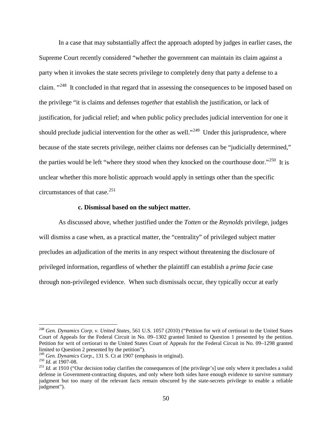In a case that may substantially affect the approach adopted by judges in earlier cases, the Supreme Court recently considered "whether the government can maintain its claim against a party when it invokes the state secrets privilege to completely deny that party a defense to a claim. "<sup>248</sup> It concluded in that regard that in assessing the consequences to be imposed based on the privilege "it is claims and defenses *together* that establish the justification, or lack of justification, for judicial relief; and when public policy precludes judicial intervention for one it should preclude judicial intervention for the other as well."<sup>[249](#page-51-1)</sup> Under this jurisprudence, where because of the state secrets privilege, neither claims nor defenses can be "judicially determined," the parties would be left "where they stood when they knocked on the courthouse door."<sup>250</sup> It is unclear whether this more holistic approach would apply in settings other than the specific circumstances of that case. $^{251}$  $^{251}$  $^{251}$ 

#### **c. Dismissal based on the subject matter.**

As discussed above, whether justified under the *Totten* or the *Reynolds* privilege, judges will dismiss a case when, as a practical matter, the "centrality" of privileged subject matter precludes an adjudication of the merits in any respect without threatening the disclosure of privileged information, regardless of whether the plaintiff can establish a *prima facie* case through non-privileged evidence. When such dismissals occur, they typically occur at early

<span id="page-51-0"></span><sup>248</sup> *Gen. Dynamics Corp. v. United States*, 561 U.S. 1057 (2010) ("Petition for writ of certiorari to the United States Court of Appeals for the Federal Circuit in No. 09–1302 granted limited to Question 1 presented by the petition. Petition for writ of certiorari to the United States Court of Appeals for the Federal Circuit in No. 09–1298 granted limited to Question 2 presented by the petition").<br><sup>249</sup> Gen. Dynamics Corp., 131 S. Ct at 1907 (emphasis in original).

<span id="page-51-3"></span><span id="page-51-2"></span><span id="page-51-1"></span><sup>&</sup>lt;sup>250</sup> *Id.* at 1907-08.<br><sup>251</sup> *Id.* at 1910 ("Our decision today clarifies the consequences of [the privilege's] use only where it precludes a valid defense in Government-contracting disputes, and only where both sides have enough evidence to survive summary judgment but too many of the relevant facts remain obscured by the state-secrets privilege to enable a reliable judgment").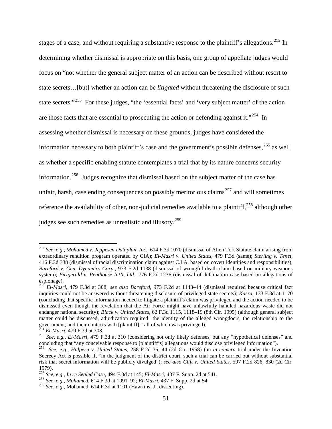stages of a case, and without requiring a substantive response to the plaintiff's allegations.<sup>[252](#page-52-0)</sup> In determining whether dismissal is appropriate on this basis, one group of appellate judges would focus on "not whether the general subject matter of an action can be described without resort to state secrets…[but] whether an action can be *litigated* without threatening the disclosure of such state secrets."<sup>253</sup> For these judges, "the 'essential facts' and 'very subject matter' of the action are those facts that are essential to prosecuting the action or defending against it."<sup>254</sup> In assessing whether dismissal is necessary on these grounds, judges have considered the information necessary to both plaintiff's case and the government's possible defenses,  $255$  as well as whether a specific enabling statute contemplates a trial that by its nature concerns security information.[256](#page-52-4) Judges recognize that dismissal based on the subject matter of the case has unfair, harsh, case ending consequences on possibly meritorious claims<sup>[257](#page-52-5)</sup> and will sometimes reference the availability of other, non-judicial remedies available to a plaintiff,<sup>[258](#page-52-6)</sup> although other judges see such remedies as unrealistic and illusory.[259](#page-52-7)

<span id="page-52-0"></span><sup>252</sup> *See, e.g.*, *Mohamed v. Jeppesen Dataplan, Inc*., 614 F.3d 1070 (dismissal of Alien Tort Statute claim arising from extraordinary rendition program operated by CIA); *El-Masri v. United States*, 479 F.3d (same); *Sterling v. Tenet,* 416 F.3d 338 (dismissal of racial discrimination claim against C.I.A. based on covert identities and responsibilities); *Bareford v. Gen. Dynamics Corp.*, 973 F.2d 1138 (dismissal of wrongful death claim based on military weapons system); *Fitzgerald v. Penthouse Int'l, Ltd*., 776 F.2d 1236 (dismissal of defamation case based on allegations of espionage).

<span id="page-52-1"></span><sup>253</sup> *El-Masri,* 479 F.3d at 308; *see also Bareford*, 973 F.2d at 1143–44 (dismissal required because critical fact inquiries could not be answered without threatening disclosure of privileged state secrets); *Kasza*, 133 F.3d at 1170 (concluding that specific information needed to litigate a plaintiff's claim was privileged and the action needed to be dismissed even though the revelation that the Air Force might have unlawfully handled hazardous waste did not endanger national security); *Black v. United States,* 62 F.3d 1115, 1118–19 (8th Cir. 1995) (although general subject matter could be discussed, adjudication required "the identity of the alleged wrongdoers, the relationship to the

<span id="page-52-3"></span>

<span id="page-52-2"></span>government, and their contacts with [plaintiff]," all of which was privileged).<br><sup>254</sup> El-Masri, 479 F.3d at 308.<br><sup>255</sup> See, e.g., El-Masri, 479 F.3d at 310 (considering not only likely defenses, but any "hypothetical defen

<span id="page-52-4"></span><sup>&</sup>lt;sup>256</sup> See, e.g., Halpern v. United States, 258 F.2d 36, 44 (2d Cir. 1958) (an in camera trial under the Invention Secrecy Act is possible if, "in the judgment of the district court, such a trial can be carried out without substantial risk that secret information will be publicly divulged"); *see also Clift v. United States*, 597 F.2d 826, 830 (2d Cir. 1979).<br><sup>257</sup> See, e.g., *In re Sealed Case*, 494 F.3d at 145; *El-Masri*, 437 F. Supp. 2d at 541.

<span id="page-52-6"></span><span id="page-52-5"></span><sup>&</sup>lt;sup>258</sup> See, e.g., *Mohamed*, 614 F.3d at 1091–92; *El-Masri*, 437 F. Supp. 2d at 54.<br><sup>259</sup> See, e.g., Mohamed, 614 F.3d at 1101 (Hawkins, J., dissenting).

<span id="page-52-7"></span>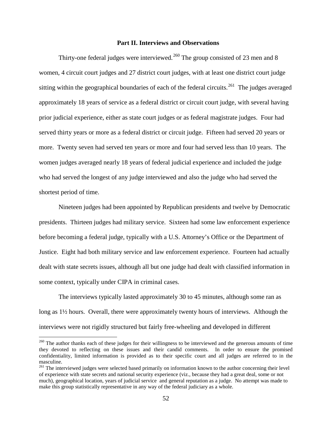#### **Part II. Interviews and Observations**

Thirty-one federal judges were interviewed.<sup>[260](#page-53-0)</sup> The group consisted of 23 men and 8 women, 4 circuit court judges and 27 district court judges, with at least one district court judge sitting within the geographical boundaries of each of the federal circuits.<sup>[261](#page-53-1)</sup> The judges averaged approximately 18 years of service as a federal district or circuit court judge, with several having prior judicial experience, either as state court judges or as federal magistrate judges. Four had served thirty years or more as a federal district or circuit judge. Fifteen had served 20 years or more. Twenty seven had served ten years or more and four had served less than 10 years. The women judges averaged nearly 18 years of federal judicial experience and included the judge who had served the longest of any judge interviewed and also the judge who had served the shortest period of time.

Nineteen judges had been appointed by Republican presidents and twelve by Democratic presidents. Thirteen judges had military service. Sixteen had some law enforcement experience before becoming a federal judge, typically with a U.S. Attorney's Office or the Department of Justice. Eight had both military service and law enforcement experience. Fourteen had actually dealt with state secrets issues, although all but one judge had dealt with classified information in some context, typically under CIPA in criminal cases.

The interviews typically lasted approximately 30 to 45 minutes, although some ran as long as 1½ hours. Overall, there were approximately twenty hours of interviews. Although the interviews were not rigidly structured but fairly free-wheeling and developed in different

<span id="page-53-0"></span> $260$  The author thanks each of these judges for their willingness to be interviewed and the generous amounts of time they devoted to reflecting on these issues and their candid comments. In order to ensure the promised confidentiality, limited information is provided as to their specific court and all judges are referred to in the masculine.

<span id="page-53-1"></span><sup>&</sup>lt;sup>261</sup> The interviewed judges were selected based primarily on information known to the author concerning their level of experience with state secrets and national security experience (viz., because they had a great deal, some or not much), geographical location, years of judicial service and general reputation as a judge. No attempt was made to make this group statistically representative in any way of the federal judiciary as a whole.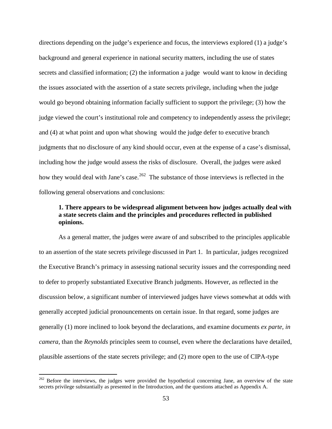directions depending on the judge's experience and focus, the interviews explored (1) a judge's background and general experience in national security matters, including the use of states secrets and classified information; (2) the information a judge would want to know in deciding the issues associated with the assertion of a state secrets privilege, including when the judge would go beyond obtaining information facially sufficient to support the privilege; (3) how the judge viewed the court's institutional role and competency to independently assess the privilege; and (4) at what point and upon what showing would the judge defer to executive branch judgments that no disclosure of any kind should occur, even at the expense of a case's dismissal, including how the judge would assess the risks of disclosure. Overall, the judges were asked how they would deal with Jane's case.<sup>[262](#page-54-0)</sup> The substance of those interviews is reflected in the following general observations and conclusions:

# **1. There appears to be widespread alignment between how judges actually deal with a state secrets claim and the principles and procedures reflected in published opinions.**

As a general matter, the judges were aware of and subscribed to the principles applicable to an assertion of the state secrets privilege discussed in Part 1. In particular, judges recognized the Executive Branch's primacy in assessing national security issues and the corresponding need to defer to properly substantiated Executive Branch judgments. However, as reflected in the discussion below, a significant number of interviewed judges have views somewhat at odds with generally accepted judicial pronouncements on certain issue. In that regard, some judges are generally (1) more inclined to look beyond the declarations, and examine documents *ex parte, in camera,* than the *Reynolds* principles seem to counsel, even where the declarations have detailed, plausible assertions of the state secrets privilege; and (2) more open to the use of CIPA-type

<span id="page-54-0"></span> $^{262}$  Before the interviews, the judges were provided the hypothetical concerning Jane, an overview of the state secrets privilege substantially as presented in the Introduction, and the questions attached as Appendix A.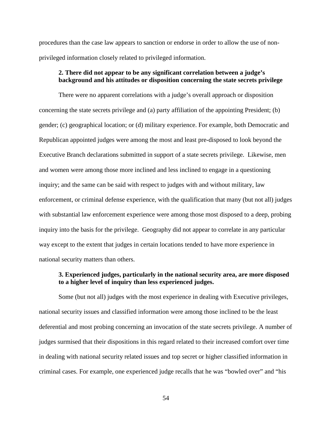procedures than the case law appears to sanction or endorse in order to allow the use of nonprivileged information closely related to privileged information.

## **2. There did not appear to be any significant correlation between a judge's background and his attitudes or disposition concerning the state secrets privilege**

There were no apparent correlations with a judge's overall approach or disposition concerning the state secrets privilege and (a) party affiliation of the appointing President; (b) gender; (c) geographical location; or (d) military experience. For example, both Democratic and Republican appointed judges were among the most and least pre-disposed to look beyond the Executive Branch declarations submitted in support of a state secrets privilege. Likewise, men and women were among those more inclined and less inclined to engage in a questioning inquiry; and the same can be said with respect to judges with and without military, law enforcement, or criminal defense experience, with the qualification that many (but not all) judges with substantial law enforcement experience were among those most disposed to a deep, probing inquiry into the basis for the privilege. Geography did not appear to correlate in any particular way except to the extent that judges in certain locations tended to have more experience in national security matters than others.

# **3. Experienced judges, particularly in the national security area, are more disposed to a higher level of inquiry than less experienced judges.**

Some (but not all) judges with the most experience in dealing with Executive privileges, national security issues and classified information were among those inclined to be the least deferential and most probing concerning an invocation of the state secrets privilege. A number of judges surmised that their dispositions in this regard related to their increased comfort over time in dealing with national security related issues and top secret or higher classified information in criminal cases. For example, one experienced judge recalls that he was "bowled over" and "his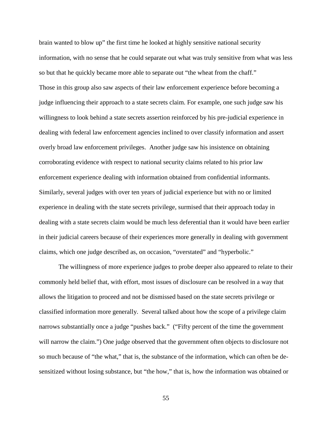brain wanted to blow up" the first time he looked at highly sensitive national security information, with no sense that he could separate out what was truly sensitive from what was less so but that he quickly became more able to separate out "the wheat from the chaff." Those in this group also saw aspects of their law enforcement experience before becoming a judge influencing their approach to a state secrets claim. For example, one such judge saw his willingness to look behind a state secrets assertion reinforced by his pre-judicial experience in dealing with federal law enforcement agencies inclined to over classify information and assert overly broad law enforcement privileges. Another judge saw his insistence on obtaining corroborating evidence with respect to national security claims related to his prior law enforcement experience dealing with information obtained from confidential informants. Similarly, several judges with over ten years of judicial experience but with no or limited experience in dealing with the state secrets privilege, surmised that their approach today in dealing with a state secrets claim would be much less deferential than it would have been earlier in their judicial careers because of their experiences more generally in dealing with government claims, which one judge described as, on occasion, "overstated" and "hyperbolic."

The willingness of more experience judges to probe deeper also appeared to relate to their commonly held belief that, with effort, most issues of disclosure can be resolved in a way that allows the litigation to proceed and not be dismissed based on the state secrets privilege or classified information more generally. Several talked about how the scope of a privilege claim narrows substantially once a judge "pushes back." ("Fifty percent of the time the government will narrow the claim.") One judge observed that the government often objects to disclosure not so much because of "the what," that is, the substance of the information, which can often be desensitized without losing substance, but "the how," that is, how the information was obtained or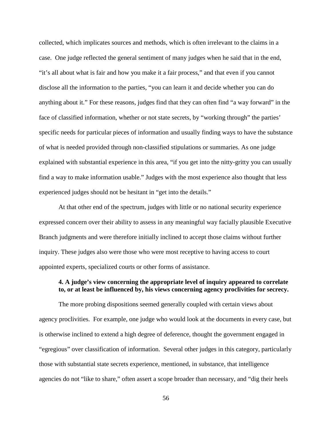collected, which implicates sources and methods, which is often irrelevant to the claims in a case. One judge reflected the general sentiment of many judges when he said that in the end, "it's all about what is fair and how you make it a fair process," and that even if you cannot disclose all the information to the parties, "you can learn it and decide whether you can do anything about it." For these reasons, judges find that they can often find "a way forward" in the face of classified information, whether or not state secrets, by "working through" the parties' specific needs for particular pieces of information and usually finding ways to have the substance of what is needed provided through non-classified stipulations or summaries. As one judge explained with substantial experience in this area, "if you get into the nitty-gritty you can usually find a way to make information usable." Judges with the most experience also thought that less experienced judges should not be hesitant in "get into the details."

At that other end of the spectrum, judges with little or no national security experience expressed concern over their ability to assess in any meaningful way facially plausible Executive Branch judgments and were therefore initially inclined to accept those claims without further inquiry. These judges also were those who were most receptive to having access to court appointed experts, specialized courts or other forms of assistance.

### **4. A judge's view concerning the appropriate level of inquiry appeared to correlate to, or at least be influenced by, his views concerning agency proclivities for secrecy.**

The more probing dispositions seemed generally coupled with certain views about agency proclivities. For example, one judge who would look at the documents in every case, but is otherwise inclined to extend a high degree of deference, thought the government engaged in "egregious" over classification of information. Several other judges in this category, particularly those with substantial state secrets experience, mentioned, in substance, that intelligence agencies do not "like to share," often assert a scope broader than necessary, and "dig their heels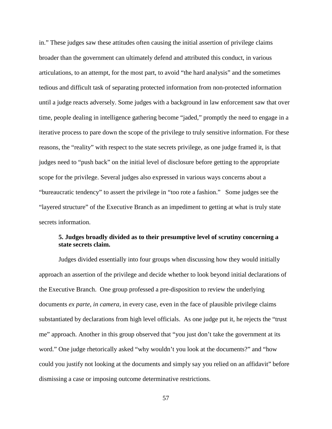in." These judges saw these attitudes often causing the initial assertion of privilege claims broader than the government can ultimately defend and attributed this conduct, in various articulations, to an attempt, for the most part, to avoid "the hard analysis" and the sometimes tedious and difficult task of separating protected information from non-protected information until a judge reacts adversely. Some judges with a background in law enforcement saw that over time, people dealing in intelligence gathering become "jaded," promptly the need to engage in a iterative process to pare down the scope of the privilege to truly sensitive information. For these reasons, the "reality" with respect to the state secrets privilege, as one judge framed it, is that judges need to "push back" on the initial level of disclosure before getting to the appropriate scope for the privilege. Several judges also expressed in various ways concerns about a "bureaucratic tendency" to assert the privilege in "too rote a fashion." Some judges see the "layered structure" of the Executive Branch as an impediment to getting at what is truly state secrets information.

# **5. Judges broadly divided as to their presumptive level of scrutiny concerning a state secrets claim.**

Judges divided essentially into four groups when discussing how they would initially approach an assertion of the privilege and decide whether to look beyond initial declarations of the Executive Branch. One group professed a pre-disposition to review the underlying documents *ex parte*, *in camera,* in every case, even in the face of plausible privilege claims substantiated by declarations from high level officials. As one judge put it, he rejects the "trust me" approach. Another in this group observed that "you just don't take the government at its word." One judge rhetorically asked "why wouldn't you look at the documents?" and "how could you justify not looking at the documents and simply say you relied on an affidavit" before dismissing a case or imposing outcome determinative restrictions.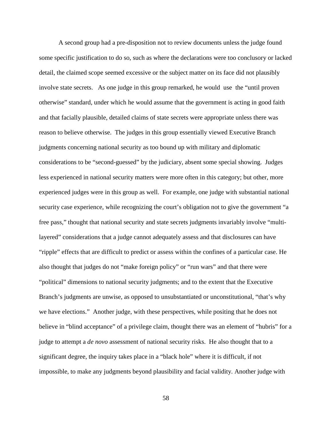A second group had a pre-disposition not to review documents unless the judge found some specific justification to do so, such as where the declarations were too conclusory or lacked detail, the claimed scope seemed excessive or the subject matter on its face did not plausibly involve state secrets. As one judge in this group remarked, he would use the "until proven otherwise" standard, under which he would assume that the government is acting in good faith and that facially plausible, detailed claims of state secrets were appropriate unless there was reason to believe otherwise. The judges in this group essentially viewed Executive Branch judgments concerning national security as too bound up with military and diplomatic considerations to be "second-guessed" by the judiciary, absent some special showing. Judges less experienced in national security matters were more often in this category; but other, more experienced judges were in this group as well. For example, one judge with substantial national security case experience, while recognizing the court's obligation not to give the government "a free pass," thought that national security and state secrets judgments invariably involve "multilayered" considerations that a judge cannot adequately assess and that disclosures can have "ripple" effects that are difficult to predict or assess within the confines of a particular case. He also thought that judges do not "make foreign policy" or "run wars" and that there were "political" dimensions to national security judgments; and to the extent that the Executive Branch's judgments are unwise, as opposed to unsubstantiated or unconstitutional, "that's why we have elections." Another judge, with these perspectives, while positing that he does not believe in "blind acceptance" of a privilege claim, thought there was an element of "hubris" for a judge to attempt a *de novo* assessment of national security risks. He also thought that to a significant degree, the inquiry takes place in a "black hole" where it is difficult, if not impossible, to make any judgments beyond plausibility and facial validity. Another judge with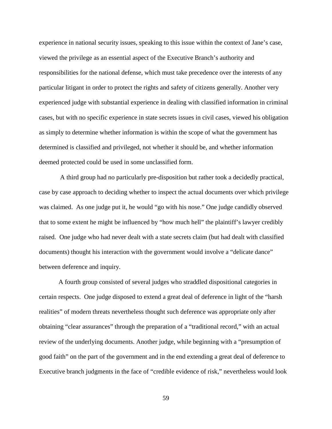experience in national security issues, speaking to this issue within the context of Jane's case, viewed the privilege as an essential aspect of the Executive Branch's authority and responsibilities for the national defense, which must take precedence over the interests of any particular litigant in order to protect the rights and safety of citizens generally. Another very experienced judge with substantial experience in dealing with classified information in criminal cases, but with no specific experience in state secrets issues in civil cases, viewed his obligation as simply to determine whether information is within the scope of what the government has determined is classified and privileged, not whether it should be, and whether information deemed protected could be used in some unclassified form.

A third group had no particularly pre-disposition but rather took a decidedly practical, case by case approach to deciding whether to inspect the actual documents over which privilege was claimed. As one judge put it, he would "go with his nose." One judge candidly observed that to some extent he might be influenced by "how much hell" the plaintiff's lawyer credibly raised. One judge who had never dealt with a state secrets claim (but had dealt with classified documents) thought his interaction with the government would involve a "delicate dance" between deference and inquiry.

A fourth group consisted of several judges who straddled dispositional categories in certain respects. One judge disposed to extend a great deal of deference in light of the "harsh realities" of modern threats nevertheless thought such deference was appropriate only after obtaining "clear assurances" through the preparation of a "traditional record," with an actual review of the underlying documents. Another judge, while beginning with a "presumption of good faith" on the part of the government and in the end extending a great deal of deference to Executive branch judgments in the face of "credible evidence of risk," nevertheless would look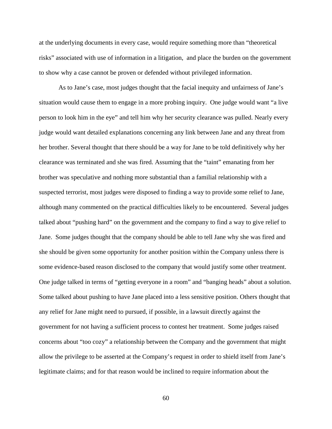at the underlying documents in every case, would require something more than "theoretical risks" associated with use of information in a litigation, and place the burden on the government to show why a case cannot be proven or defended without privileged information.

As to Jane's case, most judges thought that the facial inequity and unfairness of Jane's situation would cause them to engage in a more probing inquiry. One judge would want "a live person to look him in the eye" and tell him why her security clearance was pulled. Nearly every judge would want detailed explanations concerning any link between Jane and any threat from her brother. Several thought that there should be a way for Jane to be told definitively why her clearance was terminated and she was fired. Assuming that the "taint" emanating from her brother was speculative and nothing more substantial than a familial relationship with a suspected terrorist, most judges were disposed to finding a way to provide some relief to Jane, although many commented on the practical difficulties likely to be encountered. Several judges talked about "pushing hard" on the government and the company to find a way to give relief to Jane. Some judges thought that the company should be able to tell Jane why she was fired and she should be given some opportunity for another position within the Company unless there is some evidence-based reason disclosed to the company that would justify some other treatment. One judge talked in terms of "getting everyone in a room" and "banging heads" about a solution. Some talked about pushing to have Jane placed into a less sensitive position. Others thought that any relief for Jane might need to pursued, if possible, in a lawsuit directly against the government for not having a sufficient process to contest her treatment. Some judges raised concerns about "too cozy" a relationship between the Company and the government that might allow the privilege to be asserted at the Company's request in order to shield itself from Jane's legitimate claims; and for that reason would be inclined to require information about the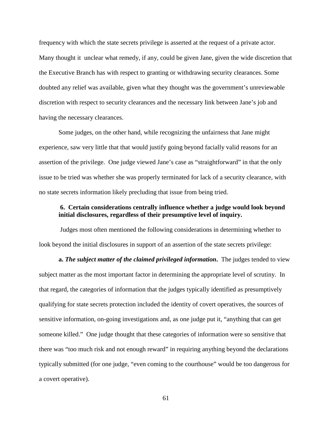frequency with which the state secrets privilege is asserted at the request of a private actor. Many thought it unclear what remedy, if any, could be given Jane, given the wide discretion that the Executive Branch has with respect to granting or withdrawing security clearances. Some doubted any relief was available, given what they thought was the government's unreviewable discretion with respect to security clearances and the necessary link between Jane's job and having the necessary clearances.

Some judges, on the other hand, while recognizing the unfairness that Jane might experience, saw very little that that would justify going beyond facially valid reasons for an assertion of the privilege. One judge viewed Jane's case as "straightforward" in that the only issue to be tried was whether she was properly terminated for lack of a security clearance, with no state secrets information likely precluding that issue from being tried.

### **6. Certain considerations centrally influence whether a judge would look beyond initial disclosures, regardless of their presumptive level of inquiry.**

Judges most often mentioned the following considerations in determining whether to look beyond the initial disclosures in support of an assertion of the state secrets privilege:

**a.** *The subject matter of the claimed privileged information***.** The judges tended to view subject matter as the most important factor in determining the appropriate level of scrutiny. In that regard, the categories of information that the judges typically identified as presumptively qualifying for state secrets protection included the identity of covert operatives, the sources of sensitive information, on-going investigations and, as one judge put it, "anything that can get someone killed." One judge thought that these categories of information were so sensitive that there was "too much risk and not enough reward" in requiring anything beyond the declarations typically submitted (for one judge, "even coming to the courthouse" would be too dangerous for a covert operative).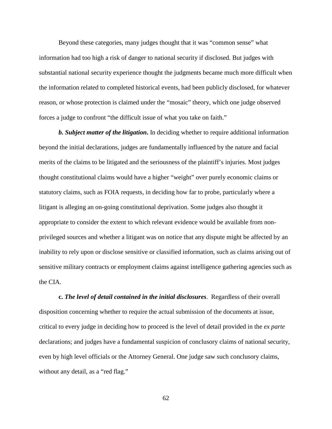Beyond these categories, many judges thought that it was "common sense" what information had too high a risk of danger to national security if disclosed. But judges with substantial national security experience thought the judgments became much more difficult when the information related to completed historical events, had been publicly disclosed, for whatever reason, or whose protection is claimed under the "mosaic" theory, which one judge observed forces a judge to confront "the difficult issue of what you take on faith."

*b. Subject matter of the litigation***.** In deciding whether to require additional information beyond the initial declarations, judges are fundamentally influenced by the nature and facial merits of the claims to be litigated and the seriousness of the plaintiff's injuries. Most judges thought constitutional claims would have a higher "weight" over purely economic claims or statutory claims, such as FOIA requests, in deciding how far to probe, particularly where a litigant is alleging an on-going constitutional deprivation. Some judges also thought it appropriate to consider the extent to which relevant evidence would be available from nonprivileged sources and whether a litigant was on notice that any dispute might be affected by an inability to rely upon or disclose sensitive or classified information, such as claims arising out of sensitive military contracts or employment claims against intelligence gathering agencies such as the CIA.

**c.** *The level of detail contained in the initial disclosures*. Regardless of their overall disposition concerning whether to require the actual submission of the documents at issue, critical to every judge in deciding how to proceed is the level of detail provided in the *ex parte* declarations; and judges have a fundamental suspicion of conclusory claims of national security, even by high level officials or the Attorney General. One judge saw such conclusory claims, without any detail, as a "red flag."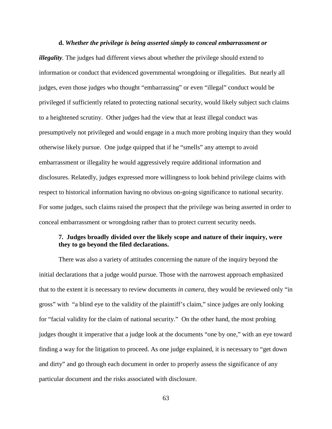**d.** *Whether the privilege is being asserted simply to conceal embarrassment or illegality.* The judges had different views about whether the privilege should extend to information or conduct that evidenced governmental wrongdoing or illegalities. But nearly all judges, even those judges who thought "embarrassing" or even "illegal" conduct would be privileged if sufficiently related to protecting national security, would likely subject such claims to a heightened scrutiny. Other judges had the view that at least illegal conduct was presumptively not privileged and would engage in a much more probing inquiry than they would otherwise likely pursue. One judge quipped that if he "smells" any attempt to avoid embarrassment or illegality he would aggressively require additional information and disclosures. Relatedly, judges expressed more willingness to look behind privilege claims with respect to historical information having no obvious on-going significance to national security. For some judges, such claims raised the prospect that the privilege was being asserted in order to conceal embarrassment or wrongdoing rather than to protect current security needs.

## **7. Judges broadly divided over the likely scope and nature of their inquiry, were they to go beyond the filed declarations.**

There was also a variety of attitudes concerning the nature of the inquiry beyond the initial declarations that a judge would pursue. Those with the narrowest approach emphasized that to the extent it is necessary to review documents *in camera,* they would be reviewed only "in gross" with "a blind eye to the validity of the plaintiff's claim," since judges are only looking for "facial validity for the claim of national security." On the other hand, the most probing judges thought it imperative that a judge look at the documents "one by one," with an eye toward finding a way for the litigation to proceed. As one judge explained, it is necessary to "get down and dirty" and go through each document in order to properly assess the significance of any particular document and the risks associated with disclosure.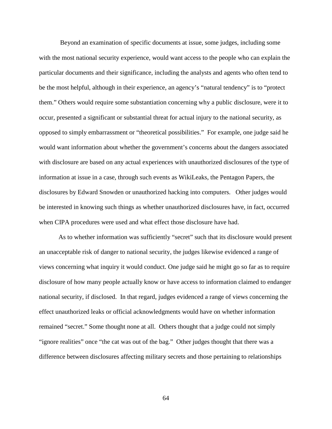Beyond an examination of specific documents at issue, some judges, including some with the most national security experience, would want access to the people who can explain the particular documents and their significance, including the analysts and agents who often tend to be the most helpful, although in their experience, an agency's "natural tendency" is to "protect them." Others would require some substantiation concerning why a public disclosure, were it to occur, presented a significant or substantial threat for actual injury to the national security, as opposed to simply embarrassment or "theoretical possibilities." For example, one judge said he would want information about whether the government's concerns about the dangers associated with disclosure are based on any actual experiences with unauthorized disclosures of the type of information at issue in a case, through such events as WikiLeaks, the Pentagon Papers, the disclosures by Edward Snowden or unauthorized hacking into computers. Other judges would be interested in knowing such things as whether unauthorized disclosures have, in fact, occurred when CIPA procedures were used and what effect those disclosure have had.

As to whether information was sufficiently "secret" such that its disclosure would present an unacceptable risk of danger to national security, the judges likewise evidenced a range of views concerning what inquiry it would conduct. One judge said he might go so far as to require disclosure of how many people actually know or have access to information claimed to endanger national security, if disclosed. In that regard, judges evidenced a range of views concerning the effect unauthorized leaks or official acknowledgments would have on whether information remained "secret." Some thought none at all. Others thought that a judge could not simply "ignore realities" once "the cat was out of the bag." Other judges thought that there was a difference between disclosures affecting military secrets and those pertaining to relationships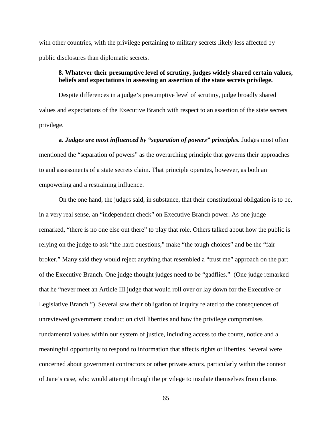with other countries, with the privilege pertaining to military secrets likely less affected by public disclosures than diplomatic secrets.

## **8. Whatever their presumptive level of scrutiny, judges widely shared certain values, beliefs and expectations in assessing an assertion of the state secrets privilege.**

Despite differences in a judge's presumptive level of scrutiny, judge broadly shared values and expectations of the Executive Branch with respect to an assertion of the state secrets privilege.

**a***. Judges are most influenced by "separation of powers" principles.* Judges most often mentioned the "separation of powers" as the overarching principle that governs their approaches to and assessments of a state secrets claim. That principle operates, however, as both an empowering and a restraining influence.

On the one hand, the judges said, in substance, that their constitutional obligation is to be, in a very real sense, an "independent check" on Executive Branch power. As one judge remarked, "there is no one else out there" to play that role. Others talked about how the public is relying on the judge to ask "the hard questions," make "the tough choices" and be the "fair broker." Many said they would reject anything that resembled a "trust me" approach on the part of the Executive Branch. One judge thought judges need to be "gadflies." (One judge remarked that he "never meet an Article III judge that would roll over or lay down for the Executive or Legislative Branch.") Several saw their obligation of inquiry related to the consequences of unreviewed government conduct on civil liberties and how the privilege compromises fundamental values within our system of justice, including access to the courts, notice and a meaningful opportunity to respond to information that affects rights or liberties. Several were concerned about government contractors or other private actors, particularly within the context of Jane's case, who would attempt through the privilege to insulate themselves from claims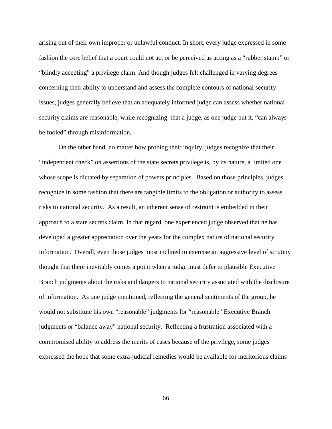arising out of their own improper or unlawful conduct. In short, every judge expressed in some fashion the core belief that a court could not act or be perceived as acting as a "rubber stamp" or "blindly accepting" a privilege claim. And though judges felt challenged in varying degrees concerning their ability to understand and assess the complete contours of national security issues, judges generally believe that an adequately informed judge can assess whether national security claims are reasonable, while recognizing that a judge, as one judge put it, "can always" be fooled" through misinformation,

On the other hand, no matter how probing their inquiry, judges recognize that their "independent check" on assertions of the state secrets privilege is, by its nature, a limited one whose scope is dictated by separation of powers principles. Based on those principles, judges recognize in some fashion that there are tangible limits to the obligation or authority to assess risks to national security. As a result, an inherent sense of restraint is embedded in their approach to a state secrets claim. In that regard, one experienced judge observed that he has developed a greater appreciation over the years for the complex nature of national security information. Overall, even those judges most inclined to exercise an aggressive level of scrutiny thought that there inevitably comes a point when a judge must defer to plausible Executive Branch judgments about the risks and dangers to national security associated with the disclosure of information. As one judge mentioned, reflecting the general sentiments of the group, he would not substitute his own "reasonable" judgments for "reasonable" Executive Branch judgments or "balance away" national security. Reflecting a frustration associated with a compromised ability to address the merits of cases because of the privilege, some judges expressed the hope that some extra-judicial remedies would be available for meritorious claims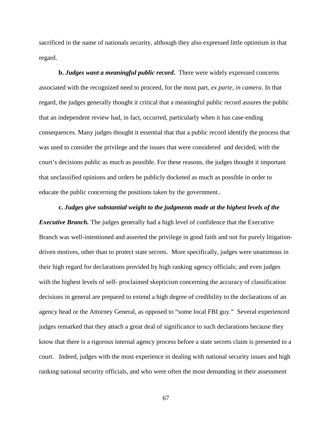sacrificed in the name of nationals security, although they also expressed little optimism in that regard.

**b.** *Judges want a meaningful public record***.** There were widely expressed concerns associated with the recognized need to proceed, for the most part, *ex parte, in camera*. In that regard, the judges generally thought it critical that a meaningful public record assures the public that an independent review had, in fact, occurred, particularly when it has case-ending consequences. Many judges thought it essential that that a public record identify the process that was used to consider the privilege and the issues that were considered and decided, with the court's decisions public as much as possible. For these reasons, the judges thought it important that unclassified opinions and orders be publicly docketed as much as possible in order to educate the public concerning the positions taken by the government..

#### **c.** *Judges give substantial weight to the judgments made at the highest levels of the*

*Executive Branch*. The judges generally had a high level of confidence that the Executive Branch was well-intentioned and asserted the privilege in good faith and not for purely litigationdriven motives, other than to protect state secrets. More specifically, judges were unanimous in their high regard for declarations provided by high ranking agency officials; and even judges with the highest levels of self- proclaimed skepticism concerning the accuracy of classification decisions in general are prepared to extend a high degree of credibility to the declarations of an agency head or the Attorney General, as opposed to "some local FBI guy." Several experienced judges remarked that they attach a great deal of significance to such declarations because they know that there is a rigorous internal agency process before a state secrets claim is presented to a court. Indeed, judges with the most experience in dealing with national security issues and high ranking national security officials, and who were often the most demanding in their assessment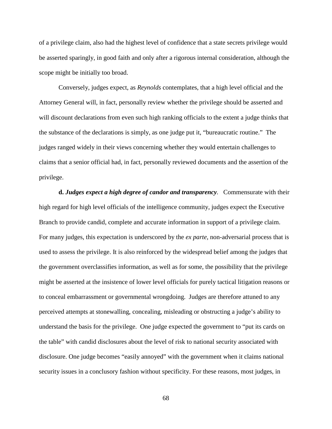of a privilege claim, also had the highest level of confidence that a state secrets privilege would be asserted sparingly, in good faith and only after a rigorous internal consideration, although the scope might be initially too broad.

Conversely, judges expect, as *Reynolds* contemplates, that a high level official and the Attorney General will, in fact, personally review whether the privilege should be asserted and will discount declarations from even such high ranking officials to the extent a judge thinks that the substance of the declarations is simply, as one judge put it, "bureaucratic routine." The judges ranged widely in their views concerning whether they would entertain challenges to claims that a senior official had, in fact, personally reviewed documents and the assertion of the privilege.

**d.** *Judges expect a high degree of candor and transparency.* Commensurate with their high regard for high level officials of the intelligence community, judges expect the Executive Branch to provide candid, complete and accurate information in support of a privilege claim. For many judges, this expectation is underscored by the *ex parte,* non-adversarial process that is used to assess the privilege. It is also reinforced by the widespread belief among the judges that the government overclassifies information, as well as for some, the possibility that the privilege might be asserted at the insistence of lower level officials for purely tactical litigation reasons or to conceal embarrassment or governmental wrongdoing. Judges are therefore attuned to any perceived attempts at stonewalling, concealing, misleading or obstructing a judge's ability to understand the basis for the privilege. One judge expected the government to "put its cards on the table" with candid disclosures about the level of risk to national security associated with disclosure. One judge becomes "easily annoyed" with the government when it claims national security issues in a conclusory fashion without specificity. For these reasons, most judges, in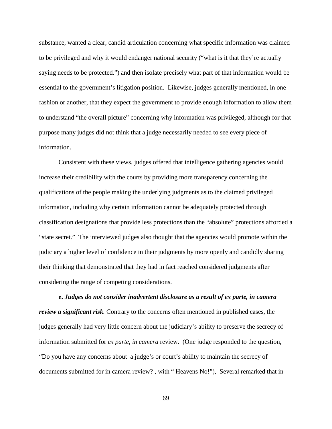substance, wanted a clear, candid articulation concerning what specific information was claimed to be privileged and why it would endanger national security ("what is it that they're actually saying needs to be protected.") and then isolate precisely what part of that information would be essential to the government's litigation position. Likewise, judges generally mentioned, in one fashion or another, that they expect the government to provide enough information to allow them to understand "the overall picture" concerning why information was privileged, although for that purpose many judges did not think that a judge necessarily needed to see every piece of information.

Consistent with these views, judges offered that intelligence gathering agencies would increase their credibility with the courts by providing more transparency concerning the qualifications of the people making the underlying judgments as to the claimed privileged information, including why certain information cannot be adequately protected through classification designations that provide less protections than the "absolute" protections afforded a "state secret." The interviewed judges also thought that the agencies would promote within the judiciary a higher level of confidence in their judgments by more openly and candidly sharing their thinking that demonstrated that they had in fact reached considered judgments after considering the range of competing considerations.

**e.** *Judges do not consider inadvertent disclosure as a result of ex parte, in camera review a significant risk.* Contrary to the concerns often mentioned in published cases, the judges generally had very little concern about the judiciary's ability to preserve the secrecy of information submitted for *ex parte, in camera* review. (One judge responded to the question, "Do you have any concerns about a judge's or court's ability to maintain the secrecy of documents submitted for in camera review? , with " Heavens No!"), Several remarked that in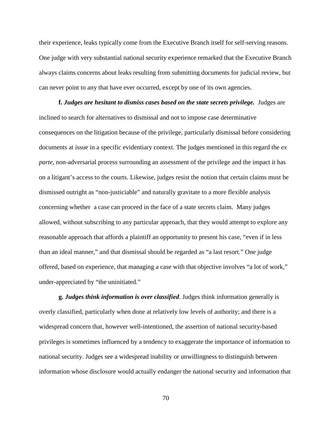their experience, leaks typically come from the Executive Branch itself for self-serving reasons. One judge with very substantial national security experience remarked that the Executive Branch always claims concerns about leaks resulting from submitting documents for judicial review, but can never point to any that have ever occurred, except by one of its own agencies.

**f.** *Judges are hesitant to dismiss cases based on the state secrets privilege.* Judges are inclined to search for alternatives to dismissal and not to impose case determinative consequences on the litigation because of the privilege, particularly dismissal before considering documents at issue in a specific evidentiary context. The judges mentioned in this regard the *ex parte,* non-adversarial process surrounding an assessment of the privilege and the impact it has on a litigant's access to the courts. Likewise, judges resist the notion that certain claims must be dismissed outright as "non-justiciable" and naturally gravitate to a more flexible analysis concerning whether a case can proceed in the face of a state secrets claim. Many judges allowed, without subscribing to any particular approach, that they would attempt to explore any reasonable approach that affords a plaintiff an opportunity to present his case, "even if in less than an ideal manner," and that dismissal should be regarded as "a last resort." One judge offered, based on experience, that managing a case with that objective involves "a lot of work," under-appreciated by "the uninitiated."

**g.** *Judges think information is over classified*. Judges think information generally is overly classified, particularly when done at relatively low levels of authority; and there is a widespread concern that, however well-intentioned, the assertion of national security-based privileges is sometimes influenced by a tendency to exaggerate the importance of information to national security. Judges see a widespread inability or unwillingness to distinguish between information whose disclosure would actually endanger the national security and information that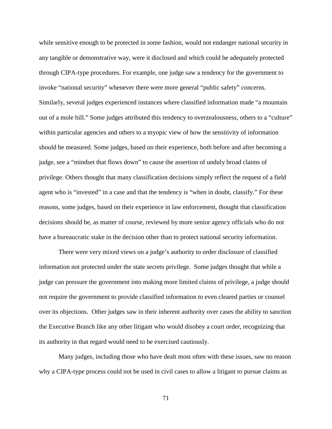while sensitive enough to be protected in some fashion, would not endanger national security in any tangible or demonstrative way, were it disclosed and which could be adequately protected through CIPA-type procedures. For example, one judge saw a tendency for the government to invoke "national security" whenever there were more general "public safety" concerns. Similarly, several judges experienced instances where classified information made "a mountain out of a mole hill." Some judges attributed this tendency to overzealousness, others to a "culture" within particular agencies and others to a myopic view of how the sensitivity of information should be measured. Some judges, based on their experience, both before and after becoming a judge, see a "mindset that flows down" to cause the assertion of unduly broad claims of privilege. Others thought that many classification decisions simply reflect the request of a field agent who is "invested" in a case and that the tendency is "when in doubt, classify." For these reasons, some judges, based on their experience in law enforcement, thought that classification decisions should be, as matter of course, reviewed by more senior agency officials who do not have a bureaucratic stake in the decision other than to protect national security information.

There were very mixed views on a judge's authority to order disclosure of classified information not protected under the state secrets privilege. Some judges thought that while a judge can pressure the government into making more limited claims of privilege, a judge should not require the government to provide classified information to even cleared parties or counsel over its objections. Other judges saw in their inherent authority over cases the ability to sanction the Executive Branch like any other litigant who would disobey a court order, recognizing that its authority in that regard would need to be exercised cautiously.

Many judges, including those who have dealt most often with these issues, saw no reason why a CIPA-type process could not be used in civil cases to allow a litigant to pursue claims as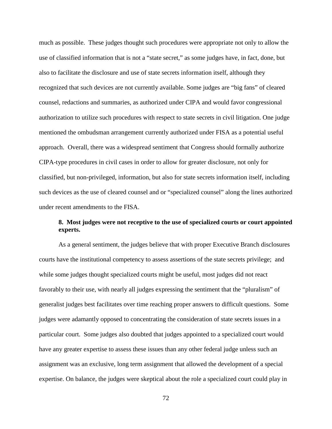much as possible. These judges thought such procedures were appropriate not only to allow the use of classified information that is not a "state secret," as some judges have, in fact, done, but also to facilitate the disclosure and use of state secrets information itself, although they recognized that such devices are not currently available. Some judges are "big fans" of cleared counsel, redactions and summaries, as authorized under CIPA and would favor congressional authorization to utilize such procedures with respect to state secrets in civil litigation. One judge mentioned the ombudsman arrangement currently authorized under FISA as a potential useful approach. Overall, there was a widespread sentiment that Congress should formally authorize CIPA-type procedures in civil cases in order to allow for greater disclosure, not only for classified, but non-privileged, information, but also for state secrets information itself, including such devices as the use of cleared counsel and or "specialized counsel" along the lines authorized under recent amendments to the FISA.

# **8. Most judges were not receptive to the use of specialized courts or court appointed experts.**

As a general sentiment, the judges believe that with proper Executive Branch disclosures courts have the institutional competency to assess assertions of the state secrets privilege; and while some judges thought specialized courts might be useful, most judges did not react favorably to their use, with nearly all judges expressing the sentiment that the "pluralism" of generalist judges best facilitates over time reaching proper answers to difficult questions. Some judges were adamantly opposed to concentrating the consideration of state secrets issues in a particular court. Some judges also doubted that judges appointed to a specialized court would have any greater expertise to assess these issues than any other federal judge unless such an assignment was an exclusive, long term assignment that allowed the development of a special expertise. On balance, the judges were skeptical about the role a specialized court could play in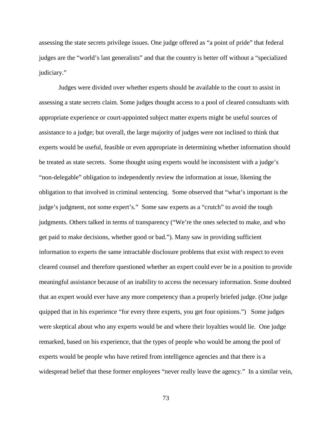assessing the state secrets privilege issues. One judge offered as "a point of pride" that federal judges are the "world's last generalists" and that the country is better off without a "specialized judiciary."

Judges were divided over whether experts should be available to the court to assist in assessing a state secrets claim. Some judges thought access to a pool of cleared consultants with appropriate experience or court-appointed subject matter experts might be useful sources of assistance to a judge; but overall, the large majority of judges were not inclined to think that experts would be useful, feasible or even appropriate in determining whether information should be treated as state secrets. Some thought using experts would be inconsistent with a judge's "non-delegable" obligation to independently review the information at issue, likening the obligation to that involved in criminal sentencing. Some observed that "what's important is the judge's judgment, not some expert's." Some saw experts as a "crutch" to avoid the tough judgments. Others talked in terms of transparency ("We're the ones selected to make, and who get paid to make decisions, whether good or bad."). Many saw in providing sufficient information to experts the same intractable disclosure problems that exist with respect to even cleared counsel and therefore questioned whether an expert could ever be in a position to provide meaningful assistance because of an inability to access the necessary information. Some doubted that an expert would ever have any more competency than a properly briefed judge. (One judge quipped that in his experience "for every three experts, you get four opinions.") Some judges were skeptical about who any experts would be and where their loyalties would lie. One judge remarked, based on his experience, that the types of people who would be among the pool of experts would be people who have retired from intelligence agencies and that there is a widespread belief that these former employees "never really leave the agency." In a similar vein,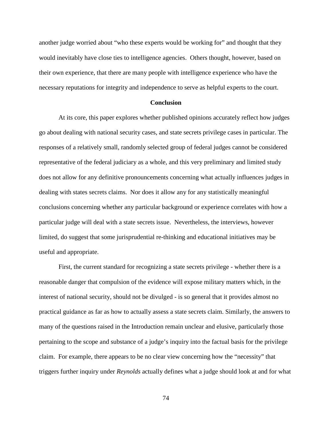another judge worried about "who these experts would be working for" and thought that they would inevitably have close ties to intelligence agencies. Others thought, however, based on their own experience, that there are many people with intelligence experience who have the necessary reputations for integrity and independence to serve as helpful experts to the court.

#### **Conclusion**

At its core, this paper explores whether published opinions accurately reflect how judges go about dealing with national security cases, and state secrets privilege cases in particular. The responses of a relatively small, randomly selected group of federal judges cannot be considered representative of the federal judiciary as a whole, and this very preliminary and limited study does not allow for any definitive pronouncements concerning what actually influences judges in dealing with states secrets claims. Nor does it allow any for any statistically meaningful conclusions concerning whether any particular background or experience correlates with how a particular judge will deal with a state secrets issue. Nevertheless, the interviews, however limited, do suggest that some jurisprudential re-thinking and educational initiatives may be useful and appropriate.

First, the current standard for recognizing a state secrets privilege - whether there is a reasonable danger that compulsion of the evidence will expose military matters which, in the interest of national security, should not be divulged - is so general that it provides almost no practical guidance as far as how to actually assess a state secrets claim. Similarly, the answers to many of the questions raised in the Introduction remain unclear and elusive, particularly those pertaining to the scope and substance of a judge's inquiry into the factual basis for the privilege claim. For example, there appears to be no clear view concerning how the "necessity" that triggers further inquiry under *Reynolds* actually defines what a judge should look at and for what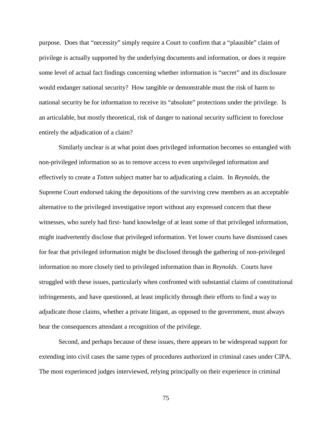purpose. Does that "necessity" simply require a Court to confirm that a "plausible" claim of privilege is actually supported by the underlying documents and information, or does it require some level of actual fact findings concerning whether information is "secret" and its disclosure would endanger national security? How tangible or demonstrable must the risk of harm to national security be for information to receive its "absolute" protections under the privilege. Is an articulable, but mostly theoretical, risk of danger to national security sufficient to foreclose entirely the adjudication of a claim?

Similarly unclear is at what point does privileged information becomes so entangled with non-privileged information so as to remove access to even unprivileged information and effectively to create a *Totten* subject matter bar to adjudicating a claim. In *Reynolds*, the Supreme Court endorsed taking the depositions of the surviving crew members as an acceptable alternative to the privileged investigative report without any expressed concern that these witnesses, who surely had first- hand knowledge of at least some of that privileged information, might inadvertently disclose that privileged information. Yet lower courts have dismissed cases for fear that privileged information might be disclosed through the gathering of non-privileged information no more closely tied to privileged information than in *Reynolds*. Courts have struggled with these issues, particularly when confronted with substantial claims of constitutional infringements, and have questioned, at least implicitly through their efforts to find a way to adjudicate those claims, whether a private litigant, as opposed to the government, must always bear the consequences attendant a recognition of the privilege.

Second, and perhaps because of these issues, there appears to be widespread support for extending into civil cases the same types of procedures authorized in criminal cases under CIPA. The most experienced judges interviewed, relying principally on their experience in criminal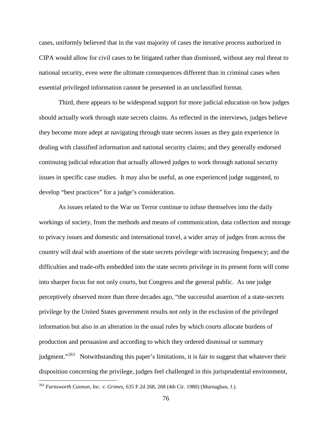cases, uniformly believed that in the vast majority of cases the iterative process authorized in CIPA would allow for civil cases to be litigated rather than dismissed, without any real threat to national security, even were the ultimate consequences different than in criminal cases when essential privileged information cannot be presented in an unclassified format.

Third, there appears to be widespread support for more judicial education on how judges should actually work through state secrets claims. As reflected in the interviews, judges believe they become more adept at navigating through state secrets issues as they gain experience in dealing with classified information and national security claims; and they generally endorsed continuing judicial education that actually allowed judges to work through national security issues in specific case studies. It may also be useful, as one experienced judge suggested, to develop "best practices" for a judge's consideration.

As issues related to the War on Terror continue to infuse themselves into the daily workings of society, from the methods and means of communication, data collection and storage to privacy issues and domestic and international travel, a wider array of judges from across the country will deal with assertions of the state secrets privilege with increasing frequency; and the difficulties and trade-offs embedded into the state secrets privilege in its present form will come into sharper focus for not only courts, but Congress and the general public. As one judge perceptively observed more than three decades ago, "the successful assertion of a state-secrets privilege by the United States government results not only in the exclusion of the privileged information but also in an alteration in the usual rules by which courts allocate burdens of production and persuasion and according to which they ordered dismissal or summary judgment."<sup>[263](#page-77-0)</sup> Notwithstanding this paper's limitations, it is fair to suggest that whatever their disposition concerning the privilege, judges feel challenged in this jurisprudential environment,

 $\overline{a}$ 

<span id="page-77-0"></span><sup>263</sup> *Farnsworth Cannon, Inc. v. Grimes*, 635 F.2d 268, 268 (4th Cir. 1980) (Murnaghan, J.).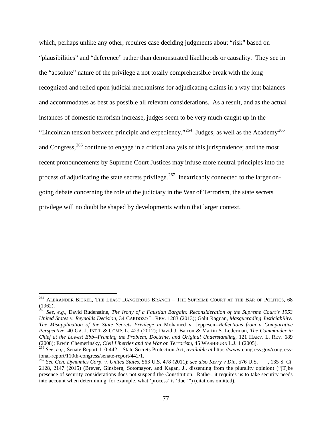which, perhaps unlike any other, requires case deciding judgments about "risk" based on "plausibilities" and "deference" rather than demonstrated likelihoods or causality. They see in the "absolute" nature of the privilege a not totally comprehensible break with the long recognized and relied upon judicial mechanisms for adjudicating claims in a way that balances and accommodates as best as possible all relevant considerations. As a result, and as the actual instances of domestic terrorism increase, judges seem to be very much caught up in the "Lincolnian tension between principle and expediency."<sup>264</sup> Judges, as well as the Academy<sup>[265](#page-78-1)</sup> and Congress, $266$  continue to engage in a critical analysis of this jurisprudence; and the most recent pronouncements by Supreme Court Justices may infuse more neutral principles into the process of adjudicating the state secrets privilege.<sup>267</sup> Inextricably connected to the larger ongoing debate concerning the role of the judiciary in the War of Terrorism, the state secrets privilege will no doubt be shaped by developments within that larger context.

 $\overline{a}$ 

<span id="page-78-0"></span><sup>&</sup>lt;sup>264</sup> ALEXANDER BICKEL, THE LEAST DANGEROUS BRANCH – THE SUPREME COURT AT THE BAR OF POLITICS, 68 (1962).

<span id="page-78-1"></span><sup>265</sup> *See, e.g.*, David Rudenstine, *The Irony of a Faustian Bargain: Reconsideration of the Supreme Court's 1953 United States v. Reynolds Decision,* 34 CARDOZO L. REV. 1283 (2013); Galit Raguan, *Masquerading Justiciability: The Misapplication of the State Secrets Privilege in* Mohamed v. Jeppesen*--Reflections from a Comparative Perspective*, 40 GA. J. INT'L & COMP. L. 423 (2012); David J. Barron & Martin S. Lederman, *The Commander in Chief at the Lowest Ebb--Framing the Problem, Doctrine, and Original Understanding,* 121 HARV. L. REV. 689

<span id="page-78-2"></span><sup>&</sup>lt;sup>266</sup> See, e.g., Senate Report 110-442 – State Secrets Protection Act, *available at* https://www.congress.gov/congress-<br>ional-report/110th-congress/senate-report/442/1.

<span id="page-78-3"></span><sup>&</sup>lt;sup>267</sup> See Gen. Dynamics Corp. v. United States, 563 U.S. 478 (2011); see also Kerry v Din, 576 U.S. \_\_, 135 S. Ct. 2128, 2147 (2015) (Breyer, Ginsberg, Sotomayor, and Kagan, J., dissenting from the plurality opinion) ("[T]he presence of security considerations does not suspend the Constitution. Rather, it requires us to take security needs into account when determining, for example, what 'process' is 'due.'") (citations omitted).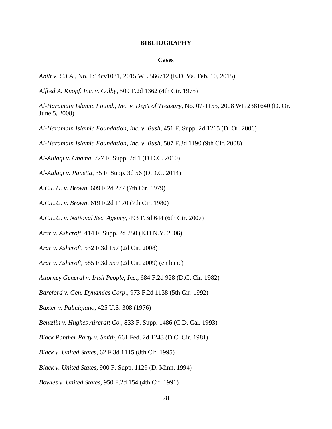#### **BIBLIOGRAPHY**

#### **Cases**

*Abilt v. C.I.A.*, No. 1:14cv1031, 2015 WL 566712 (E.D. Va. Feb. 10, 2015)

*Alfred A. Knopf, Inc. v. Colby*, 509 F.2d 1362 (4th Cir. 1975)

*Al-Haramain Islamic Found., Inc. v. Dep't of Treasury*, No. 07-1155, 2008 WL 2381640 (D. Or. June 5, 2008)

*Al-Haramain Islamic Foundation, Inc. v. Bush*, 451 F. Supp. 2d 1215 (D. Or. 2006)

*Al-Haramain Islamic Foundation, Inc. v. Bush*, 507 F.3d 1190 (9th Cir. 2008)

*Al-Aulaqi v. Obama*, 727 F. Supp. 2d 1 (D.D.C. 2010)

*Al-Aulaqi v. Panetta*, 35 F. Supp. 3d 56 (D.D.C. 2014)

*A.C.L.U. v. Brown*, 609 F.2d 277 (7th Cir. 1979)

*A.C.L.U. v. Brown*, 619 F.2d 1170 (7th Cir. 1980)

*A.C.L.U. v. National Sec. Agency*, 493 F.3d 644 (6th Cir. 2007)

*Arar v. Ashcroft*, 414 F. Supp. 2d 250 (E.D.N.Y. 2006)

*Arar v. Ashcroft*, 532 F.3d 157 (2d Cir. 2008)

*Arar v. Ashcroft*, 585 F.3d 559 (2d Cir. 2009) (en banc)

*Attorney General v. Irish People, Inc*., 684 F.2d 928 (D.C. Cir. 1982)

*Bareford v. Gen. Dynamics Corp.*, 973 F.2d 1138 (5th Cir. 1992)

*Baxter v. Palmigiano*, 425 U.S. 308 (1976)

*Bentzlin v. Hughes Aircraft Co.*, 833 F. Supp. 1486 (C.D. Cal. 1993)

*Black Panther Party v. Smith*, 661 Fed. 2d 1243 (D.C. Cir. 1981)

*Black v. United States*, 62 F.3d 1115 (8th Cir. 1995)

*Black v. United States*, 900 F. Supp. 1129 (D. Minn. 1994)

*Bowles v. United States*, 950 F.2d 154 (4th Cir. 1991)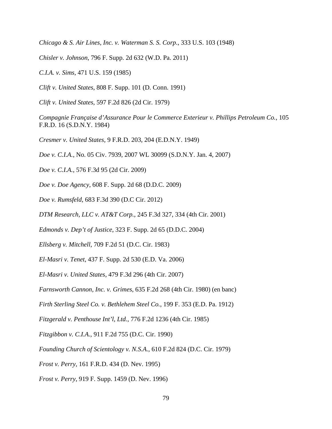*Chicago & S. Air Lines, Inc. v. Waterman S. S. Corp.*, 333 U.S. 103 (1948)

*Chisler v. Johnson*, 796 F. Supp. 2d 632 (W.D. Pa. 2011)

*C.I.A. v. Sims*, 471 U.S. 159 (1985)

*Clift v. United States*, 808 F. Supp. 101 (D. Conn. 1991)

*Clift v. United States*, 597 F.2d 826 (2d Cir. 1979)

*Compagnie Française d'Assurance Pour le Commerce Exterieur v. Phillips Petroleum Co.*, 105 F.R.D. 16 (S.D.N.Y. 1984)

*Cresmer v. United States*, 9 F.R.D. 203, 204 (E.D.N.Y. 1949)

*Doe v. C.I.A.*, No. 05 Civ. 7939, 2007 WL 30099 (S.D.N.Y. Jan. 4, 2007)

*Doe v. C.I.A.*, 576 F.3d 95 (2d Cir. 2009)

*Doe v. Doe Agency*, 608 F. Supp. 2d 68 (D.D.C. 2009)

*Doe v. Rumsfeld*, 683 F.3d 390 (D.C Cir. 2012)

*DTM Research, LLC v. AT&T Corp.*, 245 F.3d 327, 334 (4th Cir. 2001)

*Edmonds v. Dep't of Justice*, 323 F. Supp. 2d 65 (D.D.C. 2004)

*Ellsberg v. Mitchell*, 709 F.2d 51 (D.C. Cir. 1983)

*El-Masri v. Tenet*, 437 F. Supp. 2d 530 (E.D. Va. 2006)

*El-Masri v. United States*, 479 F.3d 296 (4th Cir. 2007)

*Farnsworth Cannon, Inc. v. Grimes*, 635 F.2d 268 (4th Cir. 1980) (en banc)

*Firth Sterling Steel Co. v. Bethlehem Steel Co.*, 199 F. 353 (E.D. Pa. 1912)

*Fitzgerald v. Penthouse Int'l, Ltd.*, 776 F.2d 1236 (4th Cir. 1985)

*Fitzgibbon v. C.I.A.*, 911 F.2d 755 (D.C. Cir. 1990)

*Founding Church of Scientology v. N.S.A.*, 610 F.2d 824 (D.C. Cir. 1979)

*Frost v. Perry*, 161 F.R.D. 434 (D. Nev. 1995)

*Frost v. Perry*, 919 F. Supp. 1459 (D. Nev. 1996)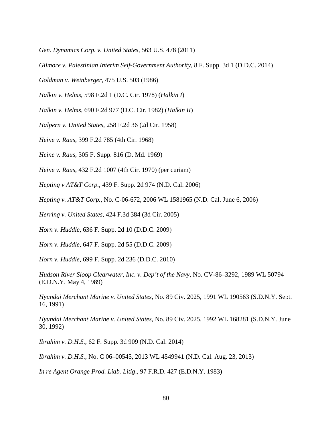*Gen. Dynamics Corp. v. United States*, 563 U.S. 478 (2011)

*Gilmore v. Palestinian Interim Self-Government Authority*, 8 F. Supp. 3d 1 (D.D.C. 2014)

*Goldman v. Weinberger*, 475 U.S. 503 (1986)

*Halkin v. Helms*, 598 F.2d 1 (D.C. Cir. 1978) (*Halkin I*)

*Halkin v. Helms*, 690 F.2d 977 (D.C. Cir. 1982) (*Halkin II*)

*Halpern v. United States*, 258 F.2d 36 (2d Cir. 1958)

*Heine v. Raus*, 399 F.2d 785 (4th Cir. 1968)

*Heine v. Raus*, 305 F. Supp. 816 (D. Md. 1969)

*Heine v. Raus*, 432 F.2d 1007 (4th Cir. 1970) (per curiam)

*Hepting v AT&T Corp.*, 439 F. Supp. 2d 974 (N.D. Cal. 2006)

*Hepting v. AT&T Corp.*, No. C-06-672, 2006 WL 1581965 (N.D. Cal. June 6, 2006)

*Herring v. United States*, 424 F.3d 384 (3d Cir. 2005)

*Horn v. Huddle*, 636 F. Supp. 2d 10 (D.D.C. 2009)

*Horn v. Huddle*, 647 F. Supp. 2d 55 (D.D.C. 2009)

*Horn v. Huddle*, 699 F. Supp. 2d 236 (D.D.C. 2010)

*Hudson River Sloop Clearwater, Inc. v. Dep't of the Navy*, No. CV-86–3292, 1989 WL 50794 (E.D.N.Y. May 4, 1989)

*Hyundai Merchant Marine v. United States*, No. 89 Civ. 2025, 1991 WL 190563 (S.D.N.Y. Sept. 16, 1991)

*Hyundai Merchant Marine v. United States*, No. 89 Civ. 2025, 1992 WL 168281 (S.D.N.Y. June 30, 1992)

*Ibrahim v. D.H.S.*, 62 F. Supp. 3d 909 (N.D. Cal. 2014)

*Ibrahim v. D.H.S.*, No. C 06–00545, 2013 WL 4549941 (N.D. Cal. Aug. 23, 2013)

*In re Agent Orange Prod. Liab. Litig*., 97 F.R.D. 427 (E.D.N.Y. 1983)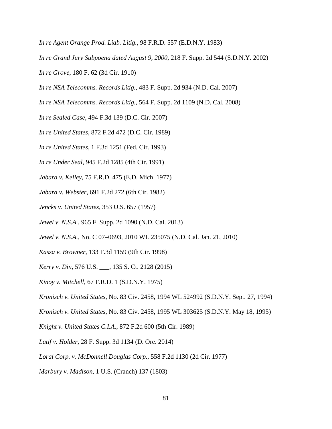*In re Agent Orange Prod. Liab. Litig.*, 98 F.R.D. 557 (E.D.N.Y. 1983)

*In re Grand Jury Subpoena dated August 9, 2000*, 218 F. Supp. 2d 544 (S.D.N.Y. 2002)

*In re Grove*, 180 F. 62 (3d Cir. 1910)

*In re NSA Telecomms. Records Litig.*, 483 F. Supp. 2d 934 (N.D. Cal. 2007)

*In re NSA Telecomms. Records Litig.*, 564 F. Supp. 2d 1109 (N.D. Cal. 2008)

*In re Sealed Case*, 494 F.3d 139 (D.C. Cir. 2007)

*In re United States*, 872 F.2d 472 (D.C. Cir. 1989)

*In re United States*, 1 F.3d 1251 (Fed. Cir. 1993)

*In re Under Seal*, 945 F.2d 1285 (4th Cir. 1991)

*Jabara v. Kelley*, 75 F.R.D. 475 (E.D. Mich. 1977)

*Jabara v. Webster*, 691 F.2d 272 (6th Cir. 1982)

*Jencks v. United States*, 353 U.S. 657 (1957)

*Jewel v. N.S.A.*, 965 F. Supp. 2d 1090 (N.D. Cal. 2013)

*Jewel v. N.S.A.*, No. C 07–0693, 2010 WL 235075 (N.D. Cal. Jan. 21, 2010)

*Kasza v. Browner*, 133 F.3d 1159 (9th Cir. 1998)

*Kerry v. Din*, 576 U.S. \_\_\_, 135 S. Ct. 2128 (2015)

*Kinoy v. Mitchell*, 67 F.R.D. 1 (S.D.N.Y. 1975)

*Kronisch v. United States*, No. 83 Civ. 2458, 1994 WL 524992 (S.D.N.Y. Sept. 27, 1994)

*Kronisch v. United States*, No. 83 Civ. 2458, 1995 WL 303625 (S.D.N.Y. May 18, 1995)

*Knight v. United States C.I.A.*, 872 F.2d 600 (5th Cir. 1989)

*Latif v. Holder*, 28 F. Supp. 3d 1134 (D. Ore. 2014)

*Loral Corp. v. McDonnell Douglas Corp.*, 558 F.2d 1130 (2d Cir. 1977)

*Marbury v. Madison*, 1 U.S. (Cranch) 137 (1803)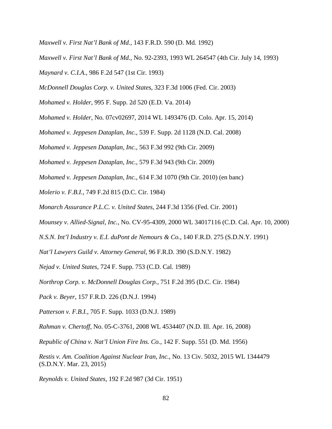- *Maxwell v. First Nat'l Bank of Md.*, 143 F.R.D. 590 (D. Md. 1992)
- *Maxwell v. First Nat'l Bank of Md.*, No. 92-2393, 1993 WL 264547 (4th Cir. July 14, 1993)
- *Maynard v. C.I.A.*, 986 F.2d 547 (1st Cir. 1993)
- *McDonnell Douglas Corp. v. United States*, 323 F.3d 1006 (Fed. Cir. 2003)
- *Mohamed v. Holder*, 995 F. Supp. 2d 520 (E.D. Va. 2014)
- *Mohamed v. Holder*, No. 07cv02697, 2014 WL 1493476 (D. Colo. Apr. 15, 2014)
- *Mohamed v. Jeppesen Dataplan, Inc.*, 539 F. Supp. 2d 1128 (N.D. Cal. 2008)
- *Mohamed v. Jeppesen Dataplan, Inc.*, 563 F.3d 992 (9th Cir. 2009)
- *Mohamed v. Jeppesen Dataplan, Inc.*, 579 F.3d 943 (9th Cir. 2009)
- *Mohamed v. Jeppesen Dataplan, Inc.*, 614 F.3d 1070 (9th Cir. 2010) (en banc)
- *Molerio v. F.B.I.*, 749 F.2d 815 (D.C. Cir. 1984)
- *Monarch Assurance P.L.C. v. United States*, 244 F.3d 1356 (Fed. Cir. 2001)
- *Mounsey v. Allied-Signal, Inc.*, No. CV-95-4309, 2000 WL 34017116 (C.D. Cal. Apr. 10, 2000)
- *N.S.N. Int'l Industry v. E.I. duPont de Nemours & Co.*, 140 F.R.D. 275 (S.D.N.Y. 1991)
- *Nat'l Lawyers Guild v. Attorney General*, 96 F.R.D. 390 (S.D.N.Y. 1982)
- *Nejad v. United States*, 724 F. Supp. 753 (C.D. Cal. 1989)
- *Northrop Corp. v. McDonnell Douglas Corp.*, 751 F.2d 395 (D.C. Cir. 1984)
- *Pack v. Beyer*, 157 F.R.D. 226 (D.N.J. 1994)
- *Patterson v. F.B.I.*, 705 F. Supp. 1033 (D.N.J. 1989)
- *Rahman v. Chertoff*, No. 05-C-3761, 2008 WL 4534407 (N.D. Ill. Apr. 16, 2008)
- *Republic of China v. Nat'l Union Fire Ins. Co.*, 142 F. Supp. 551 (D. Md. 1956)
- *Restis v. Am. Coalition Against Nuclear Iran, Inc.*, No. 13 Civ. 5032, 2015 WL 1344479 (S.D.N.Y. Mar. 23, 2015)
- *Reynolds v. United States*, 192 F.2d 987 (3d Cir. 1951)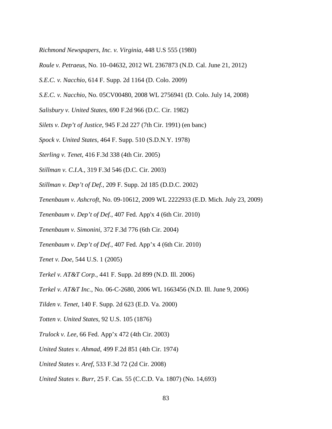*Richmond Newspapers, Inc. v. Virginia*, 448 U.S 555 (1980)

- *Roule v. Petraeus*, No. 10–04632, 2012 WL 2367873 (N.D. Cal. June 21, 2012)
- *S.E.C. v. Nacchio*, 614 F. Supp. 2d 1164 (D. Colo. 2009)
- *S.E.C. v. Nacchio*, No. 05CV00480, 2008 WL 2756941 (D. Colo. July 14, 2008)
- *Salisbury v. United States*, 690 F.2d 966 (D.C. Cir. 1982)
- *Silets v. Dep't of Justice*, 945 F.2d 227 (7th Cir. 1991) (en banc)
- *Spock v. United States*, 464 F. Supp. 510 (S.D.N.Y. 1978)
- *Sterling v. Tenet*, 416 F.3d 338 (4th Cir. 2005)
- *Stillman v. C.I.A.*, 319 F.3d 546 (D.C. Cir. 2003)
- *Stillman v. Dep't of Def.*, 209 F. Supp. 2d 185 (D.D.C. 2002)
- *Tenenbaum v. Ashcroft*, No. 09-10612, 2009 WL 2222933 (E.D. Mich. July 23, 2009)
- *Tenenbaum v. Dep't of Def.*, 407 Fed. App'x 4 (6th Cir. 2010)
- *Tenenbaum v. Simonini*, 372 F.3d 776 (6th Cir. 2004)
- *Tenenbaum v. Dep't of Def.*, 407 Fed. App'x 4 (6th Cir. 2010)
- *Tenet v. Doe*, 544 U.S. 1 (2005)
- *Terkel v. AT&T Corp.*, 441 F. Supp. 2d 899 (N.D. Ill. 2006)
- *Terkel v. AT&T Inc.*, No. 06-C-2680, 2006 WL 1663456 (N.D. Ill. June 9, 2006)
- *Tilden v. Tenet*, 140 F. Supp. 2d 623 (E.D. Va. 2000)
- *Totten v. United States*, 92 U.S. 105 (1876)
- *Trulock v. Lee*, 66 Fed. App'x 472 (4th Cir. 2003)
- *United States v. Ahmad*, 499 F.2d 851 (4th Cir. 1974)
- *United States v. Aref*, 533 F.3d 72 (2d Cir. 2008)
- *United States v. Burr*, 25 F. Cas. 55 (C.C.D. Va. 1807) (No. 14,693)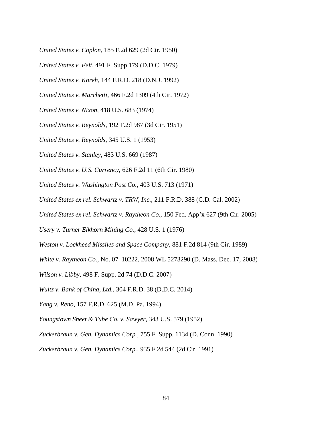- *United States v. Coplon*, 185 F.2d 629 (2d Cir. 1950)
- *United States v. Felt*, 491 F. Supp 179 (D.D.C. 1979)
- *United States v. Koreh*, 144 F.R.D. 218 (D.N.J. 1992)
- *United States v. Marchetti*, 466 F.2d 1309 (4th Cir. 1972)
- *United States v. Nixon*, 418 U.S. 683 (1974)
- *United States v. Reynolds*, 192 F.2d 987 (3d Cir. 1951)
- *United States v. Reynolds*, 345 U.S. 1 (1953)
- *United States v. Stanley*, 483 U.S. 669 (1987)
- *United States v. U.S. Currency*, 626 F.2d 11 (6th Cir. 1980)
- *United States v. Washington Post Co.*, 403 U.S. 713 (1971)
- *United States ex rel. Schwartz v. TRW, Inc.*, 211 F.R.D. 388 (C.D. Cal. 2002)
- *United States ex rel. Schwartz v. Raytheon Co.*, 150 Fed. App'x 627 (9th Cir. 2005)
- *Usery v. Turner Elkhorn Mining Co.*, 428 U.S. 1 (1976)
- *Weston v. Lockheed Missiles and Space Company*, 881 F.2d 814 (9th Cir. 1989)
- *White v. Raytheon Co.*, No. 07–10222, 2008 WL 5273290 (D. Mass. Dec. 17, 2008)
- *Wilson v. Libby*, 498 F. Supp. 2d 74 (D.D.C. 2007)
- *Wultz v. Bank of China, Ltd.*, 304 F.R.D. 38 (D.D.C. 2014)
- *Yang v. Reno*, 157 F.R.D. 625 (M.D. Pa. 1994)
- *Youngstown Sheet & Tube Co. v. Sawyer*, 343 U.S. 579 (1952)
- *Zuckerbraun v. Gen. Dynamics Corp.*, 755 F. Supp. 1134 (D. Conn. 1990)
- *Zuckerbraun v. Gen. Dynamics Corp.*, 935 F.2d 544 (2d Cir. 1991)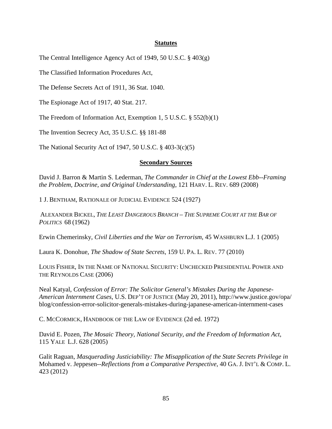## **Statutes**

The Central Intelligence Agency Act of 1949, 50 U.S.C. § 403(g)

The Classified Information Procedures Act,

The Defense Secrets Act of 1911, 36 Stat. 1040.

The Espionage Act of 1917, 40 Stat. 217.

The Freedom of Information Act, Exemption 1, 5 U.S.C. § 552(b)(1)

The Invention Secrecy Act, 35 U.S.C. §§ 181-88

The National Security Act of 1947, 50 U.S.C. § 403-3(c)(5)

### **Secondary Sources**

David J. Barron & Martin S. Lederman, *The Commander in Chief at the Lowest Ebb--Framing the Problem, Doctrine, and Original Understanding*, 121 HARV. L. REV. 689 (2008)

1 J. BENTHAM, RATIONALE OF JUDICIAL EVIDENCE 524 (1927)

ALEXANDER BICKEL, *THE LEAST DANGEROUS BRANCH – THE SUPREME COURT AT THE BAR OF POLITICS* 68 (1962)

Erwin Chemerinsky, *Civil Liberties and the War on Terrorism*, 45 WASHBURN L.J. 1 (2005)

Laura K. Donohue, *The Shadow of State Secrets*, 159 U. PA. L. REV. 77 (2010)

LOUIS FISHER, IN THE NAME OF NATIONAL SECURITY: UNCHECKED PRESIDENTIAL POWER AND THE REYNOLDS CASE (2006)

Neal Katyal, *Confession of Error: The Solicitor General's Mistakes During the Japanese-American Internment Cases*, U.S. DEP'T OF JUSTICE (May 20, 2011), http://www.justice.gov/opa/ blog/confession-error-solicitor-generals-mistakes-during-japanese-american-internment-cases

C. MCCORMICK, HANDBOOK OF THE LAW OF EVIDENCE (2d ed. 1972)

David E. Pozen, *The Mosaic Theory, National Security, and the Freedom of Information Act*, 115 YALE L.J. 628 (2005)

Galit Raguan, *Masquerading Justiciability: The Misapplication of the State Secrets Privilege in*  Mohamed v. Jeppesen--*Reflections from a Comparative Perspective*, 40 GA. J. INT'L & COMP. L. 423 (2012)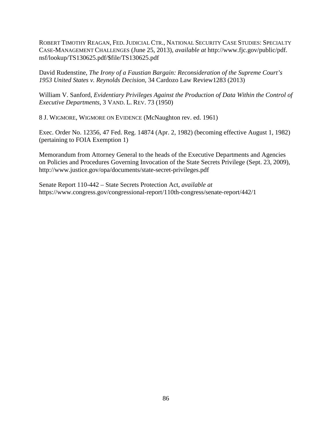ROBERT TIMOTHY REAGAN, FED. JUDICIAL CTR., NATIONAL SECURITY CASE STUDIES: SPECIALTY CASE-MANAGEMENT CHALLENGES (June 25, 2013), *available at* http://www.fjc.gov/public/pdf. nsf/lookup/TS130625.pdf/\$file/TS130625.pdf

David Rudenstine, *The Irony of a Faustian Bargain: Reconsideration of the Supreme Court's 1953 United States v. Reynolds Decision,* 34 Cardozo Law Review1283 (2013)

William V. Sanford, *Evidentiary Privileges Against the Production of Data Within the Control of Executive Departments*, 3 VAND. L. REV. 73 (1950)

8 J. WIGMORE, WIGMORE ON EVIDENCE (McNaughton rev. ed. 1961)

Exec. Order No. 12356, 47 Fed. Reg. 14874 (Apr. 2, 1982) (becoming effective August 1, 1982) (pertaining to FOIA Exemption 1)

Memorandum from Attorney General to the heads of the Executive Departments and Agencies on Policies and Procedures Governing Invocation of the State Secrets Privilege (Sept. 23, 2009), http://www.justice.gov/opa/documents/state-secret-privileges.pdf

Senate Report 110-442 – State Secrets Protection Act, *available at* https://www.congress.gov/congressional-report/110th-congress/senate-report/442/1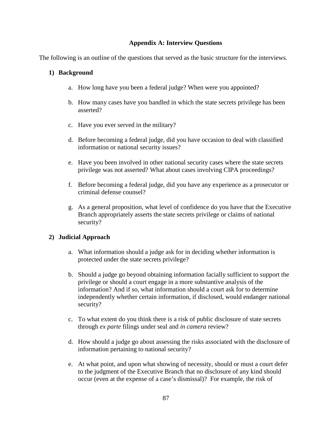# **Appendix A: Interview Questions**

The following is an outline of the questions that served as the basic structure for the interviews.

## **1) Background**

- a. How long have you been a federal judge? When were you appointed?
- b. How many cases have you handled in which the state secrets privilege has been asserted?
- c. Have you ever served in the military?
- d. Before becoming a federal judge, did you have occasion to deal with classified information or national security issues?
- e. Have you been involved in other national security cases where the state secrets privilege was not asserted? What about cases involving CIPA proceedings?
- f. Before becoming a federal judge, did you have any experience as a prosecutor or criminal defense counsel?
- g. As a general proposition, what level of confidence do you have that the Executive Branch appropriately asserts the state secrets privilege or claims of national security?

## **2) Judicial Approach**

- a. What information should a judge ask for in deciding whether information is protected under the state secrets privilege?
- b. Should a judge go beyond obtaining information facially sufficient to support the privilege or should a court engage in a more substantive analysis of the information? And if so, what information should a court ask for to determine independently whether certain information, if disclosed, would endanger national security?
- c. To what extent do you think there is a risk of public disclosure of state secrets through *ex parte* filings under seal and *in camera* review?
- d. How should a judge go about assessing the risks associated with the disclosure of information pertaining to national security?
- e. At what point, and upon what showing of necessity, should or must a court defer to the judgment of the Executive Branch that no disclosure of any kind should occur (even at the expense of a case's dismissal)? For example, the risk of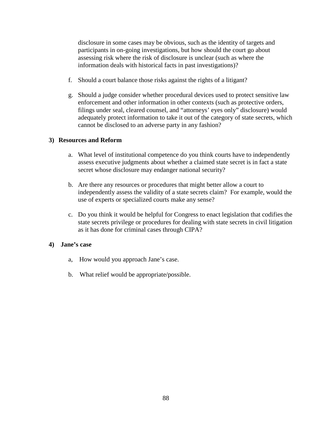disclosure in some cases may be obvious, such as the identity of targets and participants in on-going investigations, but how should the court go about assessing risk where the risk of disclosure is unclear (such as where the information deals with historical facts in past investigations)?

- f. Should a court balance those risks against the rights of a litigant?
- g. Should a judge consider whether procedural devices used to protect sensitive law enforcement and other information in other contexts (such as protective orders, filings under seal, cleared counsel, and "attorneys' eyes only" disclosure) would adequately protect information to take it out of the category of state secrets, which cannot be disclosed to an adverse party in any fashion?

# **3) Resources and Reform**

- a. What level of institutional competence do you think courts have to independently assess executive judgments about whether a claimed state secret is in fact a state secret whose disclosure may endanger national security?
- b. Are there any resources or procedures that might better allow a court to independently assess the validity of a state secrets claim? For example, would the use of experts or specialized courts make any sense?
- c. Do you think it would be helpful for Congress to enact legislation that codifies the state secrets privilege or procedures for dealing with state secrets in civil litigation as it has done for criminal cases through CIPA?

## **4) Jane's case**

- a, How would you approach Jane's case.
- b. What relief would be appropriate/possible.